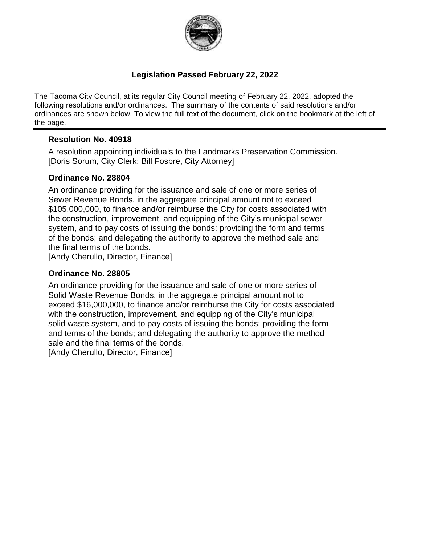

### **Legislation Passed February 22, 2022**

The Tacoma City Council, at its regular City Council meeting of February 22, 2022, adopted the following resolutions and/or ordinances. The summary of the contents of said resolutions and/or ordinances are shown below. To view the full text of the document, click on the bookmark at the left of the page.

### **Resolution No. 40918**

A resolution appointing individuals to the Landmarks Preservation Commission. [Doris Sorum, City Clerk; Bill Fosbre, City Attorney]

### **Ordinance No. 28804**

An ordinance providing for the issuance and sale of one or more series of Sewer Revenue Bonds, in the aggregate principal amount not to exceed \$105,000,000, to finance and/or reimburse the City for costs associated with the construction, improvement, and equipping of the City's municipal sewer system, and to pay costs of issuing the bonds; providing the form and terms of the bonds; and delegating the authority to approve the method sale and the final terms of the bonds.

[Andy Cherullo, Director, Finance]

#### **Ordinance No. 28805**

An ordinance providing for the issuance and sale of one or more series of Solid Waste Revenue Bonds, in the aggregate principal amount not to exceed \$16,000,000, to finance and/or reimburse the City for costs associated with the construction, improvement, and equipping of the City's municipal solid waste system, and to pay costs of issuing the bonds; providing the form and terms of the bonds; and delegating the authority to approve the method sale and the final terms of the bonds.

[Andy Cherullo, Director, Finance]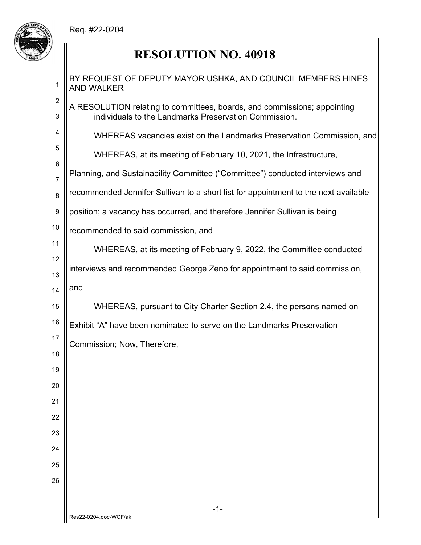Req. #22-0204



# **RESOLUTION NO. 40918**

| 1                   | BY REQUEST OF DEPUTY MAYOR USHKA, AND COUNCIL MEMBERS HINES<br><b>AND WALKER</b>                                                  |
|---------------------|-----------------------------------------------------------------------------------------------------------------------------------|
| $\overline{2}$<br>3 | A RESOLUTION relating to committees, boards, and commissions; appointing<br>individuals to the Landmarks Preservation Commission. |
| 4                   | WHEREAS vacancies exist on the Landmarks Preservation Commission, and                                                             |
| 5                   | WHEREAS, at its meeting of February 10, 2021, the Infrastructure,                                                                 |
| 6                   | Planning, and Sustainability Committee ("Committee") conducted interviews and                                                     |
| $\overline{7}$<br>8 | recommended Jennifer Sullivan to a short list for appointment to the next available                                               |
| 9                   | position; a vacancy has occurred, and therefore Jennifer Sullivan is being                                                        |
| 10                  | recommended to said commission, and                                                                                               |
| 11                  | WHEREAS, at its meeting of February 9, 2022, the Committee conducted                                                              |
| 12                  | interviews and recommended George Zeno for appointment to said commission,                                                        |
| 13<br>14            | and                                                                                                                               |
| 15                  | WHEREAS, pursuant to City Charter Section 2.4, the persons named on                                                               |
| 16                  | Exhibit "A" have been nominated to serve on the Landmarks Preservation                                                            |
| 17                  | Commission; Now, Therefore,                                                                                                       |
| 18                  |                                                                                                                                   |
| 19                  |                                                                                                                                   |
| 20                  |                                                                                                                                   |
| 21                  |                                                                                                                                   |
| 22<br>23            |                                                                                                                                   |
| 24                  |                                                                                                                                   |
| 25                  |                                                                                                                                   |
| 26                  |                                                                                                                                   |
|                     |                                                                                                                                   |
|                     | $-1-$<br>Res22-0204.doc-WCF/ak                                                                                                    |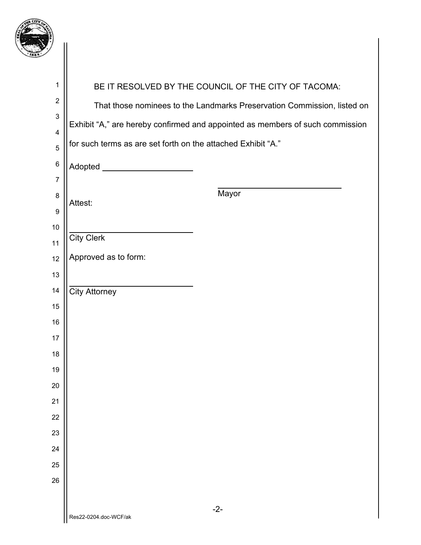

| 1                         |                                                              | BE IT RESOLVED BY THE COUNCIL OF THE CITY OF TACOMA:                          |
|---------------------------|--------------------------------------------------------------|-------------------------------------------------------------------------------|
| $\overline{2}$            |                                                              | That those nominees to the Landmarks Preservation Commission, listed on       |
| $\mathbf 3$               |                                                              | Exhibit "A," are hereby confirmed and appointed as members of such commission |
| $\overline{\mathbf{4}}$   | for such terms as are set forth on the attached Exhibit "A." |                                                                               |
| 5                         |                                                              |                                                                               |
| $\,6$                     | Adopted _______________________                              |                                                                               |
| $\overline{7}$<br>$\bf 8$ |                                                              | Mayor                                                                         |
| $\boldsymbol{9}$          | Attest:                                                      |                                                                               |
| $10$                      |                                                              |                                                                               |
| 11                        | <b>City Clerk</b>                                            |                                                                               |
| 12                        | Approved as to form:                                         |                                                                               |
| 13                        |                                                              |                                                                               |
| 14                        | <b>City Attorney</b>                                         |                                                                               |
| 15                        |                                                              |                                                                               |
| 16                        |                                                              |                                                                               |
| 17                        |                                                              |                                                                               |
| 18                        |                                                              |                                                                               |
| 19                        |                                                              |                                                                               |
| 20                        |                                                              |                                                                               |
| 21                        |                                                              |                                                                               |
| 22<br>23                  |                                                              |                                                                               |
| 24                        |                                                              |                                                                               |
| 25                        |                                                              |                                                                               |
| 26                        |                                                              |                                                                               |
|                           |                                                              |                                                                               |
|                           | Res22-0204.doc-WCF/ak                                        | $-2-$                                                                         |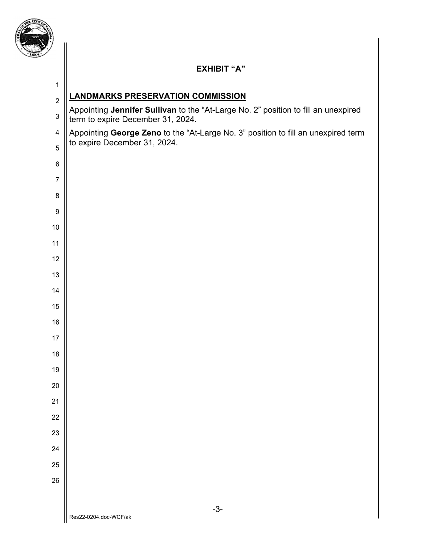

## **EXHIBIT "A"**

| $\mathbf 1$                                |                                                                                                                         |
|--------------------------------------------|-------------------------------------------------------------------------------------------------------------------------|
| $\overline{2}$                             | <b>LANDMARKS PRESERVATION COMMISSION</b>                                                                                |
| $\mathbf{3}$                               | Appointing Jennifer Sullivan to the "At-Large No. 2" position to fill an unexpired<br>term to expire December 31, 2024. |
| $\overline{\mathbf{4}}$                    | Appointing George Zeno to the "At-Large No. 3" position to fill an unexpired term                                       |
| to expire December 31, 2024.<br>$\sqrt{5}$ |                                                                                                                         |
| $\,6$                                      |                                                                                                                         |
| $\overline{7}$                             |                                                                                                                         |
| $\bf 8$                                    |                                                                                                                         |
| $\boldsymbol{9}$                           |                                                                                                                         |
| $10\,$                                     |                                                                                                                         |
| 11                                         |                                                                                                                         |
| 12                                         |                                                                                                                         |
| 13                                         |                                                                                                                         |
| 14                                         |                                                                                                                         |
| 15                                         |                                                                                                                         |
| 16                                         |                                                                                                                         |
| 17                                         |                                                                                                                         |
| 18                                         |                                                                                                                         |
| 19                                         |                                                                                                                         |
| 20                                         |                                                                                                                         |
| 21                                         |                                                                                                                         |
| 22                                         |                                                                                                                         |
| 23                                         |                                                                                                                         |
| 24                                         |                                                                                                                         |
| 25                                         |                                                                                                                         |
| 26                                         |                                                                                                                         |
|                                            |                                                                                                                         |
|                                            | $-3-$<br>Res22-0204.doc-WCF/ak                                                                                          |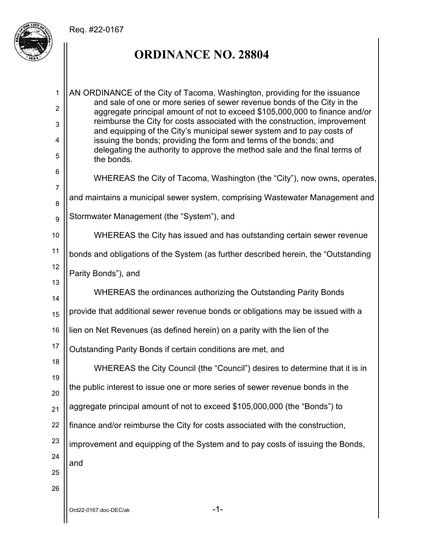### Req. #22-0167



# **ORDINANCE NO. 28804**

| $\mathbf{1}$   | AN ORDINANCE of the City of Tacoma, Washington, providing for the issuance                                                                              |
|----------------|---------------------------------------------------------------------------------------------------------------------------------------------------------|
| $\overline{2}$ | and sale of one or more series of sewer revenue bonds of the City in the<br>aggregate principal amount of not to exceed \$105,000,000 to finance and/or |
| 3              | reimburse the City for costs associated with the construction, improvement                                                                              |
| 4              | and equipping of the City's municipal sewer system and to pay costs of<br>issuing the bonds; providing the form and terms of the bonds; and             |
| 5              | delegating the authority to approve the method sale and the final terms of<br>the bonds.                                                                |
| 6              |                                                                                                                                                         |
| $\overline{7}$ | WHEREAS the City of Tacoma, Washington (the "City"), now owns, operates,                                                                                |
| 8              | and maintains a municipal sewer system, comprising Wastewater Management and                                                                            |
| 9              | Stormwater Management (the "System"), and                                                                                                               |
| 10             | WHEREAS the City has issued and has outstanding certain sewer revenue                                                                                   |
| 11             | bonds and obligations of the System (as further described herein, the "Outstanding                                                                      |
| 12             | Parity Bonds"), and                                                                                                                                     |
| 13             | WHEREAS the ordinances authorizing the Outstanding Parity Bonds                                                                                         |
| 14             |                                                                                                                                                         |
| 15             | provide that additional sewer revenue bonds or obligations may be issued with a                                                                         |
| 16             | lien on Net Revenues (as defined herein) on a parity with the lien of the                                                                               |
| 17             | Outstanding Parity Bonds if certain conditions are met, and                                                                                             |
| 18<br>19       | WHEREAS the City Council (the "Council") desires to determine that it is in                                                                             |
| 20             | the public interest to issue one or more series of sewer revenue bonds in the                                                                           |
| 21             | aggregate principal amount of not to exceed \$105,000,000 (the "Bonds") to                                                                              |
| 22             | finance and/or reimburse the City for costs associated with the construction,                                                                           |
| 23             | improvement and equipping of the System and to pay costs of issuing the Bonds,                                                                          |
| 24             | and                                                                                                                                                     |
| 25             |                                                                                                                                                         |
| 26             |                                                                                                                                                         |
|                | $-1-$<br>Ord22-0167.doc-DEC/ak                                                                                                                          |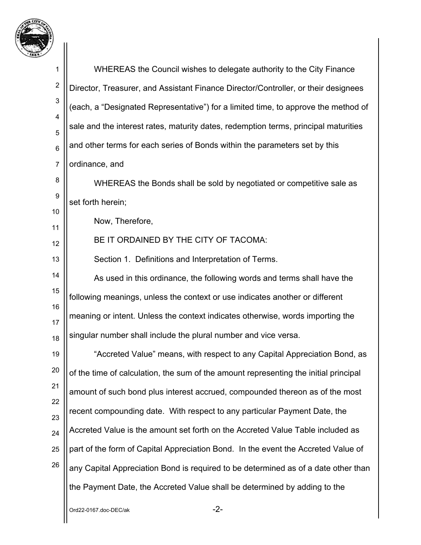

| 7                |                                                                                      |
|------------------|--------------------------------------------------------------------------------------|
| 1                | WHEREAS the Council wishes to delegate authority to the City Finance                 |
| $\boldsymbol{2}$ | Director, Treasurer, and Assistant Finance Director/Controller, or their designees   |
| 3                | (each, a "Designated Representative") for a limited time, to approve the method of   |
| 4<br>5           | sale and the interest rates, maturity dates, redemption terms, principal maturities  |
| $\,6$            | and other terms for each series of Bonds within the parameters set by this           |
| $\overline{7}$   | ordinance, and                                                                       |
| 8                | WHEREAS the Bonds shall be sold by negotiated or competitive sale as                 |
| 9                | set forth herein;                                                                    |
| 10<br>11         | Now, Therefore,                                                                      |
| 12               | BE IT ORDAINED BY THE CITY OF TACOMA:                                                |
| 13               | Section 1. Definitions and Interpretation of Terms.                                  |
| 14               | As used in this ordinance, the following words and terms shall have the              |
| 15               | following meanings, unless the context or use indicates another or different         |
| 16               | meaning or intent. Unless the context indicates otherwise, words importing the       |
| 17<br>18         | singular number shall include the plural number and vice versa.                      |
| 19               | "Accreted Value" means, with respect to any Capital Appreciation Bond, as            |
| 20               | of the time of calculation, the sum of the amount representing the initial principal |
| 21               | amount of such bond plus interest accrued, compounded thereon as of the most         |
| 22               | recent compounding date. With respect to any particular Payment Date, the            |
| 23<br>24         | Accreted Value is the amount set forth on the Accreted Value Table included as       |
| 25               | part of the form of Capital Appreciation Bond. In the event the Accreted Value of    |
| 26               | any Capital Appreciation Bond is required to be determined as of a date other than   |
|                  | the Payment Date, the Accreted Value shall be determined by adding to the            |
|                  | $-2-$<br>Ord22-0167.doc-DEC/ak                                                       |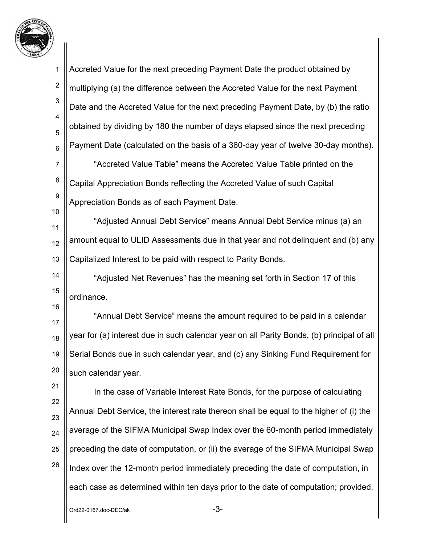

 $Ord22-0167.$ doc-DE $C/ak$ 1 2 3 4 5 6 7 8 9 10 11 12 13 14 15 16 17 18 19 20 21 22 23 24 25 26 Accreted Value for the next preceding Payment Date the product obtained by multiplying (a) the difference between the Accreted Value for the next Payment Date and the Accreted Value for the next preceding Payment Date, by (b) the ratio obtained by dividing by 180 the number of days elapsed since the next preceding Payment Date (calculated on the basis of a 360-day year of twelve 30-day months). "Accreted Value Table" means the Accreted Value Table printed on the Capital Appreciation Bonds reflecting the Accreted Value of such Capital Appreciation Bonds as of each Payment Date. "Adjusted Annual Debt Service" means Annual Debt Service minus (a) an amount equal to ULID Assessments due in that year and not delinquent and (b) any Capitalized Interest to be paid with respect to Parity Bonds. "Adjusted Net Revenues" has the meaning set forth in Section 17 of this ordinance. "Annual Debt Service" means the amount required to be paid in a calendar year for (a) interest due in such calendar year on all Parity Bonds, (b) principal of all Serial Bonds due in such calendar year, and (c) any Sinking Fund Requirement for such calendar year. In the case of Variable Interest Rate Bonds, for the purpose of calculating Annual Debt Service, the interest rate thereon shall be equal to the higher of (i) the average of the SIFMA Municipal Swap Index over the 60-month period immediately preceding the date of computation, or (ii) the average of the SIFMA Municipal Swap Index over the 12-month period immediately preceding the date of computation, in each case as determined within ten days prior to the date of computation; provided,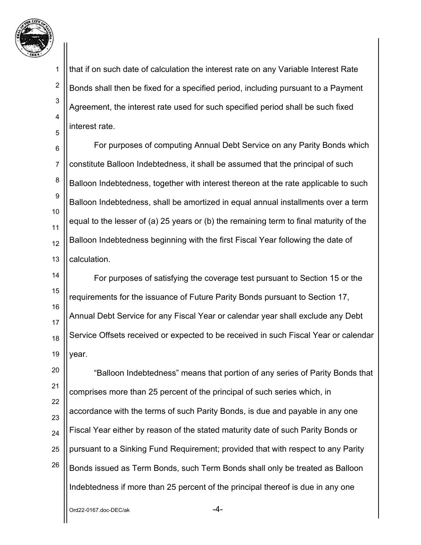

2

3

4

5

that if on such date of calculation the interest rate on any Variable Interest Rate Bonds shall then be fixed for a specified period, including pursuant to a Payment Agreement, the interest rate used for such specified period shall be such fixed interest rate.

6 7 8 9 10 11 12 13 For purposes of computing Annual Debt Service on any Parity Bonds which constitute Balloon Indebtedness, it shall be assumed that the principal of such Balloon Indebtedness, together with interest thereon at the rate applicable to such Balloon Indebtedness, shall be amortized in equal annual installments over a term equal to the lesser of (a) 25 years or (b) the remaining term to final maturity of the Balloon Indebtedness beginning with the first Fiscal Year following the date of calculation.

14 15 16 17 18 19 For purposes of satisfying the coverage test pursuant to Section 15 or the requirements for the issuance of Future Parity Bonds pursuant to Section 17, Annual Debt Service for any Fiscal Year or calendar year shall exclude any Debt Service Offsets received or expected to be received in such Fiscal Year or calendar year.

20 21 22 23 24 25 26 "Balloon Indebtedness" means that portion of any series of Parity Bonds that comprises more than 25 percent of the principal of such series which, in accordance with the terms of such Parity Bonds, is due and payable in any one Fiscal Year either by reason of the stated maturity date of such Parity Bonds or pursuant to a Sinking Fund Requirement; provided that with respect to any Parity Bonds issued as Term Bonds, such Term Bonds shall only be treated as Balloon Indebtedness if more than 25 percent of the principal thereof is due in any one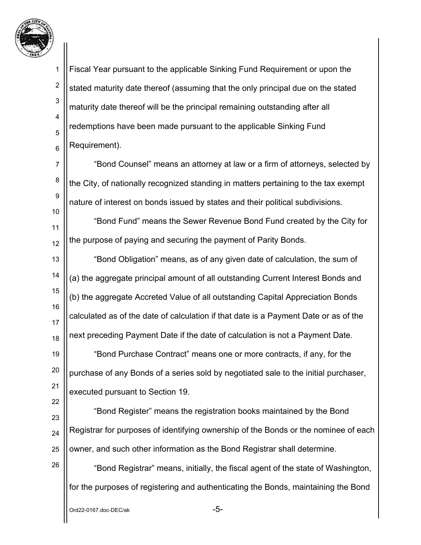

2

3

4

5

6

7

Fiscal Year pursuant to the applicable Sinking Fund Requirement or upon the stated maturity date thereof (assuming that the only principal due on the stated maturity date thereof will be the principal remaining outstanding after all redemptions have been made pursuant to the applicable Sinking Fund Requirement).

8 9 10 "Bond Counsel" means an attorney at law or a firm of attorneys, selected by the City, of nationally recognized standing in matters pertaining to the tax exempt nature of interest on bonds issued by states and their political subdivisions.

11 12 "Bond Fund" means the Sewer Revenue Bond Fund created by the City for the purpose of paying and securing the payment of Parity Bonds.

13 14 15 16 17 18 19 20 21 "Bond Obligation" means, as of any given date of calculation, the sum of (a) the aggregate principal amount of all outstanding Current Interest Bonds and (b) the aggregate Accreted Value of all outstanding Capital Appreciation Bonds calculated as of the date of calculation if that date is a Payment Date or as of the next preceding Payment Date if the date of calculation is not a Payment Date. "Bond Purchase Contract" means one or more contracts, if any, for the purchase of any Bonds of a series sold by negotiated sale to the initial purchaser,

22

23

26

24 25 "Bond Register" means the registration books maintained by the Bond Registrar for purposes of identifying ownership of the Bonds or the nominee of each owner, and such other information as the Bond Registrar shall determine.

"Bond Registrar" means, initially, the fiscal agent of the state of Washington, for the purposes of registering and authenticating the Bonds, maintaining the Bond

executed pursuant to Section 19.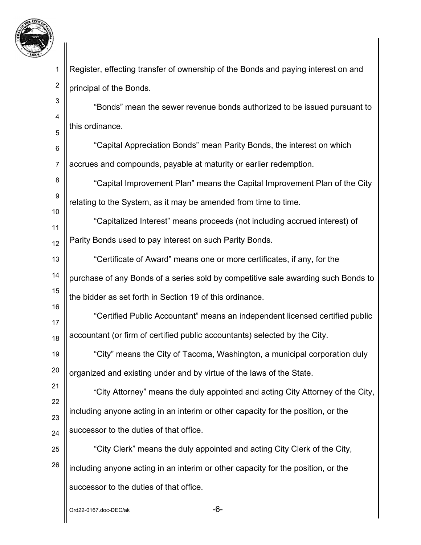

16

17

1 2 Register, effecting transfer of ownership of the Bonds and paying interest on and principal of the Bonds.

3 4 5 "Bonds" mean the sewer revenue bonds authorized to be issued pursuant to this ordinance.

6 7 "Capital Appreciation Bonds" mean Parity Bonds, the interest on which accrues and compounds, payable at maturity or earlier redemption.

8 9 "Capital Improvement Plan" means the Capital Improvement Plan of the City relating to the System, as it may be amended from time to time.

11 12 "Capitalized Interest" means proceeds (not including accrued interest) of Parity Bonds used to pay interest on such Parity Bonds.

13 14 15 "Certificate of Award" means one or more certificates, if any, for the purchase of any Bonds of a series sold by competitive sale awarding such Bonds to the bidder as set forth in Section 19 of this ordinance.

18 "Certified Public Accountant" means an independent licensed certified public accountant (or firm of certified public accountants) selected by the City.

19 20 "City" means the City of Tacoma, Washington, a municipal corporation duly organized and existing under and by virtue of the laws of the State.

21 22 23 24 "City Attorney" means the duly appointed and acting City Attorney of the City, including anyone acting in an interim or other capacity for the position, or the successor to the duties of that office.

25 26 "City Clerk" means the duly appointed and acting City Clerk of the City, including anyone acting in an interim or other capacity for the position, or the successor to the duties of that office.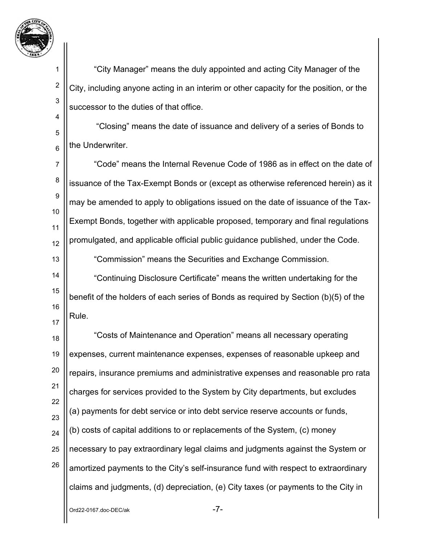

2

3

4

5

6

14

15

16

17

 "City Manager" means the duly appointed and acting City Manager of the City, including anyone acting in an interim or other capacity for the position, or the successor to the duties of that office.

 "Closing" means the date of issuance and delivery of a series of Bonds to the Underwriter.

7 8 9 10 11 12 13 "Code" means the Internal Revenue Code of 1986 as in effect on the date of issuance of the Tax-Exempt Bonds or (except as otherwise referenced herein) as it may be amended to apply to obligations issued on the date of issuance of the Tax-Exempt Bonds, together with applicable proposed, temporary and final regulations promulgated, and applicable official public guidance published, under the Code.

"Commission" means the Securities and Exchange Commission.

"Continuing Disclosure Certificate" means the written undertaking for the benefit of the holders of each series of Bonds as required by Section (b)(5) of the Rule.

18 19 20 21 22 23 24 25 26 "Costs of Maintenance and Operation" means all necessary operating expenses, current maintenance expenses, expenses of reasonable upkeep and repairs, insurance premiums and administrative expenses and reasonable pro rata charges for services provided to the System by City departments, but excludes (a) payments for debt service or into debt service reserve accounts or funds, (b) costs of capital additions to or replacements of the System, (c) money necessary to pay extraordinary legal claims and judgments against the System or amortized payments to the City's self-insurance fund with respect to extraordinary claims and judgments, (d) depreciation, (e) City taxes (or payments to the City in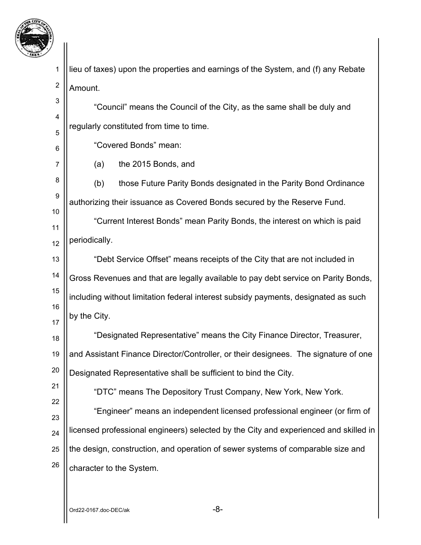

4

5

6

7

21

22

1 2 lieu of taxes) upon the properties and earnings of the System, and (f) any Rebate Amount.

"Council" means the Council of the City, as the same shall be duly and regularly constituted from time to time.

"Covered Bonds" mean:

(a) the 2015 Bonds, and

8 9 10 (b) those Future Parity Bonds designated in the Parity Bond Ordinance authorizing their issuance as Covered Bonds secured by the Reserve Fund.

11 12 "Current Interest Bonds" mean Parity Bonds, the interest on which is paid periodically.

13 14 15 16 17 "Debt Service Offset" means receipts of the City that are not included in Gross Revenues and that are legally available to pay debt service on Parity Bonds, including without limitation federal interest subsidy payments, designated as such by the City.

18 19 20 "Designated Representative" means the City Finance Director, Treasurer, and Assistant Finance Director/Controller, or their designees. The signature of one Designated Representative shall be sufficient to bind the City.

"DTC" means The Depository Trust Company, New York, New York.

23 24 25 26 "Engineer" means an independent licensed professional engineer (or firm of licensed professional engineers) selected by the City and experienced and skilled in the design, construction, and operation of sewer systems of comparable size and character to the System.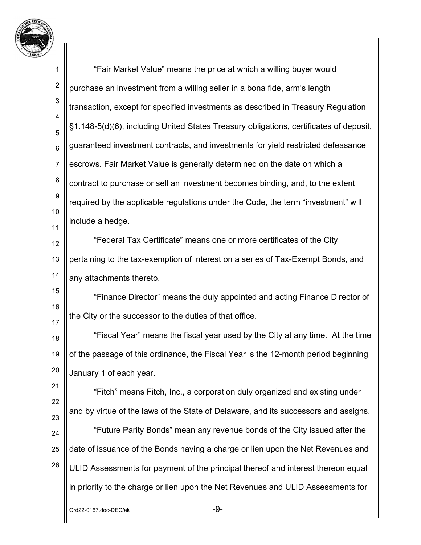

1 2 3 4 5 6 7 8 9 10 11 12 13 14 15 16 17 18 19 20 21 22 23 24 25 26 "Fair Market Value" means the price at which a willing buyer would purchase an investment from a willing seller in a bona fide, arm's length transaction, except for specified investments as described in Treasury Regulation §1.148-5(d)(6), including United States Treasury obligations, certificates of deposit, guaranteed investment contracts, and investments for yield restricted defeasance escrows. Fair Market Value is generally determined on the date on which a contract to purchase or sell an investment becomes binding, and, to the extent required by the applicable regulations under the Code, the term "investment" will include a hedge. "Federal Tax Certificate" means one or more certificates of the City pertaining to the tax-exemption of interest on a series of Tax-Exempt Bonds, and any attachments thereto. "Finance Director" means the duly appointed and acting Finance Director of the City or the successor to the duties of that office. "Fiscal Year" means the fiscal year used by the City at any time. At the time of the passage of this ordinance, the Fiscal Year is the 12-month period beginning January 1 of each year. "Fitch" means Fitch, Inc., a corporation duly organized and existing under and by virtue of the laws of the State of Delaware, and its successors and assigns. "Future Parity Bonds" mean any revenue bonds of the City issued after the date of issuance of the Bonds having a charge or lien upon the Net Revenues and ULID Assessments for payment of the principal thereof and interest thereon equal in priority to the charge or lien upon the Net Revenues and ULID Assessments for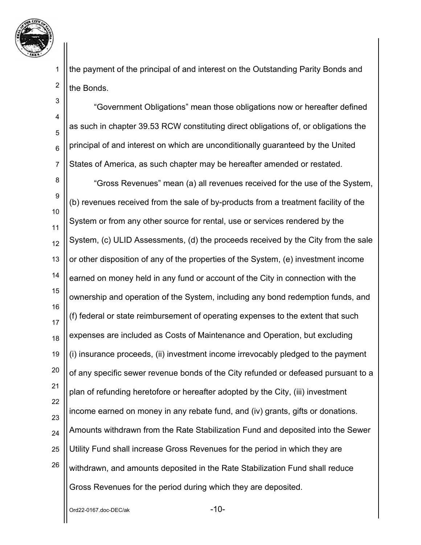

2

the payment of the principal of and interest on the Outstanding Parity Bonds and the Bonds.

3 4 5 6 7 "Government Obligations" mean those obligations now or hereafter defined as such in chapter 39.53 RCW constituting direct obligations of, or obligations the principal of and interest on which are unconditionally guaranteed by the United States of America, as such chapter may be hereafter amended or restated.

8 9 10 11 12 13 14 15 16 17 18 19 20 21 22 23 24 25 26 "Gross Revenues" mean (a) all revenues received for the use of the System, (b) revenues received from the sale of by-products from a treatment facility of the System or from any other source for rental, use or services rendered by the System, (c) ULID Assessments, (d) the proceeds received by the City from the sale or other disposition of any of the properties of the System, (e) investment income earned on money held in any fund or account of the City in connection with the ownership and operation of the System, including any bond redemption funds, and (f) federal or state reimbursement of operating expenses to the extent that such expenses are included as Costs of Maintenance and Operation, but excluding (i) insurance proceeds, (ii) investment income irrevocably pledged to the payment of any specific sewer revenue bonds of the City refunded or defeased pursuant to a plan of refunding heretofore or hereafter adopted by the City, (iii) investment income earned on money in any rebate fund, and (iv) grants, gifts or donations. Amounts withdrawn from the Rate Stabilization Fund and deposited into the Sewer Utility Fund shall increase Gross Revenues for the period in which they are withdrawn, and amounts deposited in the Rate Stabilization Fund shall reduce Gross Revenues for the period during which they are deposited.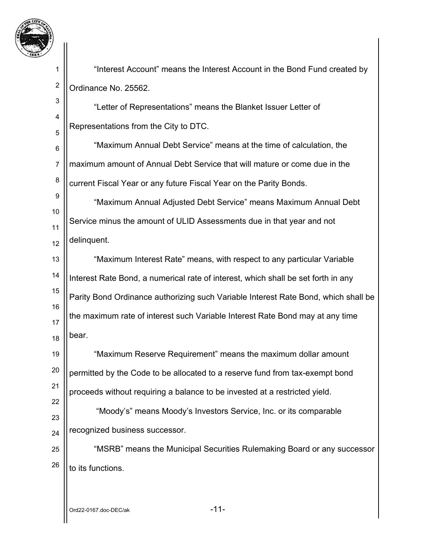

2

3

4

5

"Interest Account" means the Interest Account in the Bond Fund created by Ordinance No. 25562.

"Letter of Representations" means the Blanket Issuer Letter of Representations from the City to DTC.

6 7 8 "Maximum Annual Debt Service" means at the time of calculation, the maximum amount of Annual Debt Service that will mature or come due in the current Fiscal Year or any future Fiscal Year on the Parity Bonds.

9 10 11 12 "Maximum Annual Adjusted Debt Service" means Maximum Annual Debt Service minus the amount of ULID Assessments due in that year and not delinquent.

13 14 15 16 17 18 "Maximum Interest Rate" means, with respect to any particular Variable Interest Rate Bond, a numerical rate of interest, which shall be set forth in any Parity Bond Ordinance authorizing such Variable Interest Rate Bond, which shall be the maximum rate of interest such Variable Interest Rate Bond may at any time bear.

19 20 21 22 "Maximum Reserve Requirement" means the maximum dollar amount permitted by the Code to be allocated to a reserve fund from tax-exempt bond proceeds without requiring a balance to be invested at a restricted yield.

23 24 "Moody's" means Moody's Investors Service, Inc. or its comparable recognized business successor.

25 26 "MSRB" means the Municipal Securities Rulemaking Board or any successor to its functions.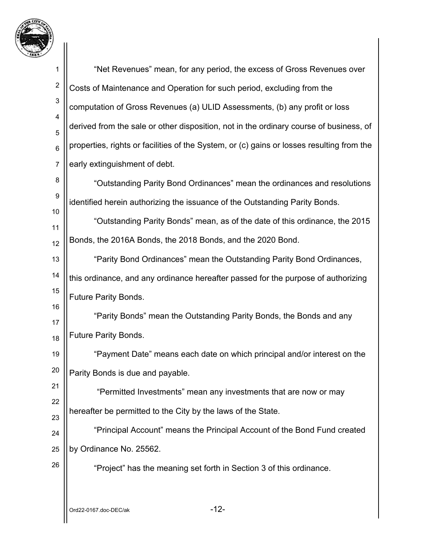

| 1                   | "Net Revenues" mean, for any period, the excess of Gross Revenues over                    |
|---------------------|-------------------------------------------------------------------------------------------|
| $\overline{c}$      | Costs of Maintenance and Operation for such period, excluding from the                    |
| 3                   | computation of Gross Revenues (a) ULID Assessments, (b) any profit or loss                |
| $\overline{4}$<br>5 | derived from the sale or other disposition, not in the ordinary course of business, of    |
| $6\phantom{1}6$     | properties, rights or facilities of the System, or (c) gains or losses resulting from the |
| $\overline{7}$      | early extinguishment of debt.                                                             |
| 8                   | "Outstanding Parity Bond Ordinances" mean the ordinances and resolutions                  |
| 9                   | identified herein authorizing the issuance of the Outstanding Parity Bonds.               |
| 10<br>11            | "Outstanding Parity Bonds" mean, as of the date of this ordinance, the 2015               |
| 12                  | Bonds, the 2016A Bonds, the 2018 Bonds, and the 2020 Bond.                                |
| 13                  | "Parity Bond Ordinances" mean the Outstanding Parity Bond Ordinances,                     |
| 14                  | this ordinance, and any ordinance hereafter passed for the purpose of authorizing         |
| 15                  | <b>Future Parity Bonds.</b>                                                               |
| 16<br>17            | "Parity Bonds" mean the Outstanding Parity Bonds, the Bonds and any                       |
| 18                  | <b>Future Parity Bonds.</b>                                                               |
| 19                  | "Payment Date" means each date on which principal and/or interest on the                  |
| 20                  | Parity Bonds is due and payable.                                                          |
| 21                  | "Permitted Investments" mean any investments that are now or may                          |
| 22                  | hereafter be permitted to the City by the laws of the State.                              |
| 23<br>24            | "Principal Account" means the Principal Account of the Bond Fund created                  |
| 25                  | by Ordinance No. 25562.                                                                   |
| 26                  | "Project" has the meaning set forth in Section 3 of this ordinance.                       |
|                     |                                                                                           |
|                     | $-12-$<br>Ord22-0167.doc-DEC/ak                                                           |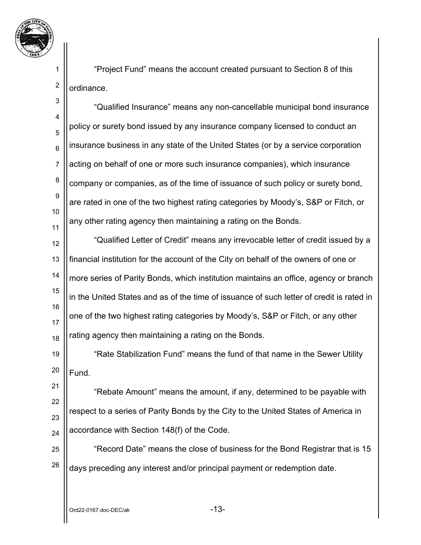

2

"Project Fund" means the account created pursuant to Section 8 of this ordinance.

3 4 5 6 7 8 9 10 11 "Qualified Insurance" means any non-cancellable municipal bond insurance policy or surety bond issued by any insurance company licensed to conduct an insurance business in any state of the United States (or by a service corporation acting on behalf of one or more such insurance companies), which insurance company or companies, as of the time of issuance of such policy or surety bond, are rated in one of the two highest rating categories by Moody's, S&P or Fitch, or any other rating agency then maintaining a rating on the Bonds.

12 13 14 15 16 17 18 "Qualified Letter of Credit" means any irrevocable letter of credit issued by a financial institution for the account of the City on behalf of the owners of one or more series of Parity Bonds, which institution maintains an office, agency or branch in the United States and as of the time of issuance of such letter of credit is rated in one of the two highest rating categories by Moody's, S&P or Fitch, or any other rating agency then maintaining a rating on the Bonds.

19 20 "Rate Stabilization Fund" means the fund of that name in the Sewer Utility Fund.

21 22 23 24 "Rebate Amount" means the amount, if any, determined to be payable with respect to a series of Parity Bonds by the City to the United States of America in accordance with Section 148(f) of the Code.

25 26 "Record Date" means the close of business for the Bond Registrar that is 15 days preceding any interest and/or principal payment or redemption date.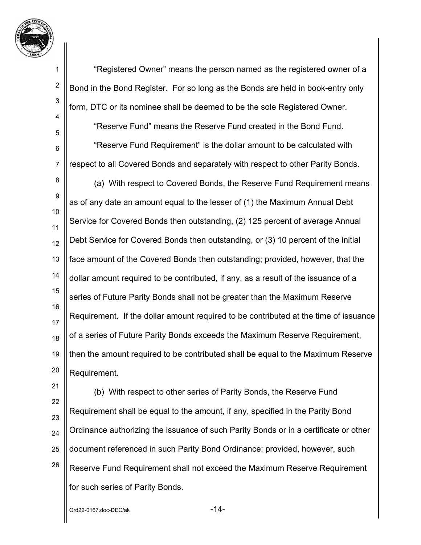

2

3

4

5

6

7

"Registered Owner" means the person named as the registered owner of a Bond in the Bond Register. For so long as the Bonds are held in book-entry only form, DTC or its nominee shall be deemed to be the sole Registered Owner.

"Reserve Fund" means the Reserve Fund created in the Bond Fund.

"Reserve Fund Requirement" is the dollar amount to be calculated with respect to all Covered Bonds and separately with respect to other Parity Bonds.

8 9 10 11 12 13 14 15 16 17 18 19 20 (a) With respect to Covered Bonds, the Reserve Fund Requirement means as of any date an amount equal to the lesser of (1) the Maximum Annual Debt Service for Covered Bonds then outstanding, (2) 125 percent of average Annual Debt Service for Covered Bonds then outstanding, or (3) 10 percent of the initial face amount of the Covered Bonds then outstanding; provided, however, that the dollar amount required to be contributed, if any, as a result of the issuance of a series of Future Parity Bonds shall not be greater than the Maximum Reserve Requirement. If the dollar amount required to be contributed at the time of issuance of a series of Future Parity Bonds exceeds the Maximum Reserve Requirement, then the amount required to be contributed shall be equal to the Maximum Reserve Requirement.

(b) With respect to other series of Parity Bonds, the Reserve Fund Requirement shall be equal to the amount, if any, specified in the Parity Bond Ordinance authorizing the issuance of such Parity Bonds or in a certificate or other document referenced in such Parity Bond Ordinance; provided, however, such Reserve Fund Requirement shall not exceed the Maximum Reserve Requirement for such series of Parity Bonds.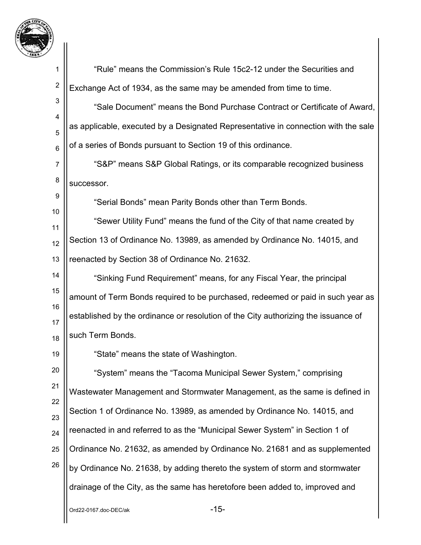

 $Ord22-0167.$ doc-DE $C/ak$ 1 2 3 4 5 6 7 8 9 10 11 12 13 14 15 16 17 18 19 20 21 22 23 24 25 26 "Rule" means the Commission's Rule 15c2-12 under the Securities and Exchange Act of 1934, as the same may be amended from time to time. "Sale Document" means the Bond Purchase Contract or Certificate of Award, as applicable, executed by a Designated Representative in connection with the sale of a series of Bonds pursuant to Section 19 of this ordinance. "S&P" means S&P Global Ratings, or its comparable recognized business successor. "Serial Bonds" mean Parity Bonds other than Term Bonds. "Sewer Utility Fund" means the fund of the City of that name created by Section 13 of Ordinance No. 13989, as amended by Ordinance No. 14015, and reenacted by Section 38 of Ordinance No. 21632. "Sinking Fund Requirement" means, for any Fiscal Year, the principal amount of Term Bonds required to be purchased, redeemed or paid in such year as established by the ordinance or resolution of the City authorizing the issuance of such Term Bonds. "State" means the state of Washington. "System" means the "Tacoma Municipal Sewer System," comprising Wastewater Management and Stormwater Management, as the same is defined in Section 1 of Ordinance No. 13989, as amended by Ordinance No. 14015, and reenacted in and referred to as the "Municipal Sewer System" in Section 1 of Ordinance No. 21632, as amended by Ordinance No. 21681 and as supplemented by Ordinance No. 21638, by adding thereto the system of storm and stormwater drainage of the City, as the same has heretofore been added to, improved and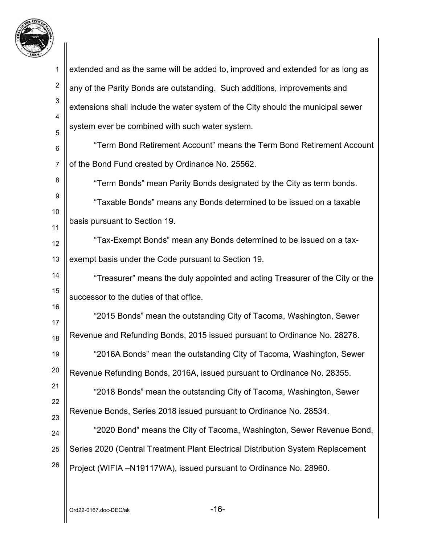

| 1              | extended and as the same will be added to, improved and extended for as long as  |
|----------------|----------------------------------------------------------------------------------|
| $\overline{2}$ | any of the Parity Bonds are outstanding. Such additions, improvements and        |
| $\mathbf{3}$   | extensions shall include the water system of the City should the municipal sewer |
| 4<br>5         | system ever be combined with such water system.                                  |
| 6              | "Term Bond Retirement Account" means the Term Bond Retirement Account            |
| $\overline{7}$ | of the Bond Fund created by Ordinance No. 25562.                                 |
| 8              | "Term Bonds" mean Parity Bonds designated by the City as term bonds.             |
| 9              | "Taxable Bonds" means any Bonds determined to be issued on a taxable             |
| 10<br>11       | basis pursuant to Section 19.                                                    |
| 12             | "Tax-Exempt Bonds" mean any Bonds determined to be issued on a tax-              |
| 13             | exempt basis under the Code pursuant to Section 19.                              |
| 14             | "Treasurer" means the duly appointed and acting Treasurer of the City or the     |
| 15             | successor to the duties of that office.                                          |
| 16             | "2015 Bonds" mean the outstanding City of Tacoma, Washington, Sewer              |
| 17<br>18       | Revenue and Refunding Bonds, 2015 issued pursuant to Ordinance No. 28278.        |
| 19             | "2016A Bonds" mean the outstanding City of Tacoma, Washington, Sewer             |
| 20             | Revenue Refunding Bonds, 2016A, issued pursuant to Ordinance No. 28355.          |
| 21             | "2018 Bonds" mean the outstanding City of Tacoma, Washington, Sewer              |
| 22             | Revenue Bonds, Series 2018 issued pursuant to Ordinance No. 28534.               |
| 23             | "2020 Bond" means the City of Tacoma, Washington, Sewer Revenue Bond,            |
| 24<br>25       | Series 2020 (Central Treatment Plant Electrical Distribution System Replacement  |
| 26             | Project (WIFIA -N19117WA), issued pursuant to Ordinance No. 28960.               |
|                |                                                                                  |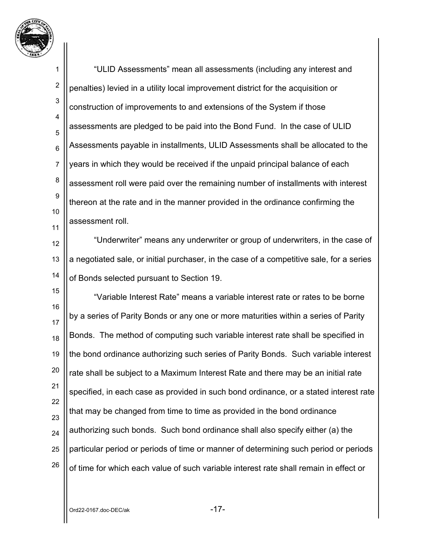

1 2 3 4 5 6 7 8 9 10 11 "ULID Assessments" mean all assessments (including any interest and penalties) levied in a utility local improvement district for the acquisition or construction of improvements to and extensions of the System if those assessments are pledged to be paid into the Bond Fund. In the case of ULID Assessments payable in installments, ULID Assessments shall be allocated to the years in which they would be received if the unpaid principal balance of each assessment roll were paid over the remaining number of installments with interest thereon at the rate and in the manner provided in the ordinance confirming the assessment roll.

12 13 14 "Underwriter" means any underwriter or group of underwriters, in the case of a negotiated sale, or initial purchaser, in the case of a competitive sale, for a series of Bonds selected pursuant to Section 19.

15 16 17 18 19 20 21 22 23 24 25 26 "Variable Interest Rate" means a variable interest rate or rates to be borne by a series of Parity Bonds or any one or more maturities within a series of Parity Bonds. The method of computing such variable interest rate shall be specified in the bond ordinance authorizing such series of Parity Bonds. Such variable interest rate shall be subject to a Maximum Interest Rate and there may be an initial rate specified, in each case as provided in such bond ordinance, or a stated interest rate that may be changed from time to time as provided in the bond ordinance authorizing such bonds. Such bond ordinance shall also specify either (a) the particular period or periods of time or manner of determining such period or periods of time for which each value of such variable interest rate shall remain in effect or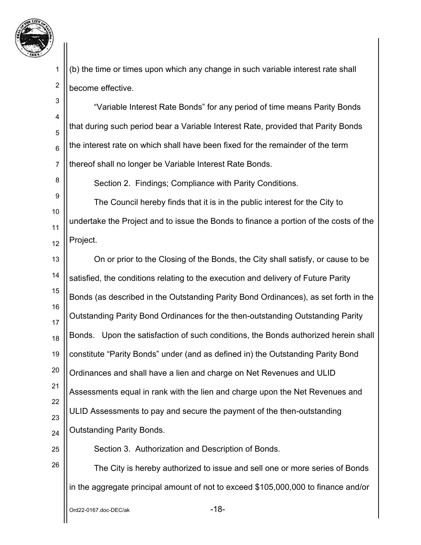

2

8

(b) the time or times upon which any change in such variable interest rate shall become effective.

3 4 5 6 7 "Variable Interest Rate Bonds" for any period of time means Parity Bonds that during such period bear a Variable Interest Rate, provided that Parity Bonds the interest rate on which shall have been fixed for the remainder of the term thereof shall no longer be Variable Interest Rate Bonds.

Section 2. Findings; Compliance with Parity Conditions.

9 10 11 12 The Council hereby finds that it is in the public interest for the City to undertake the Project and to issue the Bonds to finance a portion of the costs of the Project.

13 14 15 16 17 18 19 20 21 22 23 24 On or prior to the Closing of the Bonds, the City shall satisfy, or cause to be satisfied, the conditions relating to the execution and delivery of Future Parity Bonds (as described in the Outstanding Parity Bond Ordinances), as set forth in the Outstanding Parity Bond Ordinances for the then-outstanding Outstanding Parity Bonds. Upon the satisfaction of such conditions, the Bonds authorized herein shall constitute "Parity Bonds" under (and as defined in) the Outstanding Parity Bond Ordinances and shall have a lien and charge on Net Revenues and ULID Assessments equal in rank with the lien and charge upon the Net Revenues and ULID Assessments to pay and secure the payment of the then-outstanding Outstanding Parity Bonds.

25 26 Section 3. Authorization and Description of Bonds.

The City is hereby authorized to issue and sell one or more series of Bonds in the aggregate principal amount of not to exceed \$105,000,000 to finance and/or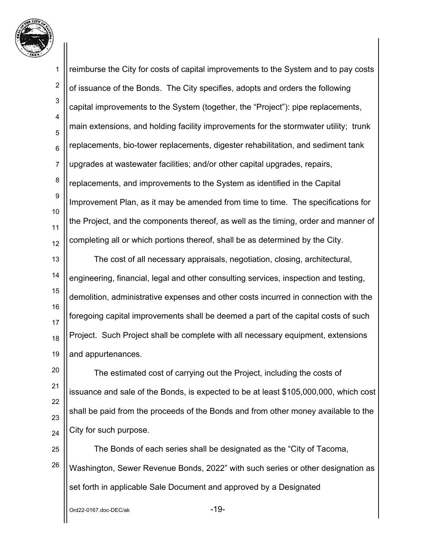

1 2 3 4 5 6 7 8 9 10 11 12 13 14 15 reimburse the City for costs of capital improvements to the System and to pay costs of issuance of the Bonds. The City specifies, adopts and orders the following capital improvements to the System (together, the "Project"): pipe replacements, main extensions, and holding facility improvements for the stormwater utility; trunk replacements, bio-tower replacements, digester rehabilitation, and sediment tank upgrades at wastewater facilities; and/or other capital upgrades, repairs, replacements, and improvements to the System as identified in the Capital Improvement Plan, as it may be amended from time to time. The specifications for the Project, and the components thereof, as well as the timing, order and manner of completing all or which portions thereof, shall be as determined by the City. The cost of all necessary appraisals, negotiation, closing, architectural, engineering, financial, legal and other consulting services, inspection and testing, demolition, administrative expenses and other costs incurred in connection with the

16 17 18 19 foregoing capital improvements shall be deemed a part of the capital costs of such Project. Such Project shall be complete with all necessary equipment, extensions and appurtenances.

20 21 22 23 24 The estimated cost of carrying out the Project, including the costs of issuance and sale of the Bonds, is expected to be at least \$105,000,000, which cost shall be paid from the proceeds of the Bonds and from other money available to the City for such purpose.

25 26 The Bonds of each series shall be designated as the "City of Tacoma, Washington, Sewer Revenue Bonds, 2022" with such series or other designation as set forth in applicable Sale Document and approved by a Designated

Ord22-0167.doc-DEC/ak -19-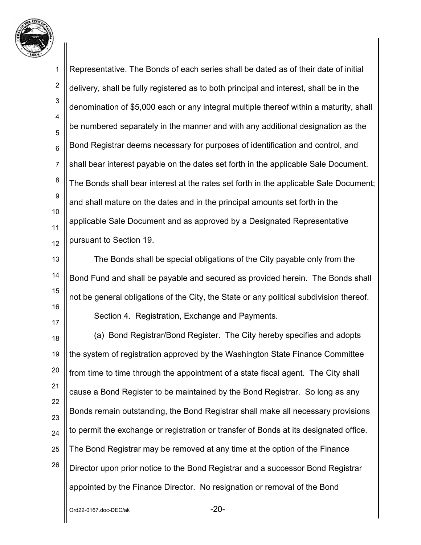

1 2 3 4 5 6 7 8 9 10 11 12 13 14 15 16 17 18 19 20 21 22 23 24 25 26 Representative. The Bonds of each series shall be dated as of their date of initial delivery, shall be fully registered as to both principal and interest, shall be in the denomination of \$5,000 each or any integral multiple thereof within a maturity, shall be numbered separately in the manner and with any additional designation as the Bond Registrar deems necessary for purposes of identification and control, and shall bear interest payable on the dates set forth in the applicable Sale Document. The Bonds shall bear interest at the rates set forth in the applicable Sale Document; and shall mature on the dates and in the principal amounts set forth in the applicable Sale Document and as approved by a Designated Representative pursuant to Section 19. The Bonds shall be special obligations of the City payable only from the Bond Fund and shall be payable and secured as provided herein. The Bonds shall not be general obligations of the City, the State or any political subdivision thereof. Section 4. Registration, Exchange and Payments. (a) Bond Registrar/Bond Register. The City hereby specifies and adopts the system of registration approved by the Washington State Finance Committee from time to time through the appointment of a state fiscal agent. The City shall cause a Bond Register to be maintained by the Bond Registrar. So long as any Bonds remain outstanding, the Bond Registrar shall make all necessary provisions to permit the exchange or registration or transfer of Bonds at its designated office. The Bond Registrar may be removed at any time at the option of the Finance Director upon prior notice to the Bond Registrar and a successor Bond Registrar appointed by the Finance Director. No resignation or removal of the Bond

Ord22-0167.doc-DEC/ak -20-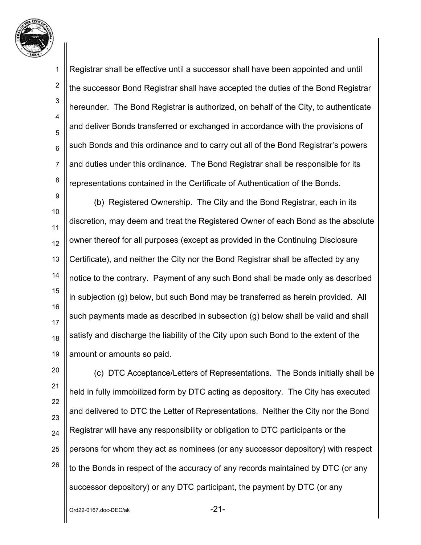

2

3

4

5

6

7

8

Registrar shall be effective until a successor shall have been appointed and until the successor Bond Registrar shall have accepted the duties of the Bond Registrar hereunder. The Bond Registrar is authorized, on behalf of the City, to authenticate and deliver Bonds transferred or exchanged in accordance with the provisions of such Bonds and this ordinance and to carry out all of the Bond Registrar's powers and duties under this ordinance. The Bond Registrar shall be responsible for its representations contained in the Certificate of Authentication of the Bonds.

9 10 11 12 13 14 15 16 17 18 19 (b) Registered Ownership. The City and the Bond Registrar, each in its discretion, may deem and treat the Registered Owner of each Bond as the absolute owner thereof for all purposes (except as provided in the Continuing Disclosure Certificate), and neither the City nor the Bond Registrar shall be affected by any notice to the contrary. Payment of any such Bond shall be made only as described in subjection (g) below, but such Bond may be transferred as herein provided. All such payments made as described in subsection (g) below shall be valid and shall satisfy and discharge the liability of the City upon such Bond to the extent of the amount or amounts so paid.

20 21 22 23 24 25 26 (c) DTC Acceptance/Letters of Representations. The Bonds initially shall be held in fully immobilized form by DTC acting as depository. The City has executed and delivered to DTC the Letter of Representations. Neither the City nor the Bond Registrar will have any responsibility or obligation to DTC participants or the persons for whom they act as nominees (or any successor depository) with respect to the Bonds in respect of the accuracy of any records maintained by DTC (or any successor depository) or any DTC participant, the payment by DTC (or any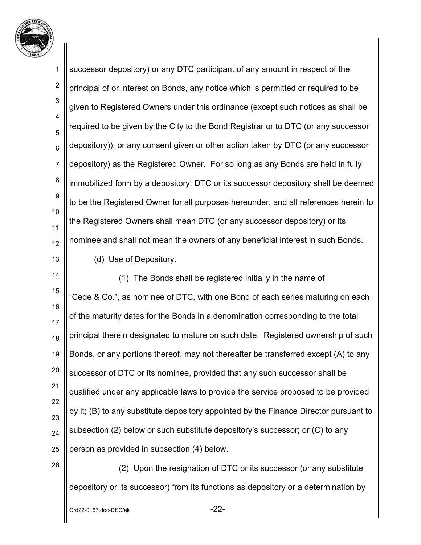

1 2 3 4 5 6 7 8 9 10 11 12 13 successor depository) or any DTC participant of any amount in respect of the principal of or interest on Bonds, any notice which is permitted or required to be given to Registered Owners under this ordinance (except such notices as shall be required to be given by the City to the Bond Registrar or to DTC (or any successor depository)), or any consent given or other action taken by DTC (or any successor depository) as the Registered Owner. For so long as any Bonds are held in fully immobilized form by a depository, DTC or its successor depository shall be deemed to be the Registered Owner for all purposes hereunder, and all references herein to the Registered Owners shall mean DTC (or any successor depository) or its nominee and shall not mean the owners of any beneficial interest in such Bonds. (d) Use of Depository.

14 15 16 17 18 19 20 21 22 23 24 25 (1) The Bonds shall be registered initially in the name of "Cede & Co.", as nominee of DTC, with one Bond of each series maturing on each of the maturity dates for the Bonds in a denomination corresponding to the total principal therein designated to mature on such date. Registered ownership of such Bonds, or any portions thereof, may not thereafter be transferred except (A) to any successor of DTC or its nominee, provided that any such successor shall be qualified under any applicable laws to provide the service proposed to be provided by it; (B) to any substitute depository appointed by the Finance Director pursuant to subsection (2) below or such substitute depository's successor; or (C) to any person as provided in subsection (4) below.

 (2) Upon the resignation of DTC or its successor (or any substitute depository or its successor) from its functions as depository or a determination by

26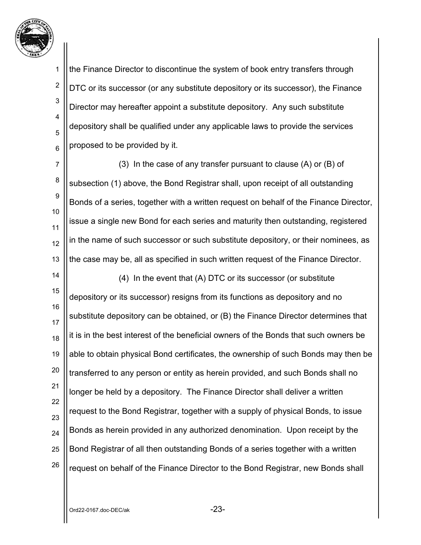

2

3

4

5

6

the Finance Director to discontinue the system of book entry transfers through DTC or its successor (or any substitute depository or its successor), the Finance Director may hereafter appoint a substitute depository. Any such substitute depository shall be qualified under any applicable laws to provide the services proposed to be provided by it.

7 8 9 10 11 12 13 (3) In the case of any transfer pursuant to clause (A) or (B) of subsection (1) above, the Bond Registrar shall, upon receipt of all outstanding Bonds of a series, together with a written request on behalf of the Finance Director, issue a single new Bond for each series and maturity then outstanding, registered in the name of such successor or such substitute depository, or their nominees, as the case may be, all as specified in such written request of the Finance Director.

14 15 16 17 18 19 20 21 22 23 24 25 26 (4) In the event that (A) DTC or its successor (or substitute depository or its successor) resigns from its functions as depository and no substitute depository can be obtained, or (B) the Finance Director determines that it is in the best interest of the beneficial owners of the Bonds that such owners be able to obtain physical Bond certificates, the ownership of such Bonds may then be transferred to any person or entity as herein provided, and such Bonds shall no longer be held by a depository. The Finance Director shall deliver a written request to the Bond Registrar, together with a supply of physical Bonds, to issue Bonds as herein provided in any authorized denomination. Upon receipt by the Bond Registrar of all then outstanding Bonds of a series together with a written request on behalf of the Finance Director to the Bond Registrar, new Bonds shall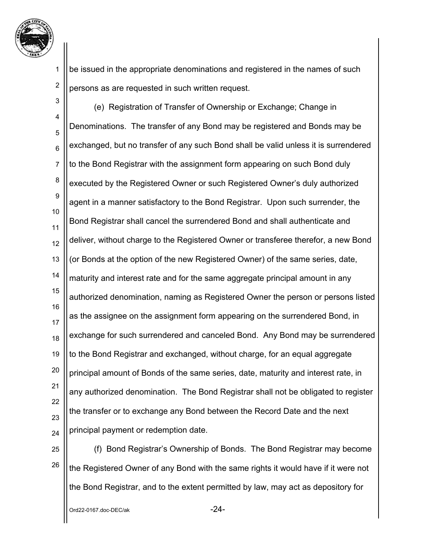

2

be issued in the appropriate denominations and registered in the names of such persons as are requested in such written request.

3 4 5 6 7 8 9 10 11 12 13 14 15 16 17 18 19 20 21 22 23 24 (e) Registration of Transfer of Ownership or Exchange; Change in Denominations. The transfer of any Bond may be registered and Bonds may be exchanged, but no transfer of any such Bond shall be valid unless it is surrendered to the Bond Registrar with the assignment form appearing on such Bond duly executed by the Registered Owner or such Registered Owner's duly authorized agent in a manner satisfactory to the Bond Registrar. Upon such surrender, the Bond Registrar shall cancel the surrendered Bond and shall authenticate and deliver, without charge to the Registered Owner or transferee therefor, a new Bond (or Bonds at the option of the new Registered Owner) of the same series, date, maturity and interest rate and for the same aggregate principal amount in any authorized denomination, naming as Registered Owner the person or persons listed as the assignee on the assignment form appearing on the surrendered Bond, in exchange for such surrendered and canceled Bond. Any Bond may be surrendered to the Bond Registrar and exchanged, without charge, for an equal aggregate principal amount of Bonds of the same series, date, maturity and interest rate, in any authorized denomination. The Bond Registrar shall not be obligated to register the transfer or to exchange any Bond between the Record Date and the next principal payment or redemption date.

25 26

(f) Bond Registrar's Ownership of Bonds. The Bond Registrar may become the Registered Owner of any Bond with the same rights it would have if it were not the Bond Registrar, and to the extent permitted by law, may act as depository for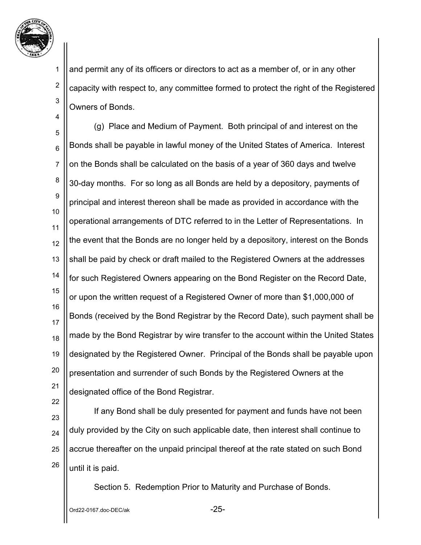

2

3

4

and permit any of its officers or directors to act as a member of, or in any other capacity with respect to, any committee formed to protect the right of the Registered Owners of Bonds.

5 6 7 8 9 10 11 12 13 14 15 16 17 18 19 20 21 (g) Place and Medium of Payment. Both principal of and interest on the Bonds shall be payable in lawful money of the United States of America. Interest on the Bonds shall be calculated on the basis of a year of 360 days and twelve 30-day months. For so long as all Bonds are held by a depository, payments of principal and interest thereon shall be made as provided in accordance with the operational arrangements of DTC referred to in the Letter of Representations. In the event that the Bonds are no longer held by a depository, interest on the Bonds shall be paid by check or draft mailed to the Registered Owners at the addresses for such Registered Owners appearing on the Bond Register on the Record Date, or upon the written request of a Registered Owner of more than \$1,000,000 of Bonds (received by the Bond Registrar by the Record Date), such payment shall be made by the Bond Registrar by wire transfer to the account within the United States designated by the Registered Owner. Principal of the Bonds shall be payable upon presentation and surrender of such Bonds by the Registered Owners at the designated office of the Bond Registrar.

22

23

24 25 26 If any Bond shall be duly presented for payment and funds have not been duly provided by the City on such applicable date, then interest shall continue to accrue thereafter on the unpaid principal thereof at the rate stated on such Bond until it is paid.

Section 5. Redemption Prior to Maturity and Purchase of Bonds.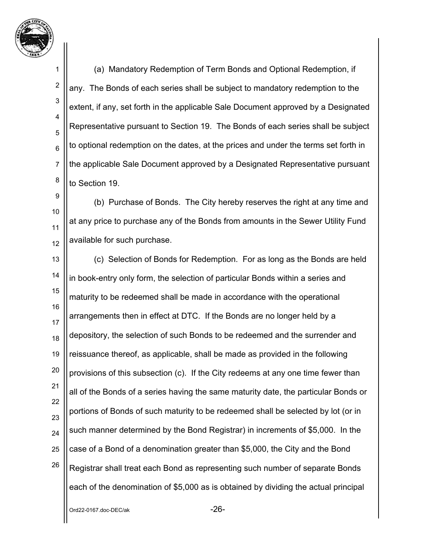

2

3

4

5

6

7

8

(a) Mandatory Redemption of Term Bonds and Optional Redemption, if any. The Bonds of each series shall be subject to mandatory redemption to the extent, if any, set forth in the applicable Sale Document approved by a Designated Representative pursuant to Section 19. The Bonds of each series shall be subject to optional redemption on the dates, at the prices and under the terms set forth in the applicable Sale Document approved by a Designated Representative pursuant to Section 19.

9 10 11 12 (b) Purchase of Bonds. The City hereby reserves the right at any time and at any price to purchase any of the Bonds from amounts in the Sewer Utility Fund available for such purchase.

13 14 15 16 17 18 19 20 21 22 23 24 25 26 (c) Selection of Bonds for Redemption. For as long as the Bonds are held in book-entry only form, the selection of particular Bonds within a series and maturity to be redeemed shall be made in accordance with the operational arrangements then in effect at DTC. If the Bonds are no longer held by a depository, the selection of such Bonds to be redeemed and the surrender and reissuance thereof, as applicable, shall be made as provided in the following provisions of this subsection (c). If the City redeems at any one time fewer than all of the Bonds of a series having the same maturity date, the particular Bonds or portions of Bonds of such maturity to be redeemed shall be selected by lot (or in such manner determined by the Bond Registrar) in increments of \$5,000. In the case of a Bond of a denomination greater than \$5,000, the City and the Bond Registrar shall treat each Bond as representing such number of separate Bonds each of the denomination of \$5,000 as is obtained by dividing the actual principal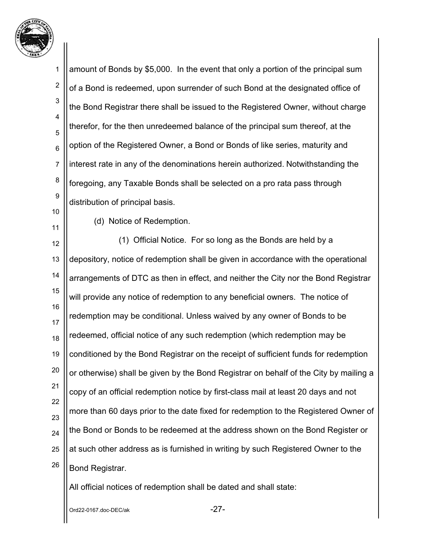

1 2 3 4 5 6 7 8 9 10 11 12 13 14 15 16 17 18 19 20 21 22 23 24 25 26 amount of Bonds by \$5,000. In the event that only a portion of the principal sum of a Bond is redeemed, upon surrender of such Bond at the designated office of the Bond Registrar there shall be issued to the Registered Owner, without charge therefor, for the then unredeemed balance of the principal sum thereof, at the option of the Registered Owner, a Bond or Bonds of like series, maturity and interest rate in any of the denominations herein authorized. Notwithstanding the foregoing, any Taxable Bonds shall be selected on a pro rata pass through distribution of principal basis. (d) Notice of Redemption. (1) Official Notice. For so long as the Bonds are held by a depository, notice of redemption shall be given in accordance with the operational arrangements of DTC as then in effect, and neither the City nor the Bond Registrar will provide any notice of redemption to any beneficial owners. The notice of redemption may be conditional. Unless waived by any owner of Bonds to be redeemed, official notice of any such redemption (which redemption may be conditioned by the Bond Registrar on the receipt of sufficient funds for redemption or otherwise) shall be given by the Bond Registrar on behalf of the City by mailing a copy of an official redemption notice by first-class mail at least 20 days and not more than 60 days prior to the date fixed for redemption to the Registered Owner of the Bond or Bonds to be redeemed at the address shown on the Bond Register or at such other address as is furnished in writing by such Registered Owner to the Bond Registrar. All official notices of redemption shall be dated and shall state:

Ord22-0167.doc-DEC/ak -27-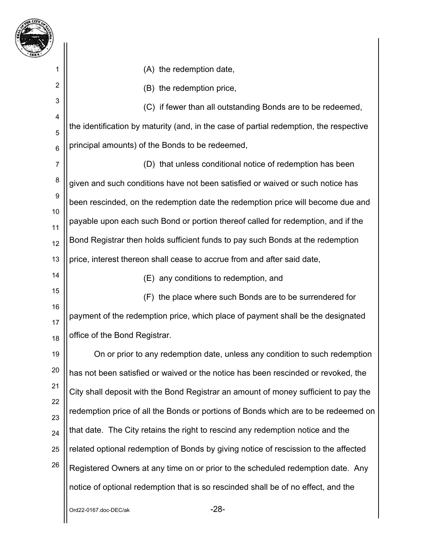

2

14

(A) the redemption date,

(B) the redemption price,

3 4 5 6 (C) if fewer than all outstanding Bonds are to be redeemed, the identification by maturity (and, in the case of partial redemption, the respective principal amounts) of the Bonds to be redeemed,

7 8 9 10 11 12 13 (D) that unless conditional notice of redemption has been given and such conditions have not been satisfied or waived or such notice has been rescinded, on the redemption date the redemption price will become due and payable upon each such Bond or portion thereof called for redemption, and if the Bond Registrar then holds sufficient funds to pay such Bonds at the redemption price, interest thereon shall cease to accrue from and after said date,

(E) any conditions to redemption, and

15 16 17 18 (F) the place where such Bonds are to be surrendered for payment of the redemption price, which place of payment shall be the designated office of the Bond Registrar.

19 20 21 22 23 24 25 26 On or prior to any redemption date, unless any condition to such redemption has not been satisfied or waived or the notice has been rescinded or revoked, the City shall deposit with the Bond Registrar an amount of money sufficient to pay the redemption price of all the Bonds or portions of Bonds which are to be redeemed on that date. The City retains the right to rescind any redemption notice and the related optional redemption of Bonds by giving notice of rescission to the affected Registered Owners at any time on or prior to the scheduled redemption date. Any notice of optional redemption that is so rescinded shall be of no effect, and the

Ord22-0167.doc-DEC/ak -28-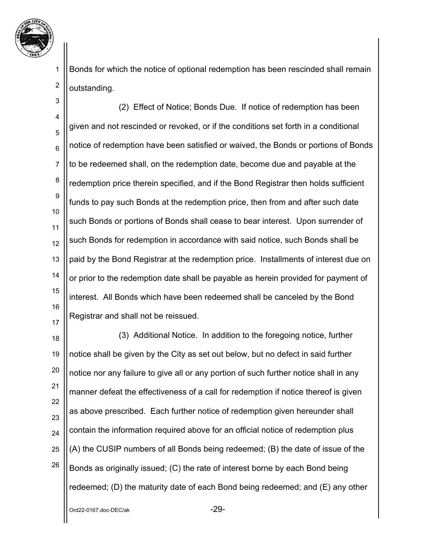

2

Bonds for which the notice of optional redemption has been rescinded shall remain outstanding.

3 4 5 6 7 8 9 10 11 12 13 14 15 16 17 (2) Effect of Notice; Bonds Due. If notice of redemption has been given and not rescinded or revoked, or if the conditions set forth in a conditional notice of redemption have been satisfied or waived, the Bonds or portions of Bonds to be redeemed shall, on the redemption date, become due and payable at the redemption price therein specified, and if the Bond Registrar then holds sufficient funds to pay such Bonds at the redemption price, then from and after such date such Bonds or portions of Bonds shall cease to bear interest. Upon surrender of such Bonds for redemption in accordance with said notice, such Bonds shall be paid by the Bond Registrar at the redemption price. Installments of interest due on or prior to the redemption date shall be payable as herein provided for payment of interest. All Bonds which have been redeemed shall be canceled by the Bond Registrar and shall not be reissued.

18 19 20 21 22 23 24 25 26 (3) Additional Notice. In addition to the foregoing notice, further notice shall be given by the City as set out below, but no defect in said further notice nor any failure to give all or any portion of such further notice shall in any manner defeat the effectiveness of a call for redemption if notice thereof is given as above prescribed. Each further notice of redemption given hereunder shall contain the information required above for an official notice of redemption plus (A) the CUSIP numbers of all Bonds being redeemed; (B) the date of issue of the Bonds as originally issued; (C) the rate of interest borne by each Bond being redeemed; (D) the maturity date of each Bond being redeemed; and (E) any other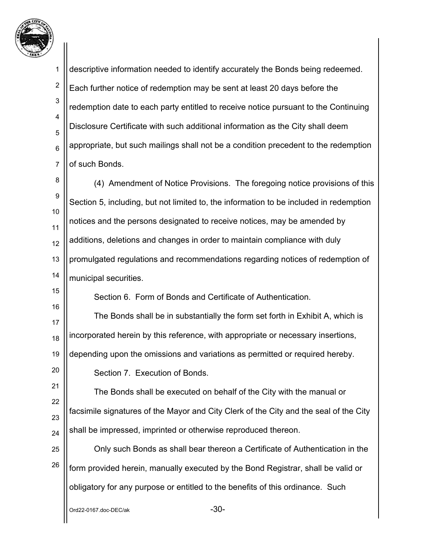

16

20

1 2 3 4 5 6 7 8 descriptive information needed to identify accurately the Bonds being redeemed. Each further notice of redemption may be sent at least 20 days before the redemption date to each party entitled to receive notice pursuant to the Continuing Disclosure Certificate with such additional information as the City shall deem appropriate, but such mailings shall not be a condition precedent to the redemption of such Bonds.

9 10 11 12 13 14 (4) Amendment of Notice Provisions. The foregoing notice provisions of this Section 5, including, but not limited to, the information to be included in redemption notices and the persons designated to receive notices, may be amended by additions, deletions and changes in order to maintain compliance with duly promulgated regulations and recommendations regarding notices of redemption of municipal securities.

Section 6. Form of Bonds and Certificate of Authentication.

17 18 19 The Bonds shall be in substantially the form set forth in Exhibit A, which is incorporated herein by this reference, with appropriate or necessary insertions, depending upon the omissions and variations as permitted or required hereby.

Section 7. Execution of Bonds.

21 22 23 24 The Bonds shall be executed on behalf of the City with the manual or facsimile signatures of the Mayor and City Clerk of the City and the seal of the City shall be impressed, imprinted or otherwise reproduced thereon.

25 26 Only such Bonds as shall bear thereon a Certificate of Authentication in the form provided herein, manually executed by the Bond Registrar, shall be valid or obligatory for any purpose or entitled to the benefits of this ordinance. Such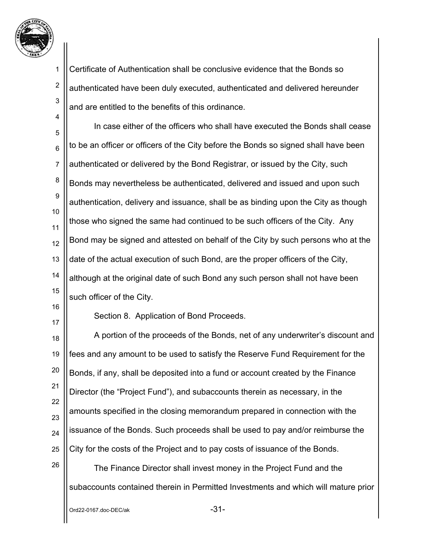

2

4

3 Certificate of Authentication shall be conclusive evidence that the Bonds so authenticated have been duly executed, authenticated and delivered hereunder and are entitled to the benefits of this ordinance.

5 6 7 8 9 10 11 12 13 14 15 In case either of the officers who shall have executed the Bonds shall cease to be an officer or officers of the City before the Bonds so signed shall have been authenticated or delivered by the Bond Registrar, or issued by the City, such Bonds may nevertheless be authenticated, delivered and issued and upon such authentication, delivery and issuance, shall be as binding upon the City as though those who signed the same had continued to be such officers of the City. Any Bond may be signed and attested on behalf of the City by such persons who at the date of the actual execution of such Bond, are the proper officers of the City, although at the original date of such Bond any such person shall not have been such officer of the City.

16

17

Section 8. Application of Bond Proceeds.

18 19 20 21 22 23 24 25 A portion of the proceeds of the Bonds, net of any underwriter's discount and fees and any amount to be used to satisfy the Reserve Fund Requirement for the Bonds, if any, shall be deposited into a fund or account created by the Finance Director (the "Project Fund"), and subaccounts therein as necessary, in the amounts specified in the closing memorandum prepared in connection with the issuance of the Bonds. Such proceeds shall be used to pay and/or reimburse the City for the costs of the Project and to pay costs of issuance of the Bonds.

26

The Finance Director shall invest money in the Project Fund and the subaccounts contained therein in Permitted Investments and which will mature prior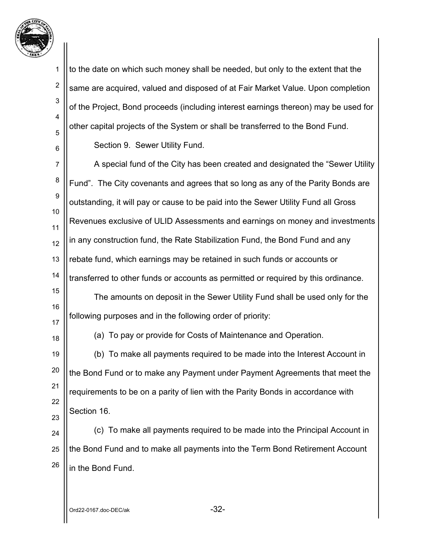

2

3

4

5

6

to the date on which such money shall be needed, but only to the extent that the same are acquired, valued and disposed of at Fair Market Value. Upon completion of the Project, Bond proceeds (including interest earnings thereon) may be used for other capital projects of the System or shall be transferred to the Bond Fund. Section 9. Sewer Utility Fund.

7 8 9 10 11 12 13 14 15 A special fund of the City has been created and designated the "Sewer Utility Fund". The City covenants and agrees that so long as any of the Parity Bonds are outstanding, it will pay or cause to be paid into the Sewer Utility Fund all Gross Revenues exclusive of ULID Assessments and earnings on money and investments in any construction fund, the Rate Stabilization Fund, the Bond Fund and any rebate fund, which earnings may be retained in such funds or accounts or transferred to other funds or accounts as permitted or required by this ordinance. The amounts on deposit in the Sewer Utility Fund shall be used only for the

following purposes and in the following order of priority:

17 18

16

(a) To pay or provide for Costs of Maintenance and Operation.

19 20 21 22 23 (b) To make all payments required to be made into the Interest Account in the Bond Fund or to make any Payment under Payment Agreements that meet the requirements to be on a parity of lien with the Parity Bonds in accordance with Section 16.

24 25 26 (c) To make all payments required to be made into the Principal Account in the Bond Fund and to make all payments into the Term Bond Retirement Account in the Bond Fund.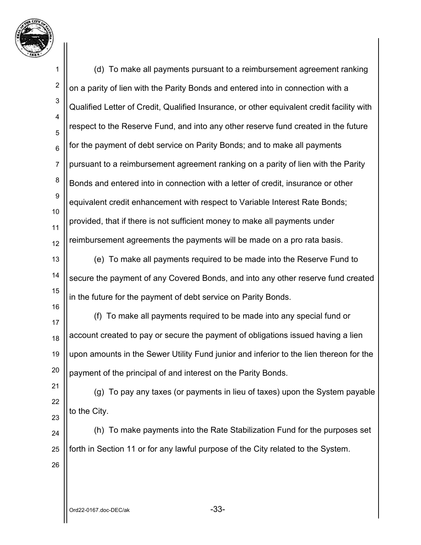

1 2 3 4 5 6 7 8 9 10 11 12 13 14 15 16 17 18 19 20 21 22 23 24 25 26 (d) To make all payments pursuant to a reimbursement agreement ranking on a parity of lien with the Parity Bonds and entered into in connection with a Qualified Letter of Credit, Qualified Insurance, or other equivalent credit facility with respect to the Reserve Fund, and into any other reserve fund created in the future for the payment of debt service on Parity Bonds; and to make all payments pursuant to a reimbursement agreement ranking on a parity of lien with the Parity Bonds and entered into in connection with a letter of credit, insurance or other equivalent credit enhancement with respect to Variable Interest Rate Bonds; provided, that if there is not sufficient money to make all payments under reimbursement agreements the payments will be made on a pro rata basis. (e) To make all payments required to be made into the Reserve Fund to secure the payment of any Covered Bonds, and into any other reserve fund created in the future for the payment of debt service on Parity Bonds. (f) To make all payments required to be made into any special fund or account created to pay or secure the payment of obligations issued having a lien upon amounts in the Sewer Utility Fund junior and inferior to the lien thereon for the payment of the principal of and interest on the Parity Bonds. (g) To pay any taxes (or payments in lieu of taxes) upon the System payable to the City. (h) To make payments into the Rate Stabilization Fund for the purposes set forth in Section 11 or for any lawful purpose of the City related to the System.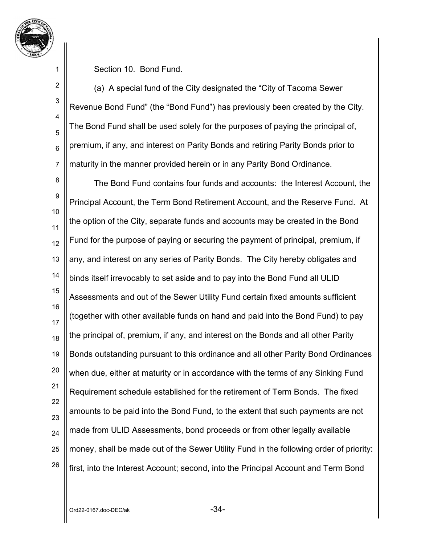

2

3

4

5

6

7

Section 10. Bond Fund.

(a) A special fund of the City designated the "City of Tacoma Sewer Revenue Bond Fund" (the "Bond Fund") has previously been created by the City. The Bond Fund shall be used solely for the purposes of paying the principal of, premium, if any, and interest on Parity Bonds and retiring Parity Bonds prior to maturity in the manner provided herein or in any Parity Bond Ordinance.

8 9 10 11 12 13 14 15 16 17 18 19 20 21 22 23 24 25 26 The Bond Fund contains four funds and accounts: the Interest Account, the Principal Account, the Term Bond Retirement Account, and the Reserve Fund. At the option of the City, separate funds and accounts may be created in the Bond Fund for the purpose of paying or securing the payment of principal, premium, if any, and interest on any series of Parity Bonds. The City hereby obligates and binds itself irrevocably to set aside and to pay into the Bond Fund all ULID Assessments and out of the Sewer Utility Fund certain fixed amounts sufficient (together with other available funds on hand and paid into the Bond Fund) to pay the principal of, premium, if any, and interest on the Bonds and all other Parity Bonds outstanding pursuant to this ordinance and all other Parity Bond Ordinances when due, either at maturity or in accordance with the terms of any Sinking Fund Requirement schedule established for the retirement of Term Bonds. The fixed amounts to be paid into the Bond Fund, to the extent that such payments are not made from ULID Assessments, bond proceeds or from other legally available money, shall be made out of the Sewer Utility Fund in the following order of priority: first, into the Interest Account; second, into the Principal Account and Term Bond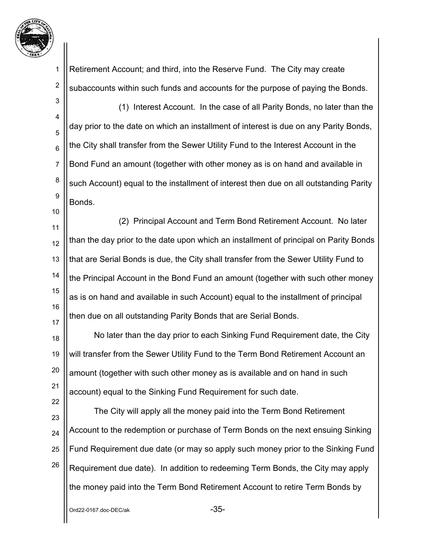

2

10

22

Retirement Account; and third, into the Reserve Fund. The City may create subaccounts within such funds and accounts for the purpose of paying the Bonds.

3 4 5 6 7 8 9 (1) Interest Account. In the case of all Parity Bonds, no later than the day prior to the date on which an installment of interest is due on any Parity Bonds, the City shall transfer from the Sewer Utility Fund to the Interest Account in the Bond Fund an amount (together with other money as is on hand and available in such Account) equal to the installment of interest then due on all outstanding Parity Bonds.

11 12 13 14 15 16 17 (2) Principal Account and Term Bond Retirement Account. No later than the day prior to the date upon which an installment of principal on Parity Bonds that are Serial Bonds is due, the City shall transfer from the Sewer Utility Fund to the Principal Account in the Bond Fund an amount (together with such other money as is on hand and available in such Account) equal to the installment of principal then due on all outstanding Parity Bonds that are Serial Bonds.

18 19 20 21 No later than the day prior to each Sinking Fund Requirement date, the City will transfer from the Sewer Utility Fund to the Term Bond Retirement Account an amount (together with such other money as is available and on hand in such account) equal to the Sinking Fund Requirement for such date.

23 24 25 26 The City will apply all the money paid into the Term Bond Retirement Account to the redemption or purchase of Term Bonds on the next ensuing Sinking Fund Requirement due date (or may so apply such money prior to the Sinking Fund Requirement due date). In addition to redeeming Term Bonds, the City may apply the money paid into the Term Bond Retirement Account to retire Term Bonds by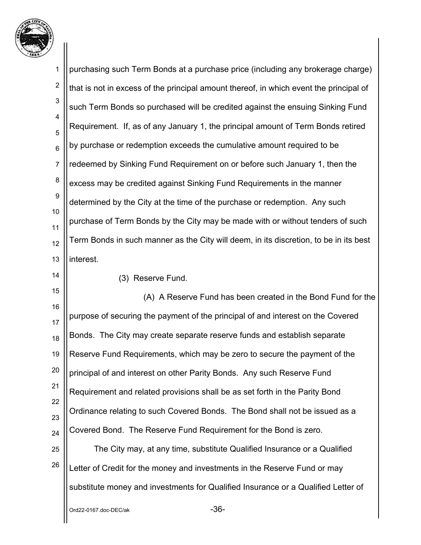

 $Ord22-0167.$ doc-DE $C/ak$ 1 2 3 4 5 6 7 8 9 10 11 12 13 14 15 16 17 18 19 20 21 22 23 24 25 26 purchasing such Term Bonds at a purchase price (including any brokerage charge) that is not in excess of the principal amount thereof, in which event the principal of such Term Bonds so purchased will be credited against the ensuing Sinking Fund Requirement. If, as of any January 1, the principal amount of Term Bonds retired by purchase or redemption exceeds the cumulative amount required to be redeemed by Sinking Fund Requirement on or before such January 1, then the excess may be credited against Sinking Fund Requirements in the manner determined by the City at the time of the purchase or redemption. Any such purchase of Term Bonds by the City may be made with or without tenders of such Term Bonds in such manner as the City will deem, in its discretion, to be in its best interest. (3) Reserve Fund. (A) A Reserve Fund has been created in the Bond Fund for the purpose of securing the payment of the principal of and interest on the Covered Bonds. The City may create separate reserve funds and establish separate Reserve Fund Requirements, which may be zero to secure the payment of the principal of and interest on other Parity Bonds. Any such Reserve Fund Requirement and related provisions shall be as set forth in the Parity Bond Ordinance relating to such Covered Bonds. The Bond shall not be issued as a Covered Bond. The Reserve Fund Requirement for the Bond is zero. The City may, at any time, substitute Qualified Insurance or a Qualified Letter of Credit for the money and investments in the Reserve Fund or may substitute money and investments for Qualified Insurance or a Qualified Letter of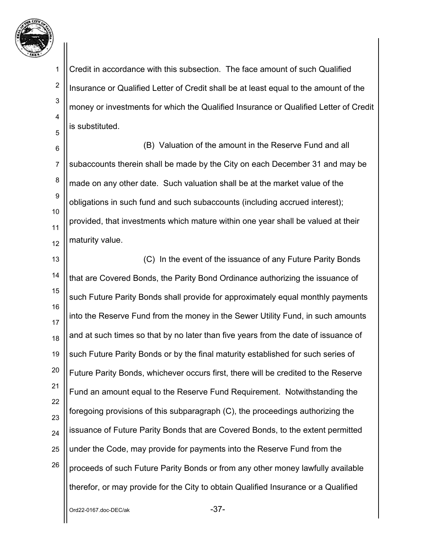

2

3

4

5

Credit in accordance with this subsection. The face amount of such Qualified Insurance or Qualified Letter of Credit shall be at least equal to the amount of the money or investments for which the Qualified Insurance or Qualified Letter of Credit is substituted.

6 7 8 9 10 11 12 (B) Valuation of the amount in the Reserve Fund and all subaccounts therein shall be made by the City on each December 31 and may be made on any other date. Such valuation shall be at the market value of the obligations in such fund and such subaccounts (including accrued interest); provided, that investments which mature within one year shall be valued at their maturity value.

13 14 15 16 17 18 19 20 21 22 23 24 25 26 (C) In the event of the issuance of any Future Parity Bonds that are Covered Bonds, the Parity Bond Ordinance authorizing the issuance of such Future Parity Bonds shall provide for approximately equal monthly payments into the Reserve Fund from the money in the Sewer Utility Fund, in such amounts and at such times so that by no later than five years from the date of issuance of such Future Parity Bonds or by the final maturity established for such series of Future Parity Bonds, whichever occurs first, there will be credited to the Reserve Fund an amount equal to the Reserve Fund Requirement. Notwithstanding the foregoing provisions of this subparagraph (C), the proceedings authorizing the issuance of Future Parity Bonds that are Covered Bonds, to the extent permitted under the Code, may provide for payments into the Reserve Fund from the proceeds of such Future Parity Bonds or from any other money lawfully available therefor, or may provide for the City to obtain Qualified Insurance or a Qualified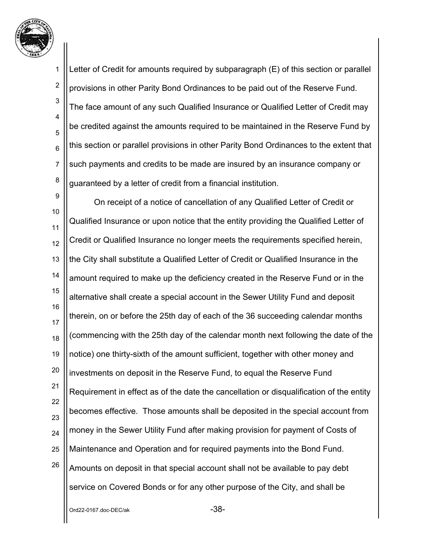

2

6

7

3 4 5 8 Letter of Credit for amounts required by subparagraph (E) of this section or parallel provisions in other Parity Bond Ordinances to be paid out of the Reserve Fund. The face amount of any such Qualified Insurance or Qualified Letter of Credit may be credited against the amounts required to be maintained in the Reserve Fund by this section or parallel provisions in other Parity Bond Ordinances to the extent that such payments and credits to be made are insured by an insurance company or guaranteed by a letter of credit from a financial institution.

9 10 11 12 13 14 15 16 17 18 19 20 21 22 23 24 25 26 On receipt of a notice of cancellation of any Qualified Letter of Credit or Qualified Insurance or upon notice that the entity providing the Qualified Letter of Credit or Qualified Insurance no longer meets the requirements specified herein, the City shall substitute a Qualified Letter of Credit or Qualified Insurance in the amount required to make up the deficiency created in the Reserve Fund or in the alternative shall create a special account in the Sewer Utility Fund and deposit therein, on or before the 25th day of each of the 36 succeeding calendar months (commencing with the 25th day of the calendar month next following the date of the notice) one thirty-sixth of the amount sufficient, together with other money and investments on deposit in the Reserve Fund, to equal the Reserve Fund Requirement in effect as of the date the cancellation or disqualification of the entity becomes effective. Those amounts shall be deposited in the special account from money in the Sewer Utility Fund after making provision for payment of Costs of Maintenance and Operation and for required payments into the Bond Fund. Amounts on deposit in that special account shall not be available to pay debt service on Covered Bonds or for any other purpose of the City, and shall be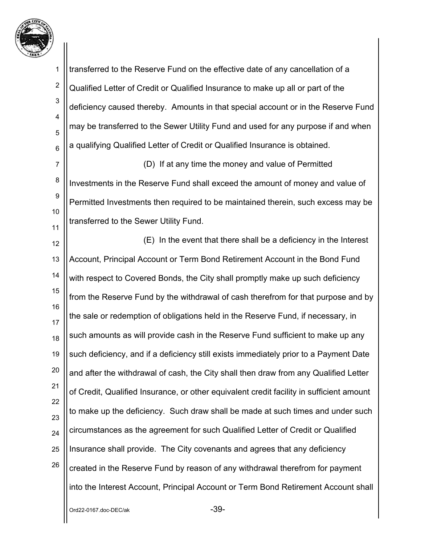

2

3

4

5

6

transferred to the Reserve Fund on the effective date of any cancellation of a Qualified Letter of Credit or Qualified Insurance to make up all or part of the deficiency caused thereby. Amounts in that special account or in the Reserve Fund may be transferred to the Sewer Utility Fund and used for any purpose if and when a qualifying Qualified Letter of Credit or Qualified Insurance is obtained.

7 8 9 10 11 (D) If at any time the money and value of Permitted Investments in the Reserve Fund shall exceed the amount of money and value of Permitted Investments then required to be maintained therein, such excess may be transferred to the Sewer Utility Fund.

12 13 14 15 16 17 18 19 20 21 22 23 24 25 26 (E) In the event that there shall be a deficiency in the Interest Account, Principal Account or Term Bond Retirement Account in the Bond Fund with respect to Covered Bonds, the City shall promptly make up such deficiency from the Reserve Fund by the withdrawal of cash therefrom for that purpose and by the sale or redemption of obligations held in the Reserve Fund, if necessary, in such amounts as will provide cash in the Reserve Fund sufficient to make up any such deficiency, and if a deficiency still exists immediately prior to a Payment Date and after the withdrawal of cash, the City shall then draw from any Qualified Letter of Credit, Qualified Insurance, or other equivalent credit facility in sufficient amount to make up the deficiency. Such draw shall be made at such times and under such circumstances as the agreement for such Qualified Letter of Credit or Qualified Insurance shall provide. The City covenants and agrees that any deficiency created in the Reserve Fund by reason of any withdrawal therefrom for payment into the Interest Account, Principal Account or Term Bond Retirement Account shall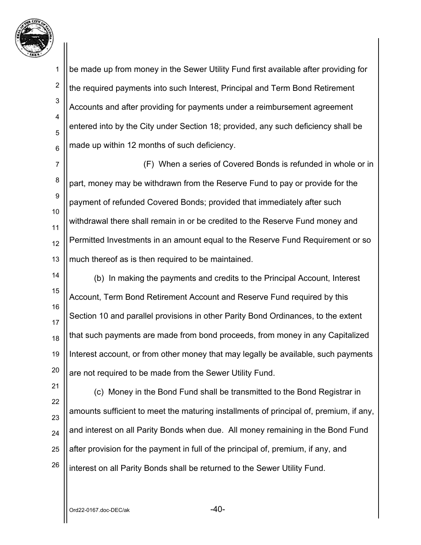

3

4

5

6

be made up from money in the Sewer Utility Fund first available after providing for the required payments into such Interest, Principal and Term Bond Retirement Accounts and after providing for payments under a reimbursement agreement entered into by the City under Section 18; provided, any such deficiency shall be made up within 12 months of such deficiency.

7 8 9 10 11 12 13 (F) When a series of Covered Bonds is refunded in whole or in part, money may be withdrawn from the Reserve Fund to pay or provide for the payment of refunded Covered Bonds; provided that immediately after such withdrawal there shall remain in or be credited to the Reserve Fund money and Permitted Investments in an amount equal to the Reserve Fund Requirement or so much thereof as is then required to be maintained.

14 15 16 17 18 19 20 (b) In making the payments and credits to the Principal Account, Interest Account, Term Bond Retirement Account and Reserve Fund required by this Section 10 and parallel provisions in other Parity Bond Ordinances, to the extent that such payments are made from bond proceeds, from money in any Capitalized Interest account, or from other money that may legally be available, such payments are not required to be made from the Sewer Utility Fund.

21 22 23 24 25 26 (c) Money in the Bond Fund shall be transmitted to the Bond Registrar in amounts sufficient to meet the maturing installments of principal of, premium, if any, and interest on all Parity Bonds when due. All money remaining in the Bond Fund after provision for the payment in full of the principal of, premium, if any, and interest on all Parity Bonds shall be returned to the Sewer Utility Fund.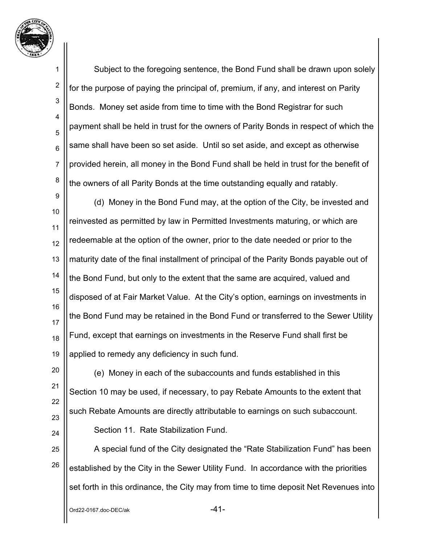

2

3

4

5

6

7

8

20

21

22

23

24

Subject to the foregoing sentence, the Bond Fund shall be drawn upon solely for the purpose of paying the principal of, premium, if any, and interest on Parity Bonds. Money set aside from time to time with the Bond Registrar for such payment shall be held in trust for the owners of Parity Bonds in respect of which the same shall have been so set aside. Until so set aside, and except as otherwise provided herein, all money in the Bond Fund shall be held in trust for the benefit of the owners of all Parity Bonds at the time outstanding equally and ratably.

9 10 11 12 13 14 15 16 17 18 19 (d) Money in the Bond Fund may, at the option of the City, be invested and reinvested as permitted by law in Permitted Investments maturing, or which are redeemable at the option of the owner, prior to the date needed or prior to the maturity date of the final installment of principal of the Parity Bonds payable out of the Bond Fund, but only to the extent that the same are acquired, valued and disposed of at Fair Market Value. At the City's option, earnings on investments in the Bond Fund may be retained in the Bond Fund or transferred to the Sewer Utility Fund, except that earnings on investments in the Reserve Fund shall first be applied to remedy any deficiency in such fund.

(e) Money in each of the subaccounts and funds established in this Section 10 may be used, if necessary, to pay Rebate Amounts to the extent that such Rebate Amounts are directly attributable to earnings on such subaccount. Section 11. Rate Stabilization Fund.

25 26 A special fund of the City designated the "Rate Stabilization Fund" has been established by the City in the Sewer Utility Fund. In accordance with the priorities set forth in this ordinance, the City may from time to time deposit Net Revenues into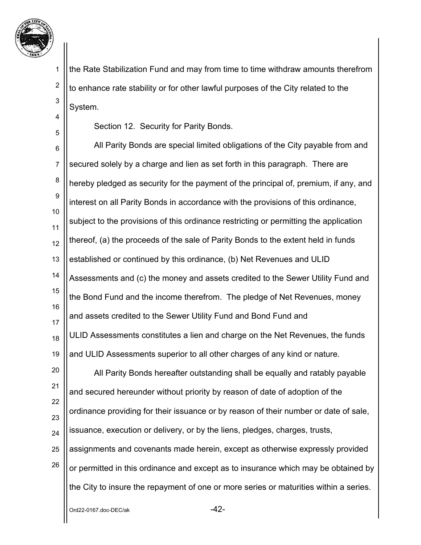

2

3

4

5

the Rate Stabilization Fund and may from time to time withdraw amounts therefrom to enhance rate stability or for other lawful purposes of the City related to the System.

Section 12. Security for Parity Bonds.

6 7 8 9 10 11 12 13 14 15 16 17 18 19 20 21 All Parity Bonds are special limited obligations of the City payable from and secured solely by a charge and lien as set forth in this paragraph. There are hereby pledged as security for the payment of the principal of, premium, if any, and interest on all Parity Bonds in accordance with the provisions of this ordinance, subject to the provisions of this ordinance restricting or permitting the application thereof, (a) the proceeds of the sale of Parity Bonds to the extent held in funds established or continued by this ordinance, (b) Net Revenues and ULID Assessments and (c) the money and assets credited to the Sewer Utility Fund and the Bond Fund and the income therefrom. The pledge of Net Revenues, money and assets credited to the Sewer Utility Fund and Bond Fund and ULID Assessments constitutes a lien and charge on the Net Revenues, the funds and ULID Assessments superior to all other charges of any kind or nature. All Parity Bonds hereafter outstanding shall be equally and ratably payable

22 23 24 25 26 and secured hereunder without priority by reason of date of adoption of the ordinance providing for their issuance or by reason of their number or date of sale, issuance, execution or delivery, or by the liens, pledges, charges, trusts, assignments and covenants made herein, except as otherwise expressly provided or permitted in this ordinance and except as to insurance which may be obtained by the City to insure the repayment of one or more series or maturities within a series.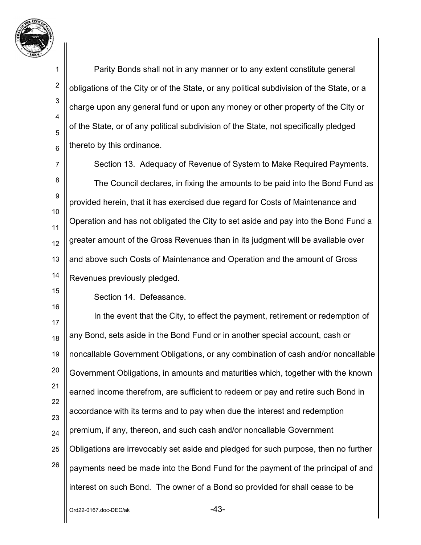

2

3

4

5

6

Parity Bonds shall not in any manner or to any extent constitute general obligations of the City or of the State, or any political subdivision of the State, or a charge upon any general fund or upon any money or other property of the City or of the State, or of any political subdivision of the State, not specifically pledged thereto by this ordinance.

7 8 9 10 11 12 13 14 Section 13. Adequacy of Revenue of System to Make Required Payments. The Council declares, in fixing the amounts to be paid into the Bond Fund as provided herein, that it has exercised due regard for Costs of Maintenance and Operation and has not obligated the City to set aside and pay into the Bond Fund a greater amount of the Gross Revenues than in its judgment will be available over and above such Costs of Maintenance and Operation and the amount of Gross Revenues previously pledged.

15 16

Section 14. Defeasance.

17 18 19 20 21 22 23 24 25 26 In the event that the City, to effect the payment, retirement or redemption of any Bond, sets aside in the Bond Fund or in another special account, cash or noncallable Government Obligations, or any combination of cash and/or noncallable Government Obligations, in amounts and maturities which, together with the known earned income therefrom, are sufficient to redeem or pay and retire such Bond in accordance with its terms and to pay when due the interest and redemption premium, if any, thereon, and such cash and/or noncallable Government Obligations are irrevocably set aside and pledged for such purpose, then no further payments need be made into the Bond Fund for the payment of the principal of and interest on such Bond. The owner of a Bond so provided for shall cease to be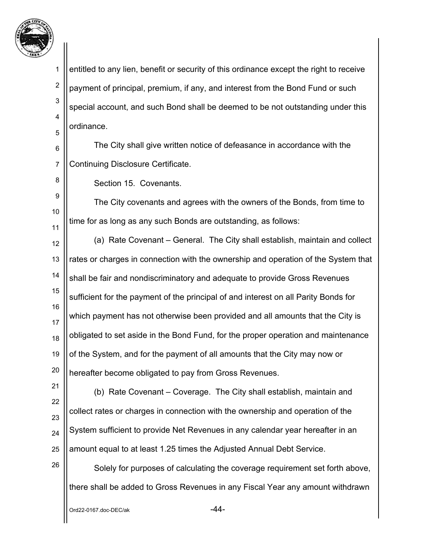

2

5

8

9

10

11

3 4 entitled to any lien, benefit or security of this ordinance except the right to receive payment of principal, premium, if any, and interest from the Bond Fund or such special account, and such Bond shall be deemed to be not outstanding under this ordinance.

6 7 The City shall give written notice of defeasance in accordance with the Continuing Disclosure Certificate.

Section 15. Covenants.

The City covenants and agrees with the owners of the Bonds, from time to time for as long as any such Bonds are outstanding, as follows:

12 13 14 15 16 17 18 19 20 (a) Rate Covenant – General. The City shall establish, maintain and collect rates or charges in connection with the ownership and operation of the System that shall be fair and nondiscriminatory and adequate to provide Gross Revenues sufficient for the payment of the principal of and interest on all Parity Bonds for which payment has not otherwise been provided and all amounts that the City is obligated to set aside in the Bond Fund, for the proper operation and maintenance of the System, and for the payment of all amounts that the City may now or hereafter become obligated to pay from Gross Revenues.

21 22 23

24

25

26

(b) Rate Covenant – Coverage. The City shall establish, maintain and collect rates or charges in connection with the ownership and operation of the System sufficient to provide Net Revenues in any calendar year hereafter in an amount equal to at least 1.25 times the Adjusted Annual Debt Service.

Solely for purposes of calculating the coverage requirement set forth above, there shall be added to Gross Revenues in any Fiscal Year any amount withdrawn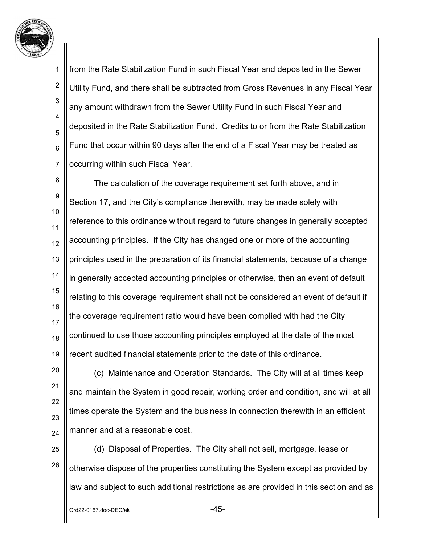

2

3

4

5

6

7

from the Rate Stabilization Fund in such Fiscal Year and deposited in the Sewer Utility Fund, and there shall be subtracted from Gross Revenues in any Fiscal Year any amount withdrawn from the Sewer Utility Fund in such Fiscal Year and deposited in the Rate Stabilization Fund. Credits to or from the Rate Stabilization Fund that occur within 90 days after the end of a Fiscal Year may be treated as occurring within such Fiscal Year.

8 9 10 11 12 13 14 15 16 17 18 19 The calculation of the coverage requirement set forth above, and in Section 17, and the City's compliance therewith, may be made solely with reference to this ordinance without regard to future changes in generally accepted accounting principles. If the City has changed one or more of the accounting principles used in the preparation of its financial statements, because of a change in generally accepted accounting principles or otherwise, then an event of default relating to this coverage requirement shall not be considered an event of default if the coverage requirement ratio would have been complied with had the City continued to use those accounting principles employed at the date of the most recent audited financial statements prior to the date of this ordinance.

20 21 22 23 24 (c) Maintenance and Operation Standards. The City will at all times keep and maintain the System in good repair, working order and condition, and will at all times operate the System and the business in connection therewith in an efficient manner and at a reasonable cost.

25 26 (d) Disposal of Properties. The City shall not sell, mortgage, lease or otherwise dispose of the properties constituting the System except as provided by law and subject to such additional restrictions as are provided in this section and as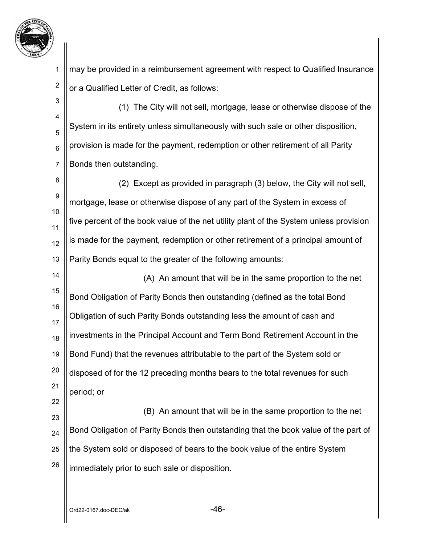

2 may be provided in a reimbursement agreement with respect to Qualified Insurance or a Qualified Letter of Credit, as follows:

3 4 5 6 7 (1) The City will not sell, mortgage, lease or otherwise dispose of the System in its entirety unless simultaneously with such sale or other disposition, provision is made for the payment, redemption or other retirement of all Parity Bonds then outstanding.

8 9 10 11 12 13 (2) Except as provided in paragraph (3) below, the City will not sell, mortgage, lease or otherwise dispose of any part of the System in excess of five percent of the book value of the net utility plant of the System unless provision is made for the payment, redemption or other retirement of a principal amount of Parity Bonds equal to the greater of the following amounts:

14 15 16 17 18 19 20 21 (A) An amount that will be in the same proportion to the net Bond Obligation of Parity Bonds then outstanding (defined as the total Bond Obligation of such Parity Bonds outstanding less the amount of cash and investments in the Principal Account and Term Bond Retirement Account in the Bond Fund) that the revenues attributable to the part of the System sold or disposed of for the 12 preceding months bears to the total revenues for such period; or

23 24 25 26 (B) An amount that will be in the same proportion to the net Bond Obligation of Parity Bonds then outstanding that the book value of the part of the System sold or disposed of bears to the book value of the entire System immediately prior to such sale or disposition.

 $Ord22-0167.$ doc-DE $C/ak$  -46-

22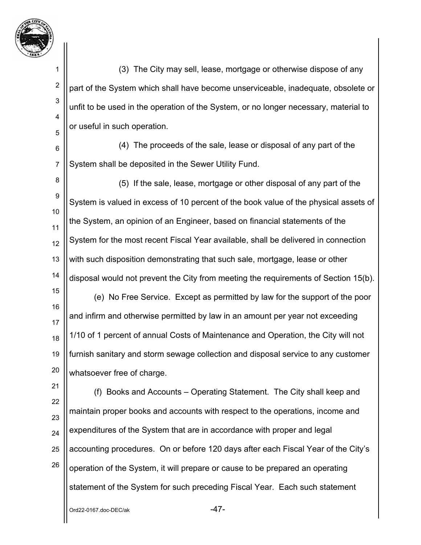

2

3

4

5

(3) The City may sell, lease, mortgage or otherwise dispose of any part of the System which shall have become unserviceable, inadequate, obsolete or unfit to be used in the operation of the System, or no longer necessary, material to or useful in such operation.

6 7 (4) The proceeds of the sale, lease or disposal of any part of the System shall be deposited in the Sewer Utility Fund.

8 9 10 11 12 13 14 (5) If the sale, lease, mortgage or other disposal of any part of the System is valued in excess of 10 percent of the book value of the physical assets of the System, an opinion of an Engineer, based on financial statements of the System for the most recent Fiscal Year available, shall be delivered in connection with such disposition demonstrating that such sale, mortgage, lease or other disposal would not prevent the City from meeting the requirements of Section 15(b).

15 16 17 18 19 20 (e) No Free Service. Except as permitted by law for the support of the poor and infirm and otherwise permitted by law in an amount per year not exceeding 1/10 of 1 percent of annual Costs of Maintenance and Operation, the City will not furnish sanitary and storm sewage collection and disposal service to any customer whatsoever free of charge.

21 22 23 24 25 26 (f) Books and Accounts – Operating Statement. The City shall keep and maintain proper books and accounts with respect to the operations, income and expenditures of the System that are in accordance with proper and legal accounting procedures. On or before 120 days after each Fiscal Year of the City's operation of the System, it will prepare or cause to be prepared an operating statement of the System for such preceding Fiscal Year. Each such statement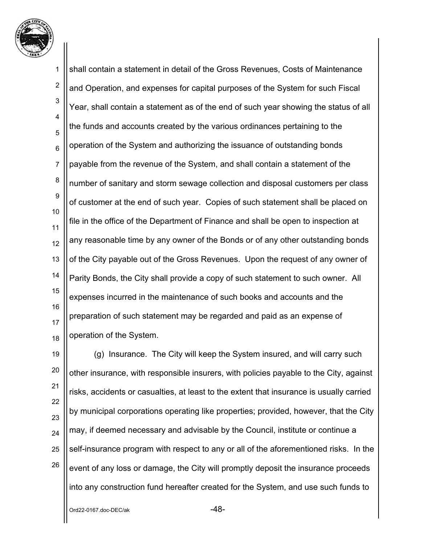

1 2 3 4 5 6 7 8 9 10 11 12 13 14 15 16 17 18 shall contain a statement in detail of the Gross Revenues, Costs of Maintenance and Operation, and expenses for capital purposes of the System for such Fiscal Year, shall contain a statement as of the end of such year showing the status of all the funds and accounts created by the various ordinances pertaining to the operation of the System and authorizing the issuance of outstanding bonds payable from the revenue of the System, and shall contain a statement of the number of sanitary and storm sewage collection and disposal customers per class of customer at the end of such year. Copies of such statement shall be placed on file in the office of the Department of Finance and shall be open to inspection at any reasonable time by any owner of the Bonds or of any other outstanding bonds of the City payable out of the Gross Revenues. Upon the request of any owner of Parity Bonds, the City shall provide a copy of such statement to such owner. All expenses incurred in the maintenance of such books and accounts and the preparation of such statement may be regarded and paid as an expense of operation of the System.

19 20 21 22 23 24 25 26 (g) Insurance. The City will keep the System insured, and will carry such other insurance, with responsible insurers, with policies payable to the City, against risks, accidents or casualties, at least to the extent that insurance is usually carried by municipal corporations operating like properties; provided, however, that the City may, if deemed necessary and advisable by the Council, institute or continue a self-insurance program with respect to any or all of the aforementioned risks. In the event of any loss or damage, the City will promptly deposit the insurance proceeds into any construction fund hereafter created for the System, and use such funds to

 $Ord22-0167.$ doc-DEC/ak  $-48-$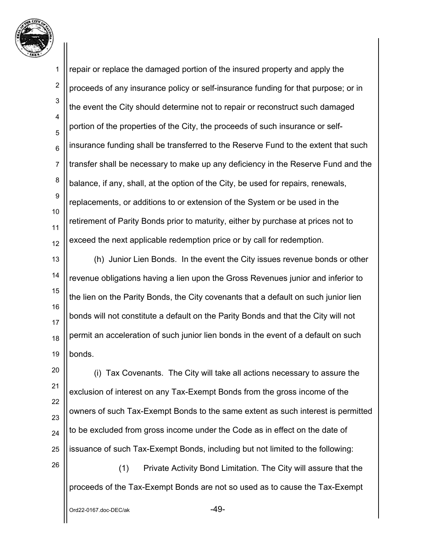

1 2 3 4 5 6 7 8 9 10 11 12 repair or replace the damaged portion of the insured property and apply the proceeds of any insurance policy or self-insurance funding for that purpose; or in the event the City should determine not to repair or reconstruct such damaged portion of the properties of the City, the proceeds of such insurance or selfinsurance funding shall be transferred to the Reserve Fund to the extent that such transfer shall be necessary to make up any deficiency in the Reserve Fund and the balance, if any, shall, at the option of the City, be used for repairs, renewals, replacements, or additions to or extension of the System or be used in the retirement of Parity Bonds prior to maturity, either by purchase at prices not to exceed the next applicable redemption price or by call for redemption.

13 14 15 16 17 18 19 (h) Junior Lien Bonds. In the event the City issues revenue bonds or other revenue obligations having a lien upon the Gross Revenues junior and inferior to the lien on the Parity Bonds, the City covenants that a default on such junior lien bonds will not constitute a default on the Parity Bonds and that the City will not permit an acceleration of such junior lien bonds in the event of a default on such bonds.

20 21 22 23 24 25 (i) Tax Covenants. The City will take all actions necessary to assure the exclusion of interest on any Tax-Exempt Bonds from the gross income of the owners of such Tax-Exempt Bonds to the same extent as such interest is permitted to be excluded from gross income under the Code as in effect on the date of issuance of such Tax-Exempt Bonds, including but not limited to the following:

(1) Private Activity Bond Limitation. The City will assure that the proceeds of the Tax-Exempt Bonds are not so used as to cause the Tax-Exempt

26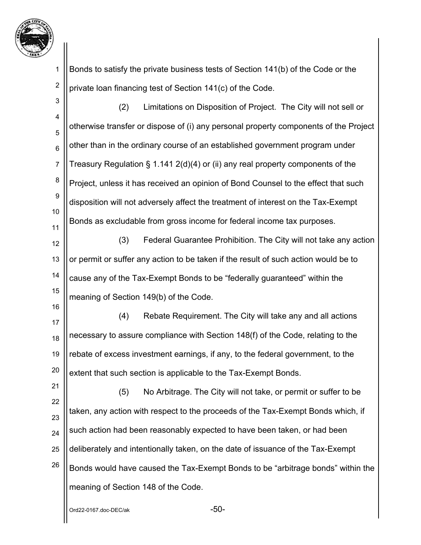

1 2 Bonds to satisfy the private business tests of Section 141(b) of the Code or the private loan financing test of Section 141(c) of the Code.

| 3                | (2)<br>Limitations on Disposition of Project. The City will not sell or              |
|------------------|--------------------------------------------------------------------------------------|
| 4                | otherwise transfer or dispose of (i) any personal property components of the Project |
| 5                |                                                                                      |
| $6\phantom{1}6$  | other than in the ordinary course of an established government program under         |
| $\overline{7}$   | Treasury Regulation $\S 1.141 2(d)(4)$ or (ii) any real property components of the   |
| 8                | Project, unless it has received an opinion of Bond Counsel to the effect that such   |
| $\boldsymbol{9}$ | disposition will not adversely affect the treatment of interest on the Tax-Exempt    |
| 10               | Bonds as excludable from gross income for federal income tax purposes.               |
| 11<br>12         | Federal Guarantee Prohibition. The City will not take any action<br>(3)              |
|                  |                                                                                      |
| 13               | or permit or suffer any action to be taken if the result of such action would be to  |
| 14               | cause any of the Tax-Exempt Bonds to be "federally guaranteed" within the            |
| 15               | meaning of Section 149(b) of the Code.                                               |
| 16<br>17         | (4)<br>Rebate Requirement. The City will take any and all actions                    |
| 18               | necessary to assure compliance with Section 148(f) of the Code, relating to the      |
| 19               | rebate of excess investment earnings, if any, to the federal government, to the      |
| 20               | extent that such section is applicable to the Tax-Exempt Bonds.                      |
| 21               | No Arbitrage. The City will not take, or permit or suffer to be<br>(5)               |
| 22               | taken, any action with respect to the proceeds of the Tax-Exempt Bonds which, if     |
| 23               |                                                                                      |
| 24               | such action had been reasonably expected to have been taken, or had been             |
| 25               | deliberately and intentionally taken, on the date of issuance of the Tax-Exempt      |
| 26               | Bonds would have caused the Tax-Exempt Bonds to be "arbitrage bonds" within the      |
|                  | meaning of Section 148 of the Code.                                                  |

 $\overline{\phantom{0}}$ Ord22-0167.doc-DEC/ak  $\overline{\phantom{0}}$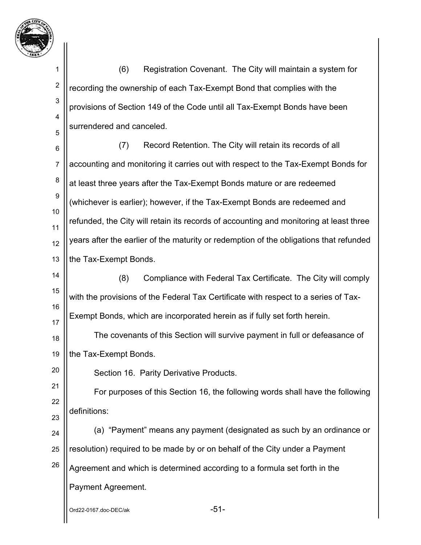

2

3

4

5

20

(6) Registration Covenant. The City will maintain a system for recording the ownership of each Tax-Exempt Bond that complies with the provisions of Section 149 of the Code until all Tax-Exempt Bonds have been surrendered and canceled.

6 7 8 9 10 11 12 13 (7) Record Retention. The City will retain its records of all accounting and monitoring it carries out with respect to the Tax-Exempt Bonds for at least three years after the Tax-Exempt Bonds mature or are redeemed (whichever is earlier); however, if the Tax-Exempt Bonds are redeemed and refunded, the City will retain its records of accounting and monitoring at least three years after the earlier of the maturity or redemption of the obligations that refunded the Tax-Exempt Bonds.

14 15 16 17 (8) Compliance with Federal Tax Certificate. The City will comply with the provisions of the Federal Tax Certificate with respect to a series of Tax-Exempt Bonds, which are incorporated herein as if fully set forth herein.

18 19 The covenants of this Section will survive payment in full or defeasance of the Tax-Exempt Bonds.

Section 16. Parity Derivative Products.

21 22 23 For purposes of this Section 16, the following words shall have the following definitions:

24 25 26 (a) "Payment" means any payment (designated as such by an ordinance or resolution) required to be made by or on behalf of the City under a Payment Agreement and which is determined according to a formula set forth in the Payment Agreement.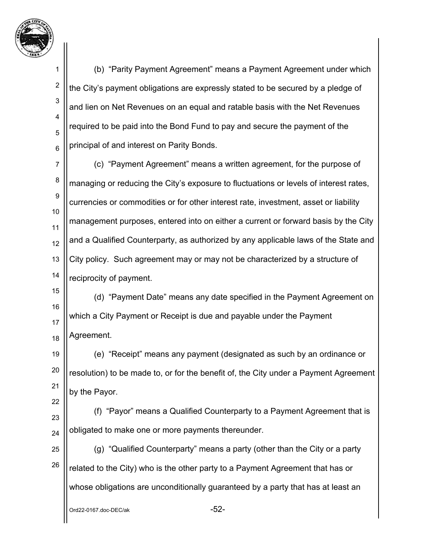

2

3

4

5

6

22

(b) "Parity Payment Agreement" means a Payment Agreement under which the City's payment obligations are expressly stated to be secured by a pledge of and lien on Net Revenues on an equal and ratable basis with the Net Revenues required to be paid into the Bond Fund to pay and secure the payment of the principal of and interest on Parity Bonds.

7 8 9 10 11 12 13 14 (c) "Payment Agreement" means a written agreement, for the purpose of managing or reducing the City's exposure to fluctuations or levels of interest rates, currencies or commodities or for other interest rate, investment, asset or liability management purposes, entered into on either a current or forward basis by the City and a Qualified Counterparty, as authorized by any applicable laws of the State and City policy. Such agreement may or may not be characterized by a structure of reciprocity of payment.

15 16 17 18 (d) "Payment Date" means any date specified in the Payment Agreement on which a City Payment or Receipt is due and payable under the Payment Agreement.

19 20 21 (e) "Receipt" means any payment (designated as such by an ordinance or resolution) to be made to, or for the benefit of, the City under a Payment Agreement by the Payor.

23 24 (f) "Payor" means a Qualified Counterparty to a Payment Agreement that is obligated to make one or more payments thereunder.

25 26 (g) "Qualified Counterparty" means a party (other than the City or a party related to the City) who is the other party to a Payment Agreement that has or whose obligations are unconditionally guaranteed by a party that has at least an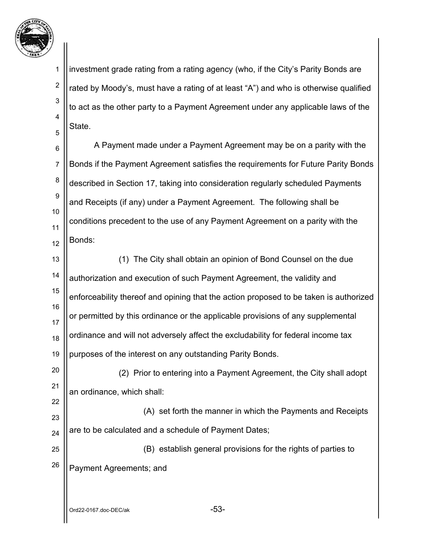

2

3

5

22

4 investment grade rating from a rating agency (who, if the City's Parity Bonds are rated by Moody's, must have a rating of at least "A") and who is otherwise qualified to act as the other party to a Payment Agreement under any applicable laws of the State.

6 7 8 9 10 11 12 A Payment made under a Payment Agreement may be on a parity with the Bonds if the Payment Agreement satisfies the requirements for Future Parity Bonds described in Section 17, taking into consideration regularly scheduled Payments and Receipts (if any) under a Payment Agreement. The following shall be conditions precedent to the use of any Payment Agreement on a parity with the Bonds:

13 14 15 16 17 18 19 (1) The City shall obtain an opinion of Bond Counsel on the due authorization and execution of such Payment Agreement, the validity and enforceability thereof and opining that the action proposed to be taken is authorized or permitted by this ordinance or the applicable provisions of any supplemental ordinance and will not adversely affect the excludability for federal income tax purposes of the interest on any outstanding Parity Bonds.

20 21 (2) Prior to entering into a Payment Agreement, the City shall adopt an ordinance, which shall:

23 24 (A) set forth the manner in which the Payments and Receipts are to be calculated and a schedule of Payment Dates;

25 26 (B) establish general provisions for the rights of parties to Payment Agreements; and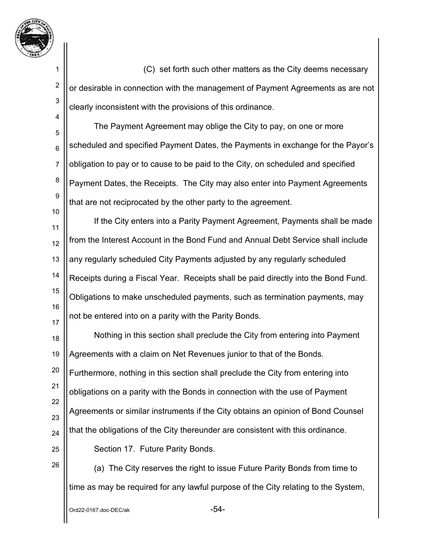

1 2 3 4 5 6 7 8 9 10 11 12 13 14 15 16 17 18 19 20 21 22 23 24 25 26 (C) set forth such other matters as the City deems necessary or desirable in connection with the management of Payment Agreements as are not clearly inconsistent with the provisions of this ordinance. The Payment Agreement may oblige the City to pay, on one or more scheduled and specified Payment Dates, the Payments in exchange for the Payor's obligation to pay or to cause to be paid to the City, on scheduled and specified Payment Dates, the Receipts. The City may also enter into Payment Agreements that are not reciprocated by the other party to the agreement. If the City enters into a Parity Payment Agreement, Payments shall be made from the Interest Account in the Bond Fund and Annual Debt Service shall include any regularly scheduled City Payments adjusted by any regularly scheduled Receipts during a Fiscal Year. Receipts shall be paid directly into the Bond Fund. Obligations to make unscheduled payments, such as termination payments, may not be entered into on a parity with the Parity Bonds. Nothing in this section shall preclude the City from entering into Payment Agreements with a claim on Net Revenues junior to that of the Bonds. Furthermore, nothing in this section shall preclude the City from entering into obligations on a parity with the Bonds in connection with the use of Payment Agreements or similar instruments if the City obtains an opinion of Bond Counsel that the obligations of the City thereunder are consistent with this ordinance. Section 17. Future Parity Bonds. (a) The City reserves the right to issue Future Parity Bonds from time to time as may be required for any lawful purpose of the City relating to the System,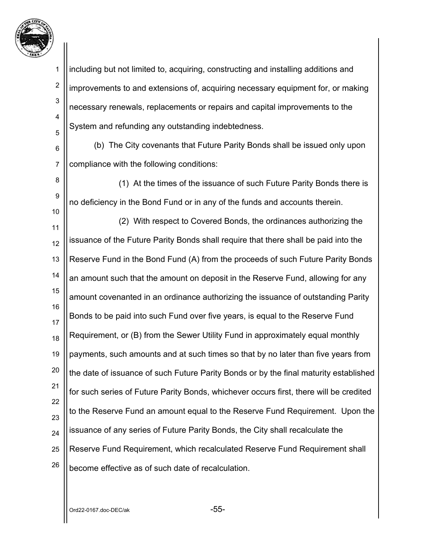

2

3

4

5

8

9

10

including but not limited to, acquiring, constructing and installing additions and improvements to and extensions of, acquiring necessary equipment for, or making necessary renewals, replacements or repairs and capital improvements to the System and refunding any outstanding indebtedness.

6 7 (b) The City covenants that Future Parity Bonds shall be issued only upon compliance with the following conditions:

 (1) At the times of the issuance of such Future Parity Bonds there is no deficiency in the Bond Fund or in any of the funds and accounts therein.

11 12 13 14 15 16 17 18 19 20 21 22 23 24 25 26 (2) With respect to Covered Bonds, the ordinances authorizing the issuance of the Future Parity Bonds shall require that there shall be paid into the Reserve Fund in the Bond Fund (A) from the proceeds of such Future Parity Bonds an amount such that the amount on deposit in the Reserve Fund, allowing for any amount covenanted in an ordinance authorizing the issuance of outstanding Parity Bonds to be paid into such Fund over five years, is equal to the Reserve Fund Requirement, or (B) from the Sewer Utility Fund in approximately equal monthly payments, such amounts and at such times so that by no later than five years from the date of issuance of such Future Parity Bonds or by the final maturity established for such series of Future Parity Bonds, whichever occurs first, there will be credited to the Reserve Fund an amount equal to the Reserve Fund Requirement. Upon the issuance of any series of Future Parity Bonds, the City shall recalculate the Reserve Fund Requirement, which recalculated Reserve Fund Requirement shall become effective as of such date of recalculation.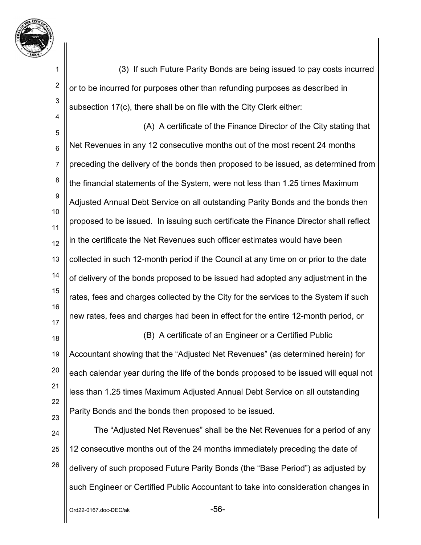

2

3

4

(3) If such Future Parity Bonds are being issued to pay costs incurred or to be incurred for purposes other than refunding purposes as described in subsection 17(c), there shall be on file with the City Clerk either:

5 6 7 8 9 10 11 12 13 14 15 16 17 (A) A certificate of the Finance Director of the City stating that Net Revenues in any 12 consecutive months out of the most recent 24 months preceding the delivery of the bonds then proposed to be issued, as determined from the financial statements of the System, were not less than 1.25 times Maximum Adjusted Annual Debt Service on all outstanding Parity Bonds and the bonds then proposed to be issued. In issuing such certificate the Finance Director shall reflect in the certificate the Net Revenues such officer estimates would have been collected in such 12-month period if the Council at any time on or prior to the date of delivery of the bonds proposed to be issued had adopted any adjustment in the rates, fees and charges collected by the City for the services to the System if such new rates, fees and charges had been in effect for the entire 12-month period, or

18 19 20 21 22 23 (B) A certificate of an Engineer or a Certified Public Accountant showing that the "Adjusted Net Revenues" (as determined herein) for each calendar year during the life of the bonds proposed to be issued will equal not less than 1.25 times Maximum Adjusted Annual Debt Service on all outstanding Parity Bonds and the bonds then proposed to be issued.

24 25 26 The "Adjusted Net Revenues" shall be the Net Revenues for a period of any 12 consecutive months out of the 24 months immediately preceding the date of delivery of such proposed Future Parity Bonds (the "Base Period") as adjusted by such Engineer or Certified Public Accountant to take into consideration changes in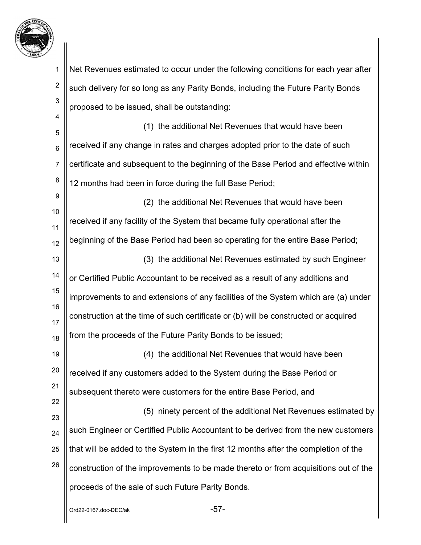

 $Ord22-0167.$ doc-DE $C/ak$ 1 2 3 4 5 6 7 8 9 10 11 12 13 14 15 16 17 18 19 20 21 22 23 24 25 26 Net Revenues estimated to occur under the following conditions for each year after such delivery for so long as any Parity Bonds, including the Future Parity Bonds proposed to be issued, shall be outstanding: (1) the additional Net Revenues that would have been received if any change in rates and charges adopted prior to the date of such certificate and subsequent to the beginning of the Base Period and effective within 12 months had been in force during the full Base Period; (2) the additional Net Revenues that would have been received if any facility of the System that became fully operational after the beginning of the Base Period had been so operating for the entire Base Period; (3) the additional Net Revenues estimated by such Engineer or Certified Public Accountant to be received as a result of any additions and improvements to and extensions of any facilities of the System which are (a) under construction at the time of such certificate or (b) will be constructed or acquired from the proceeds of the Future Parity Bonds to be issued; (4) the additional Net Revenues that would have been received if any customers added to the System during the Base Period or subsequent thereto were customers for the entire Base Period, and (5) ninety percent of the additional Net Revenues estimated by such Engineer or Certified Public Accountant to be derived from the new customers that will be added to the System in the first 12 months after the completion of the construction of the improvements to be made thereto or from acquisitions out of the proceeds of the sale of such Future Parity Bonds.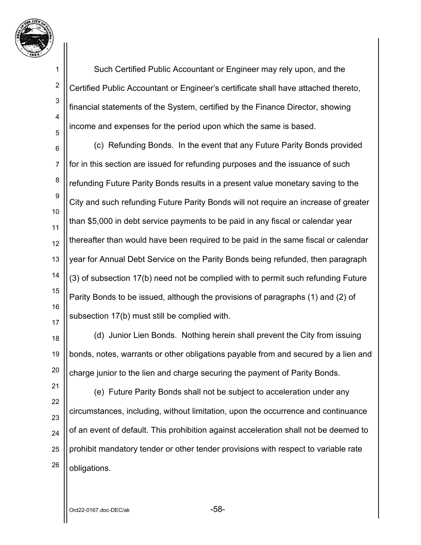

2

3

4

5

Such Certified Public Accountant or Engineer may rely upon, and the Certified Public Accountant or Engineer's certificate shall have attached thereto, financial statements of the System, certified by the Finance Director, showing income and expenses for the period upon which the same is based.

6 7 8 9 10 11 12 13 14 15 16 17 (c) Refunding Bonds. In the event that any Future Parity Bonds provided for in this section are issued for refunding purposes and the issuance of such refunding Future Parity Bonds results in a present value monetary saving to the City and such refunding Future Parity Bonds will not require an increase of greater than \$5,000 in debt service payments to be paid in any fiscal or calendar year thereafter than would have been required to be paid in the same fiscal or calendar year for Annual Debt Service on the Parity Bonds being refunded, then paragraph (3) of subsection 17(b) need not be complied with to permit such refunding Future Parity Bonds to be issued, although the provisions of paragraphs (1) and (2) of subsection 17(b) must still be complied with.

18 19 20 (d) Junior Lien Bonds. Nothing herein shall prevent the City from issuing bonds, notes, warrants or other obligations payable from and secured by a lien and charge junior to the lien and charge securing the payment of Parity Bonds.

26

(e) Future Parity Bonds shall not be subject to acceleration under any circumstances, including, without limitation, upon the occurrence and continuance of an event of default. This prohibition against acceleration shall not be deemed to prohibit mandatory tender or other tender provisions with respect to variable rate obligations.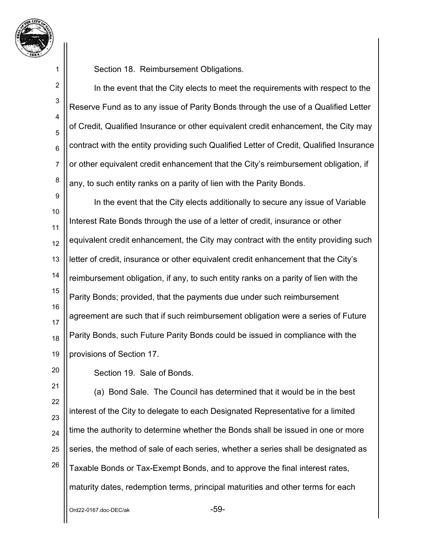

2

3

4

5

6

7

8

Section 18. Reimbursement Obligations.

In the event that the City elects to meet the requirements with respect to the Reserve Fund as to any issue of Parity Bonds through the use of a Qualified Letter of Credit, Qualified Insurance or other equivalent credit enhancement, the City may contract with the entity providing such Qualified Letter of Credit, Qualified Insurance or other equivalent credit enhancement that the City's reimbursement obligation, if any, to such entity ranks on a parity of lien with the Parity Bonds.

9 10 11 12 13 14 15 16 17 18 19 In the event that the City elects additionally to secure any issue of Variable Interest Rate Bonds through the use of a letter of credit, insurance or other equivalent credit enhancement, the City may contract with the entity providing such letter of credit, insurance or other equivalent credit enhancement that the City's reimbursement obligation, if any, to such entity ranks on a parity of lien with the Parity Bonds; provided, that the payments due under such reimbursement agreement are such that if such reimbursement obligation were a series of Future Parity Bonds, such Future Parity Bonds could be issued in compliance with the provisions of Section 17.

20

Section 19. Sale of Bonds.

21 22 23 24 25 26 (a) Bond Sale. The Council has determined that it would be in the best interest of the City to delegate to each Designated Representative for a limited time the authority to determine whether the Bonds shall be issued in one or more series, the method of sale of each series, whether a series shall be designated as Taxable Bonds or Tax-Exempt Bonds, and to approve the final interest rates, maturity dates, redemption terms, principal maturities and other terms for each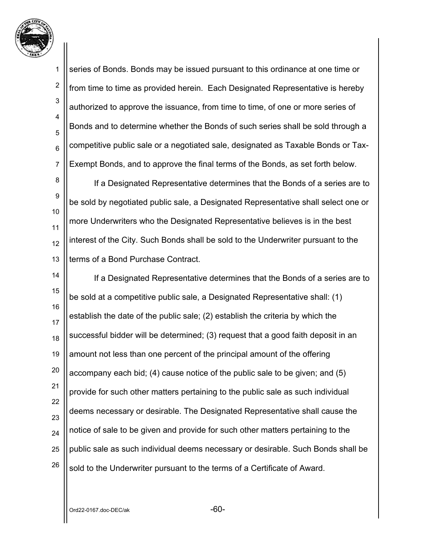

2

3

6

4 5 7 series of Bonds. Bonds may be issued pursuant to this ordinance at one time or from time to time as provided herein. Each Designated Representative is hereby authorized to approve the issuance, from time to time, of one or more series of Bonds and to determine whether the Bonds of such series shall be sold through a competitive public sale or a negotiated sale, designated as Taxable Bonds or Tax-Exempt Bonds, and to approve the final terms of the Bonds, as set forth below.

8 9 10 11 12 13 If a Designated Representative determines that the Bonds of a series are to be sold by negotiated public sale, a Designated Representative shall select one or more Underwriters who the Designated Representative believes is in the best interest of the City. Such Bonds shall be sold to the Underwriter pursuant to the terms of a Bond Purchase Contract.

14 15 16 17 18 19 20 21 22 23 24 25 26 If a Designated Representative determines that the Bonds of a series are to be sold at a competitive public sale, a Designated Representative shall: (1) establish the date of the public sale; (2) establish the criteria by which the successful bidder will be determined; (3) request that a good faith deposit in an amount not less than one percent of the principal amount of the offering accompany each bid; (4) cause notice of the public sale to be given; and (5) provide for such other matters pertaining to the public sale as such individual deems necessary or desirable. The Designated Representative shall cause the notice of sale to be given and provide for such other matters pertaining to the public sale as such individual deems necessary or desirable. Such Bonds shall be sold to the Underwriter pursuant to the terms of a Certificate of Award.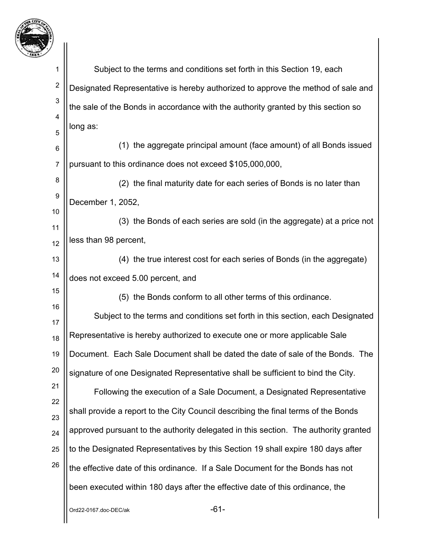

| -1                  |                                                                                     |
|---------------------|-------------------------------------------------------------------------------------|
| 1                   | Subject to the terms and conditions set forth in this Section 19, each              |
| $\overline{c}$      | Designated Representative is hereby authorized to approve the method of sale and    |
| 3                   | the sale of the Bonds in accordance with the authority granted by this section so   |
| 4                   | long as:                                                                            |
| 5                   | (1) the aggregate principal amount (face amount) of all Bonds issued                |
| 6<br>$\overline{7}$ | pursuant to this ordinance does not exceed \$105,000,000,                           |
| 8                   |                                                                                     |
| 9                   | (2) the final maturity date for each series of Bonds is no later than               |
| 10                  | December 1, 2052,                                                                   |
| 11                  | (3) the Bonds of each series are sold (in the aggregate) at a price not             |
| 12                  | less than 98 percent,                                                               |
| 13                  | (4) the true interest cost for each series of Bonds (in the aggregate)              |
| 14                  | does not exceed 5.00 percent, and                                                   |
| 15                  | (5) the Bonds conform to all other terms of this ordinance.                         |
| 16<br>17            | Subject to the terms and conditions set forth in this section, each Designated      |
| 18                  | Representative is hereby authorized to execute one or more applicable Sale          |
| 19                  | Document. Each Sale Document shall be dated the date of sale of the Bonds. The      |
| 20                  | signature of one Designated Representative shall be sufficient to bind the City.    |
| 21                  | Following the execution of a Sale Document, a Designated Representative             |
| 22                  | shall provide a report to the City Council describing the final terms of the Bonds  |
| 23                  | approved pursuant to the authority delegated in this section. The authority granted |
| 24                  | to the Designated Representatives by this Section 19 shall expire 180 days after    |
| 25<br>26            |                                                                                     |
|                     | the effective date of this ordinance. If a Sale Document for the Bonds has not      |
|                     | been executed within 180 days after the effective date of this ordinance, the       |
|                     | $-61-$<br>Ord22-0167.doc-DEC/ak                                                     |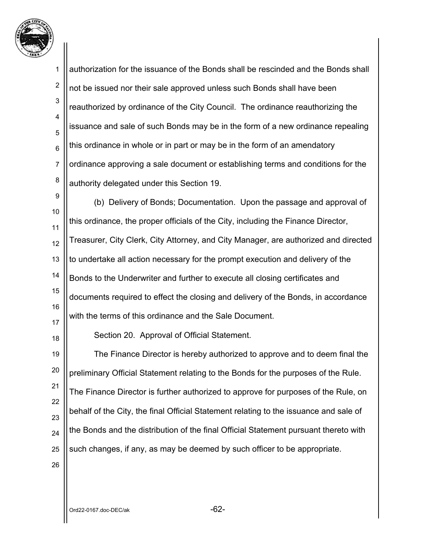

1 2 3 4 5 6 7 8 9 10 11 12 13 14 15 16 17 18 19 20 21 22 23 24 authorization for the issuance of the Bonds shall be rescinded and the Bonds shall not be issued nor their sale approved unless such Bonds shall have been reauthorized by ordinance of the City Council. The ordinance reauthorizing the issuance and sale of such Bonds may be in the form of a new ordinance repealing this ordinance in whole or in part or may be in the form of an amendatory ordinance approving a sale document or establishing terms and conditions for the authority delegated under this Section 19. (b) Delivery of Bonds; Documentation. Upon the passage and approval of this ordinance, the proper officials of the City, including the Finance Director, Treasurer, City Clerk, City Attorney, and City Manager, are authorized and directed to undertake all action necessary for the prompt execution and delivery of the Bonds to the Underwriter and further to execute all closing certificates and documents required to effect the closing and delivery of the Bonds, in accordance with the terms of this ordinance and the Sale Document. Section 20. Approval of Official Statement. The Finance Director is hereby authorized to approve and to deem final the preliminary Official Statement relating to the Bonds for the purposes of the Rule. The Finance Director is further authorized to approve for purposes of the Rule, on behalf of the City, the final Official Statement relating to the issuance and sale of the Bonds and the distribution of the final Official Statement pursuant thereto with

25 26

such changes, if any, as may be deemed by such officer to be appropriate.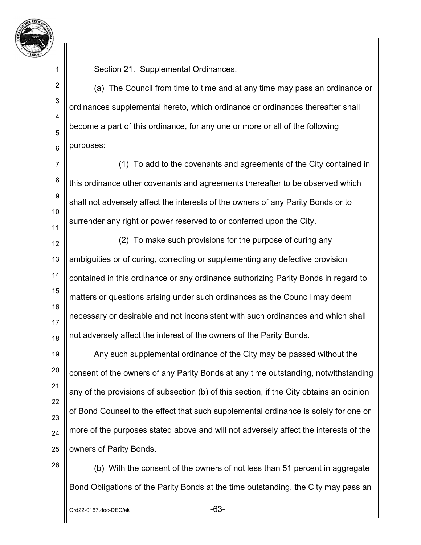

2

3

4

5

6

Section 21. Supplemental Ordinances.

(a) The Council from time to time and at any time may pass an ordinance or ordinances supplemental hereto, which ordinance or ordinances thereafter shall become a part of this ordinance, for any one or more or all of the following purposes:

7 8 9 10 11 (1) To add to the covenants and agreements of the City contained in this ordinance other covenants and agreements thereafter to be observed which shall not adversely affect the interests of the owners of any Parity Bonds or to surrender any right or power reserved to or conferred upon the City.

12 13 14 15 16 17 18 (2) To make such provisions for the purpose of curing any ambiguities or of curing, correcting or supplementing any defective provision contained in this ordinance or any ordinance authorizing Parity Bonds in regard to matters or questions arising under such ordinances as the Council may deem necessary or desirable and not inconsistent with such ordinances and which shall not adversely affect the interest of the owners of the Parity Bonds.

19 20 21 22 23 24 25 Any such supplemental ordinance of the City may be passed without the consent of the owners of any Parity Bonds at any time outstanding, notwithstanding any of the provisions of subsection (b) of this section, if the City obtains an opinion of Bond Counsel to the effect that such supplemental ordinance is solely for one or more of the purposes stated above and will not adversely affect the interests of the owners of Parity Bonds.

26

(b) With the consent of the owners of not less than 51 percent in aggregate Bond Obligations of the Parity Bonds at the time outstanding, the City may pass an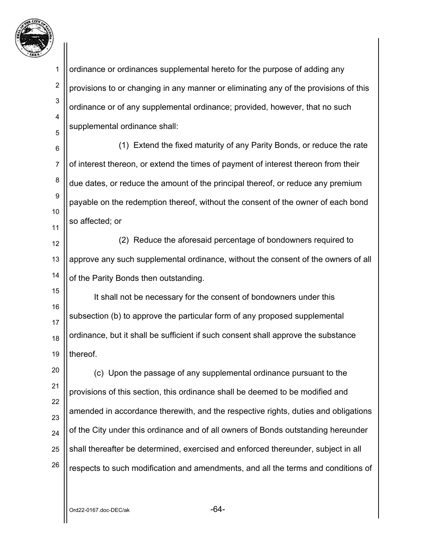

1 2 3 4 5 ordinance or ordinances supplemental hereto for the purpose of adding any provisions to or changing in any manner or eliminating any of the provisions of this ordinance or of any supplemental ordinance; provided, however, that no such supplemental ordinance shall:

6 7 8 9 10 11 (1) Extend the fixed maturity of any Parity Bonds, or reduce the rate of interest thereon, or extend the times of payment of interest thereon from their due dates, or reduce the amount of the principal thereof, or reduce any premium payable on the redemption thereof, without the consent of the owner of each bond so affected; or

12 13 14 (2) Reduce the aforesaid percentage of bondowners required to approve any such supplemental ordinance, without the consent of the owners of all of the Parity Bonds then outstanding.

15 16 17 18 19 It shall not be necessary for the consent of bondowners under this subsection (b) to approve the particular form of any proposed supplemental ordinance, but it shall be sufficient if such consent shall approve the substance thereof.

20 21 22 23 24 25 26 (c) Upon the passage of any supplemental ordinance pursuant to the provisions of this section, this ordinance shall be deemed to be modified and amended in accordance therewith, and the respective rights, duties and obligations of the City under this ordinance and of all owners of Bonds outstanding hereunder shall thereafter be determined, exercised and enforced thereunder, subject in all respects to such modification and amendments, and all the terms and conditions of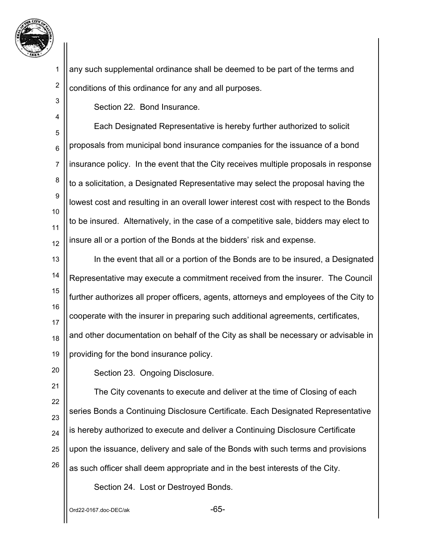

4

1 2 any such supplemental ordinance shall be deemed to be part of the terms and conditions of this ordinance for any and all purposes.

Section 22. Bond Insurance.

5 6 7 8 9 10 11 12 Each Designated Representative is hereby further authorized to solicit proposals from municipal bond insurance companies for the issuance of a bond insurance policy. In the event that the City receives multiple proposals in response to a solicitation, a Designated Representative may select the proposal having the lowest cost and resulting in an overall lower interest cost with respect to the Bonds to be insured. Alternatively, in the case of a competitive sale, bidders may elect to insure all or a portion of the Bonds at the bidders' risk and expense.

13 14 15 16 17 18 19 In the event that all or a portion of the Bonds are to be insured, a Designated Representative may execute a commitment received from the insurer. The Council further authorizes all proper officers, agents, attorneys and employees of the City to cooperate with the insurer in preparing such additional agreements, certificates, and other documentation on behalf of the City as shall be necessary or advisable in providing for the bond insurance policy.

20

Section 23. Ongoing Disclosure.

21 22 23 24 25 26 The City covenants to execute and deliver at the time of Closing of each series Bonds a Continuing Disclosure Certificate. Each Designated Representative is hereby authorized to execute and deliver a Continuing Disclosure Certificate upon the issuance, delivery and sale of the Bonds with such terms and provisions as such officer shall deem appropriate and in the best interests of the City.

Section 24. Lost or Destroyed Bonds.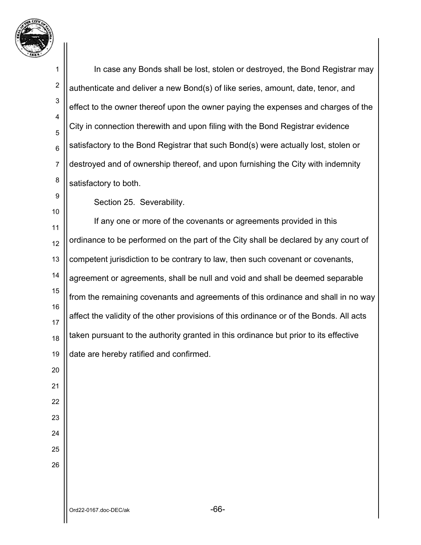

 $O$ rd22-0167.doc-DEC/ak  $-66$ - In case any Bonds shall be lost, stolen or destroyed, the Bond Registrar may authenticate and deliver a new Bond(s) of like series, amount, date, tenor, and effect to the owner thereof upon the owner paying the expenses and charges of the City in connection therewith and upon filing with the Bond Registrar evidence satisfactory to the Bond Registrar that such Bond(s) were actually lost, stolen or destroyed and of ownership thereof, and upon furnishing the City with indemnity satisfactory to both. Section 25. Severability. If any one or more of the covenants or agreements provided in this ordinance to be performed on the part of the City shall be declared by any court of competent jurisdiction to be contrary to law, then such covenant or covenants, agreement or agreements, shall be null and void and shall be deemed separable from the remaining covenants and agreements of this ordinance and shall in no way affect the validity of the other provisions of this ordinance or of the Bonds. All acts taken pursuant to the authority granted in this ordinance but prior to its effective date are hereby ratified and confirmed.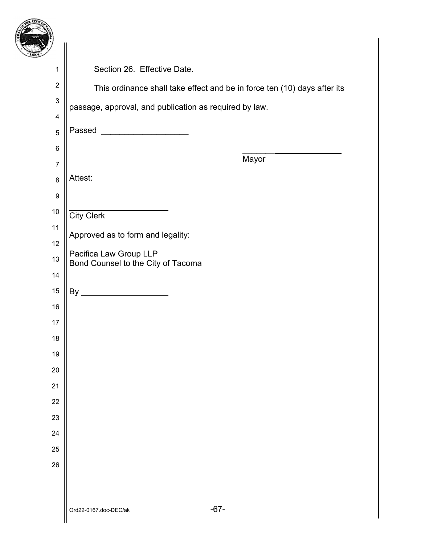| 7                         |                                                                          |
|---------------------------|--------------------------------------------------------------------------|
| $\mathbf 1$               | Section 26. Effective Date.                                              |
| $\boldsymbol{2}$          | This ordinance shall take effect and be in force ten (10) days after its |
| $\ensuremath{\mathsf{3}}$ | passage, approval, and publication as required by law.                   |
| 4                         |                                                                          |
| $\sqrt{5}$                | Passed ________________________                                          |
| 6                         | Mayor                                                                    |
| $\overline{7}$            |                                                                          |
| 8                         | Attest:                                                                  |
| 9                         |                                                                          |
| $10$                      | <b>City Clerk</b>                                                        |
| 11                        | Approved as to form and legality:                                        |
| 12                        | Pacifica Law Group LLP                                                   |
| 13                        | Bond Counsel to the City of Tacoma                                       |
| 14                        |                                                                          |
| 15                        |                                                                          |
| 16                        |                                                                          |
| 17                        |                                                                          |
| 18                        |                                                                          |
| 19                        |                                                                          |
| 20<br>21                  |                                                                          |
| 22                        |                                                                          |
| 23                        |                                                                          |
| 24                        |                                                                          |
| 25                        |                                                                          |
| 26                        |                                                                          |
|                           |                                                                          |
|                           |                                                                          |
|                           |                                                                          |

 $\mathsf{I}$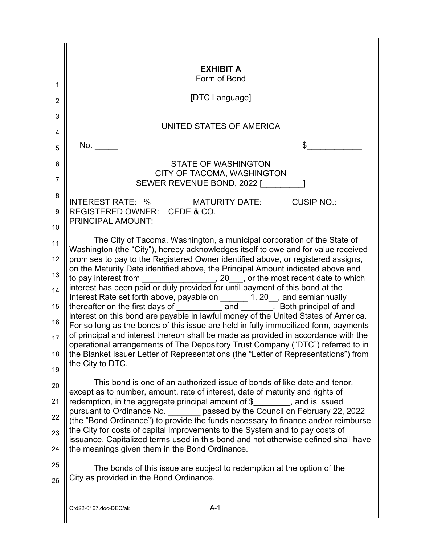|                | <b>EXHIBIT A</b><br>Form of Bond                                                                                                                                                                                                                     |
|----------------|------------------------------------------------------------------------------------------------------------------------------------------------------------------------------------------------------------------------------------------------------|
| 1              |                                                                                                                                                                                                                                                      |
| $\overline{2}$ | [DTC Language]                                                                                                                                                                                                                                       |
| 3              | UNITED STATES OF AMERICA                                                                                                                                                                                                                             |
| 4              |                                                                                                                                                                                                                                                      |
| 5              | No.<br>\$                                                                                                                                                                                                                                            |
| 6              | <b>STATE OF WASHINGTON</b><br>CITY OF TACOMA, WASHINGTON                                                                                                                                                                                             |
| $\overline{7}$ | SEWER REVENUE BOND, 2022 [                                                                                                                                                                                                                           |
| 8              | INTEREST RATE: %<br><b>CUSIP NO.:</b><br><b>MATURITY DATE:</b>                                                                                                                                                                                       |
| 9              | REGISTERED OWNER: CEDE & CO.<br>PRINCIPAL AMOUNT:                                                                                                                                                                                                    |
| 10             |                                                                                                                                                                                                                                                      |
| 11             | The City of Tacoma, Washington, a municipal corporation of the State of<br>Washington (the "City"), hereby acknowledges itself to owe and for value received                                                                                         |
| 12             | promises to pay to the Registered Owner identified above, or registered assigns,                                                                                                                                                                     |
| 13             | on the Maturity Date identified above, the Principal Amount indicated above and<br>to pay interest from __________________, 20___, or the most recent date to which<br>interest has been paid or duly provided for until payment of this bond at the |
| 14             | Interest Rate set forth above, payable on _______ 1, 20_, and semiannually                                                                                                                                                                           |
| 15             | thereafter on the first days of _____________ and ________. Both principal of and                                                                                                                                                                    |
| 16             | interest on this bond are payable in lawful money of the United States of America.<br>For so long as the bonds of this issue are held in fully immobilized form, payments                                                                            |
| 17             | of principal and interest thereon shall be made as provided in accordance with the<br>operational arrangements of The Depository Trust Company ("DTC") referred to in                                                                                |
| 18             | the Blanket Issuer Letter of Representations (the "Letter of Representations") from                                                                                                                                                                  |
| 19             | the City to DTC.                                                                                                                                                                                                                                     |
| 20             | This bond is one of an authorized issue of bonds of like date and tenor,<br>except as to number, amount, rate of interest, date of maturity and rights of                                                                                            |
| 21             | redemption, in the aggregate principal amount of $\frac{1}{2}$ , and is issued                                                                                                                                                                       |
| 22             | pursuant to Ordinance No. _______ passed by the Council on February 22, 2022<br>(the "Bond Ordinance") to provide the funds necessary to finance and/or reimburse                                                                                    |
| 23             | the City for costs of capital improvements to the System and to pay costs of<br>issuance. Capitalized terms used in this bond and not otherwise defined shall have                                                                                   |
| 24             | the meanings given them in the Bond Ordinance.                                                                                                                                                                                                       |
| 25             | The bonds of this issue are subject to redemption at the option of the                                                                                                                                                                               |
| 26             | City as provided in the Bond Ordinance.                                                                                                                                                                                                              |
|                |                                                                                                                                                                                                                                                      |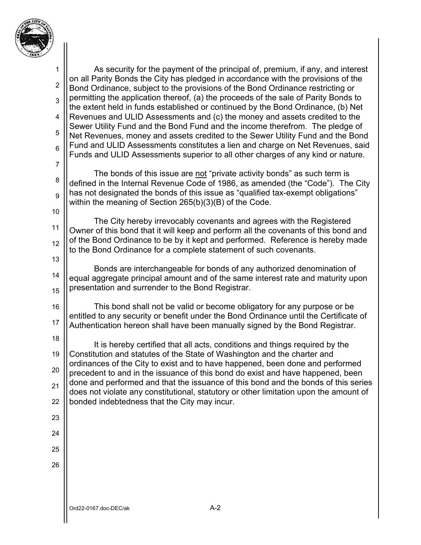

Ord22-0167.doc-DEC/ak A-2 1 2 3 4 5 6 7 8 9 10 11 12 13 14 15 16 17 18 19 20 21 22 23 24 25 26 As security for the payment of the principal of, premium, if any, and interest on all Parity Bonds the City has pledged in accordance with the provisions of the Bond Ordinance, subject to the provisions of the Bond Ordinance restricting or permitting the application thereof, (a) the proceeds of the sale of Parity Bonds to the extent held in funds established or continued by the Bond Ordinance, (b) Net Revenues and ULID Assessments and (c) the money and assets credited to the Sewer Utility Fund and the Bond Fund and the income therefrom. The pledge of Net Revenues, money and assets credited to the Sewer Utility Fund and the Bond Fund and ULID Assessments constitutes a lien and charge on Net Revenues, said Funds and ULID Assessments superior to all other charges of any kind or nature. The bonds of this issue are not "private activity bonds" as such term is defined in the Internal Revenue Code of 1986, as amended (the "Code"). The City has not designated the bonds of this issue as "qualified tax-exempt obligations" within the meaning of Section 265(b)(3)(B) of the Code. The City hereby irrevocably covenants and agrees with the Registered Owner of this bond that it will keep and perform all the covenants of this bond and of the Bond Ordinance to be by it kept and performed. Reference is hereby made to the Bond Ordinance for a complete statement of such covenants. Bonds are interchangeable for bonds of any authorized denomination of equal aggregate principal amount and of the same interest rate and maturity upon presentation and surrender to the Bond Registrar. This bond shall not be valid or become obligatory for any purpose or be entitled to any security or benefit under the Bond Ordinance until the Certificate of Authentication hereon shall have been manually signed by the Bond Registrar. It is hereby certified that all acts, conditions and things required by the Constitution and statutes of the State of Washington and the charter and ordinances of the City to exist and to have happened, been done and performed precedent to and in the issuance of this bond do exist and have happened, been done and performed and that the issuance of this bond and the bonds of this series does not violate any constitutional, statutory or other limitation upon the amount of bonded indebtedness that the City may incur.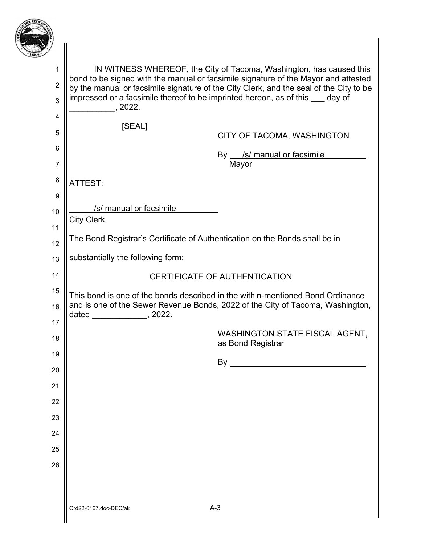

| ۰,                  |                                                                                                                                                                                                                                                                                                                                       |                                                            |  |
|---------------------|---------------------------------------------------------------------------------------------------------------------------------------------------------------------------------------------------------------------------------------------------------------------------------------------------------------------------------------|------------------------------------------------------------|--|
| 1                   | IN WITNESS WHEREOF, the City of Tacoma, Washington, has caused this<br>bond to be signed with the manual or facsimile signature of the Mayor and attested<br>by the manual or facsimile signature of the City Clerk, and the seal of the City to be<br>impressed or a facsimile thereof to be imprinted hereon, as of this ___ day of |                                                            |  |
| $\overline{2}$<br>3 |                                                                                                                                                                                                                                                                                                                                       |                                                            |  |
| 4                   | , 2022.                                                                                                                                                                                                                                                                                                                               |                                                            |  |
| 5                   | [SEAL]                                                                                                                                                                                                                                                                                                                                |                                                            |  |
| 6                   |                                                                                                                                                                                                                                                                                                                                       | CITY OF TACOMA, WASHINGTON                                 |  |
| $\overline{7}$      |                                                                                                                                                                                                                                                                                                                                       | By __ /s/ manual or facsimile<br>Mayor                     |  |
| 8                   | ATTEST:                                                                                                                                                                                                                                                                                                                               |                                                            |  |
| 9                   |                                                                                                                                                                                                                                                                                                                                       |                                                            |  |
| 10                  | /s/ manual or facsimile                                                                                                                                                                                                                                                                                                               |                                                            |  |
| 11                  | <b>City Clerk</b>                                                                                                                                                                                                                                                                                                                     |                                                            |  |
| 12                  | The Bond Registrar's Certificate of Authentication on the Bonds shall be in                                                                                                                                                                                                                                                           |                                                            |  |
| 13                  | substantially the following form:                                                                                                                                                                                                                                                                                                     |                                                            |  |
| 14                  | <b>CERTIFICATE OF AUTHENTICATION</b>                                                                                                                                                                                                                                                                                                  |                                                            |  |
| 15<br>16            | This bond is one of the bonds described in the within-mentioned Bond Ordinance<br>and is one of the Sewer Revenue Bonds, 2022 of the City of Tacoma, Washington,<br>dated $\frac{1}{2}$ , 2022.                                                                                                                                       |                                                            |  |
|                     |                                                                                                                                                                                                                                                                                                                                       |                                                            |  |
| 17                  |                                                                                                                                                                                                                                                                                                                                       |                                                            |  |
| 18                  |                                                                                                                                                                                                                                                                                                                                       | <b>WASHINGTON STATE FISCAL AGENT,</b><br>as Bond Registrar |  |
| 19                  |                                                                                                                                                                                                                                                                                                                                       |                                                            |  |
| 20                  |                                                                                                                                                                                                                                                                                                                                       |                                                            |  |
| 21                  |                                                                                                                                                                                                                                                                                                                                       |                                                            |  |
| 22                  |                                                                                                                                                                                                                                                                                                                                       |                                                            |  |
| 23                  |                                                                                                                                                                                                                                                                                                                                       |                                                            |  |
| 24                  |                                                                                                                                                                                                                                                                                                                                       |                                                            |  |
| 25                  |                                                                                                                                                                                                                                                                                                                                       |                                                            |  |
| 26                  |                                                                                                                                                                                                                                                                                                                                       |                                                            |  |
|                     |                                                                                                                                                                                                                                                                                                                                       |                                                            |  |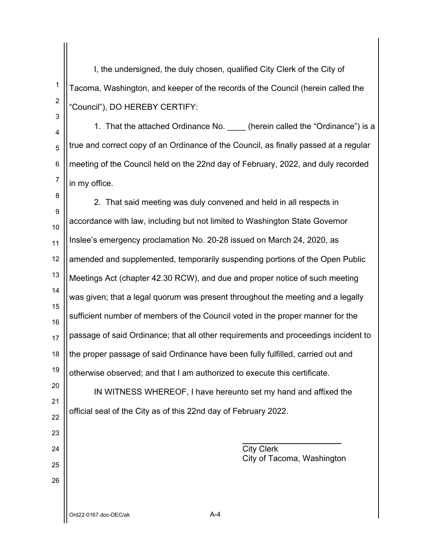I, the undersigned, the duly chosen, qualified City Clerk of the City of Tacoma, Washington, and keeper of the records of the Council (herein called the "Council"), DO HEREBY CERTIFY:

4 5 6 7 1. That the attached Ordinance No. \_\_\_\_ (herein called the "Ordinance") is a true and correct copy of an Ordinance of the Council, as finally passed at a regular meeting of the Council held on the 22nd day of February, 2022, and duly recorded in my office.

8 9 10 11 12 13 14 15 16 17 18 19 2. That said meeting was duly convened and held in all respects in accordance with law, including but not limited to Washington State Governor Inslee's emergency proclamation No. 20-28 issued on March 24, 2020, as amended and supplemented, temporarily suspending portions of the Open Public Meetings Act (chapter 42.30 RCW), and due and proper notice of such meeting was given; that a legal quorum was present throughout the meeting and a legally sufficient number of members of the Council voted in the proper manner for the passage of said Ordinance; that all other requirements and proceedings incident to the proper passage of said Ordinance have been fully fulfilled, carried out and otherwise observed; and that I am authorized to execute this certificate.

20 21 22 IN WITNESS WHEREOF, I have hereunto set my hand and affixed the official seal of the City as of this 22nd day of February 2022.

> City Clerk City of Tacoma, Washington

23

24

25

26

1

2

3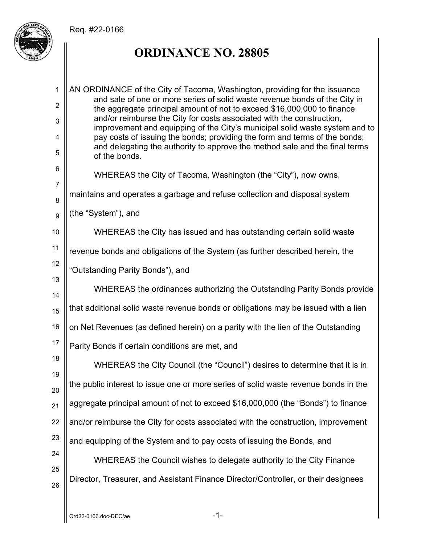## Req. #22-0166



## **ORDINANCE NO. 28805**

1 2 3 4 5 6 7 8 9 10 11 12 13 14 15 16 17 18 19 20 21 22 23 24 25 26 AN ORDINANCE of the City of Tacoma, Washington, providing for the issuance and sale of one or more series of solid waste revenue bonds of the City in the aggregate principal amount of not to exceed \$16,000,000 to finance and/or reimburse the City for costs associated with the construction, improvement and equipping of the City's municipal solid waste system and to pay costs of issuing the bonds; providing the form and terms of the bonds; and delegating the authority to approve the method sale and the final terms of the bonds. WHEREAS the City of Tacoma, Washington (the "City"), now owns, maintains and operates a garbage and refuse collection and disposal system (the "System"), and WHEREAS the City has issued and has outstanding certain solid waste revenue bonds and obligations of the System (as further described herein, the "Outstanding Parity Bonds"), and WHEREAS the ordinances authorizing the Outstanding Parity Bonds provide that additional solid waste revenue bonds or obligations may be issued with a lien on Net Revenues (as defined herein) on a parity with the lien of the Outstanding Parity Bonds if certain conditions are met, and WHEREAS the City Council (the "Council") desires to determine that it is in the public interest to issue one or more series of solid waste revenue bonds in the aggregate principal amount of not to exceed \$16,000,000 (the "Bonds") to finance and/or reimburse the City for costs associated with the construction, improvement and equipping of the System and to pay costs of issuing the Bonds, and WHEREAS the Council wishes to delegate authority to the City Finance Director, Treasurer, and Assistant Finance Director/Controller, or their designees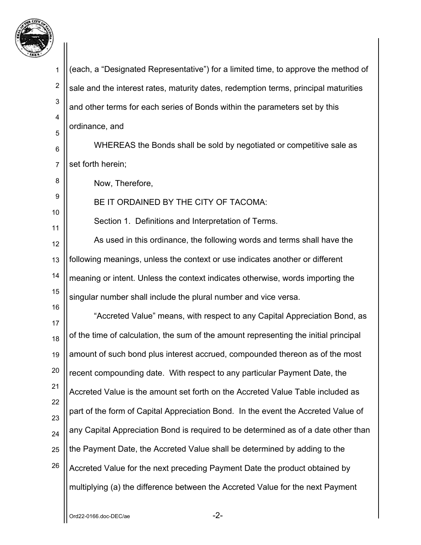

1 2 3 4 5 6 7 8 9 10 11 12 13 14 15 16 17 18 19 20 21 22 23 24 25 26 (each, a "Designated Representative") for a limited time, to approve the method of sale and the interest rates, maturity dates, redemption terms, principal maturities and other terms for each series of Bonds within the parameters set by this ordinance, and WHEREAS the Bonds shall be sold by negotiated or competitive sale as set forth herein; Now, Therefore, BE IT ORDAINED BY THE CITY OF TACOMA: Section 1. Definitions and Interpretation of Terms. As used in this ordinance, the following words and terms shall have the following meanings, unless the context or use indicates another or different meaning or intent. Unless the context indicates otherwise, words importing the singular number shall include the plural number and vice versa. "Accreted Value" means, with respect to any Capital Appreciation Bond, as of the time of calculation, the sum of the amount representing the initial principal amount of such bond plus interest accrued, compounded thereon as of the most recent compounding date. With respect to any particular Payment Date, the Accreted Value is the amount set forth on the Accreted Value Table included as part of the form of Capital Appreciation Bond. In the event the Accreted Value of any Capital Appreciation Bond is required to be determined as of a date other than the Payment Date, the Accreted Value shall be determined by adding to the Accreted Value for the next preceding Payment Date the product obtained by multiplying (a) the difference between the Accreted Value for the next Payment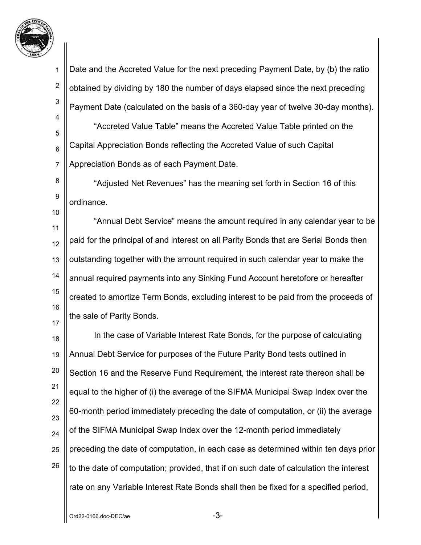

10

2 3 4 5 6 7 Date and the Accreted Value for the next preceding Payment Date, by (b) the ratio obtained by dividing by 180 the number of days elapsed since the next preceding Payment Date (calculated on the basis of a 360-day year of twelve 30-day months). "Accreted Value Table" means the Accreted Value Table printed on the Capital Appreciation Bonds reflecting the Accreted Value of such Capital Appreciation Bonds as of each Payment Date.

8 9 "Adjusted Net Revenues" has the meaning set forth in Section 16 of this ordinance.

11 12 13 14 15 16 17 "Annual Debt Service" means the amount required in any calendar year to be paid for the principal of and interest on all Parity Bonds that are Serial Bonds then outstanding together with the amount required in such calendar year to make the annual required payments into any Sinking Fund Account heretofore or hereafter created to amortize Term Bonds, excluding interest to be paid from the proceeds of the sale of Parity Bonds.

18 19 20 21 22 23 24 25 26 In the case of Variable Interest Rate Bonds, for the purpose of calculating Annual Debt Service for purposes of the Future Parity Bond tests outlined in Section 16 and the Reserve Fund Requirement, the interest rate thereon shall be equal to the higher of (i) the average of the SIFMA Municipal Swap Index over the 60-month period immediately preceding the date of computation, or (ii) the average of the SIFMA Municipal Swap Index over the 12-month period immediately preceding the date of computation, in each case as determined within ten days prior to the date of computation; provided, that if on such date of calculation the interest rate on any Variable Interest Rate Bonds shall then be fixed for a specified period,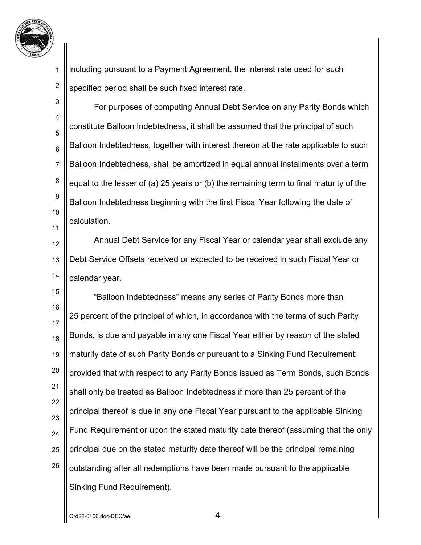

1 2 including pursuant to a Payment Agreement, the interest rate used for such specified period shall be such fixed interest rate.

3 4 5 6 7 8 9 10 11 For purposes of computing Annual Debt Service on any Parity Bonds which constitute Balloon Indebtedness, it shall be assumed that the principal of such Balloon Indebtedness, together with interest thereon at the rate applicable to such Balloon Indebtedness, shall be amortized in equal annual installments over a term equal to the lesser of (a) 25 years or (b) the remaining term to final maturity of the Balloon Indebtedness beginning with the first Fiscal Year following the date of calculation.

12 13 14 Annual Debt Service for any Fiscal Year or calendar year shall exclude any Debt Service Offsets received or expected to be received in such Fiscal Year or calendar year.

15 16 17 18 19 20 21 22 23 24 25 26 "Balloon Indebtedness" means any series of Parity Bonds more than 25 percent of the principal of which, in accordance with the terms of such Parity Bonds, is due and payable in any one Fiscal Year either by reason of the stated maturity date of such Parity Bonds or pursuant to a Sinking Fund Requirement; provided that with respect to any Parity Bonds issued as Term Bonds, such Bonds shall only be treated as Balloon Indebtedness if more than 25 percent of the principal thereof is due in any one Fiscal Year pursuant to the applicable Sinking Fund Requirement or upon the stated maturity date thereof (assuming that the only principal due on the stated maturity date thereof will be the principal remaining outstanding after all redemptions have been made pursuant to the applicable Sinking Fund Requirement).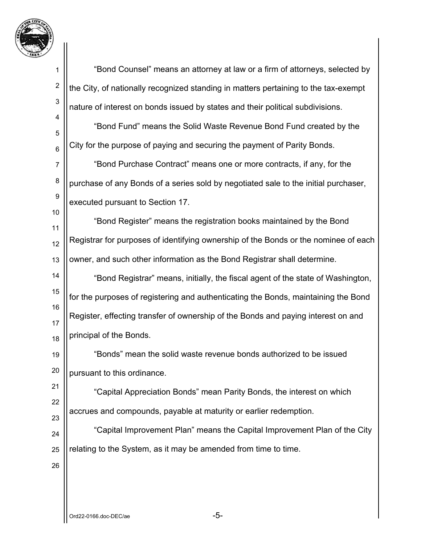

 $Ord22-0166.$ doc-DE $C/ae$  -5-1 2 3 4 5 6 7 8 9 10 11 12 13 14 15 16 17 18 19 20 21 22 23 24 25 26 "Bond Counsel" means an attorney at law or a firm of attorneys, selected by the City, of nationally recognized standing in matters pertaining to the tax-exempt nature of interest on bonds issued by states and their political subdivisions. "Bond Fund" means the Solid Waste Revenue Bond Fund created by the City for the purpose of paying and securing the payment of Parity Bonds. "Bond Purchase Contract" means one or more contracts, if any, for the purchase of any Bonds of a series sold by negotiated sale to the initial purchaser, executed pursuant to Section 17. "Bond Register" means the registration books maintained by the Bond Registrar for purposes of identifying ownership of the Bonds or the nominee of each owner, and such other information as the Bond Registrar shall determine. "Bond Registrar" means, initially, the fiscal agent of the state of Washington, for the purposes of registering and authenticating the Bonds, maintaining the Bond Register, effecting transfer of ownership of the Bonds and paying interest on and principal of the Bonds. "Bonds" mean the solid waste revenue bonds authorized to be issued pursuant to this ordinance. "Capital Appreciation Bonds" mean Parity Bonds, the interest on which accrues and compounds, payable at maturity or earlier redemption. "Capital Improvement Plan" means the Capital Improvement Plan of the City relating to the System, as it may be amended from time to time.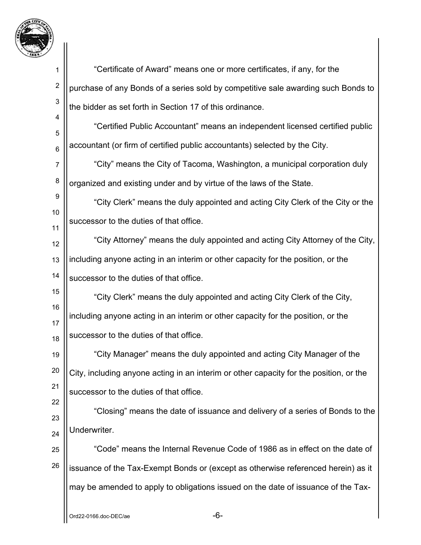

| 1               | "Certificate of Award" means one or more certificates, if any, for the                 |
|-----------------|----------------------------------------------------------------------------------------|
| $\overline{c}$  | purchase of any Bonds of a series sold by competitive sale awarding such Bonds to      |
| 3               | the bidder as set forth in Section 17 of this ordinance.                               |
| 4<br>5          | "Certified Public Accountant" means an independent licensed certified public           |
| $6\phantom{1}6$ | accountant (or firm of certified public accountants) selected by the City.             |
| 7               | "City" means the City of Tacoma, Washington, a municipal corporation duly              |
| 8               | organized and existing under and by virtue of the laws of the State.                   |
| 9               | "City Clerk" means the duly appointed and acting City Clerk of the City or the         |
| 10<br>11        | successor to the duties of that office.                                                |
| 12              | "City Attorney" means the duly appointed and acting City Attorney of the City,         |
| 13              | including anyone acting in an interim or other capacity for the position, or the       |
| 14              | successor to the duties of that office.                                                |
| 15              | "City Clerk" means the duly appointed and acting City Clerk of the City,               |
| 16              | including anyone acting in an interim or other capacity for the position, or the       |
| 17<br>18        | successor to the duties of that office.                                                |
| 19              | "City Manager" means the duly appointed and acting City Manager of the                 |
| 20              | City, including anyone acting in an interim or other capacity for the position, or the |
| 21              | successor to the duties of that office.                                                |
| 22              | "Closing" means the date of issuance and delivery of a series of Bonds to the          |
| 23<br>24        | Underwriter.                                                                           |
| 25              | "Code" means the Internal Revenue Code of 1986 as in effect on the date of             |
| 26              | issuance of the Tax-Exempt Bonds or (except as otherwise referenced herein) as it      |
|                 | may be amended to apply to obligations issued on the date of issuance of the Tax-      |
|                 |                                                                                        |
|                 | -6-<br>Ord22-0166.doc-DEC/ae                                                           |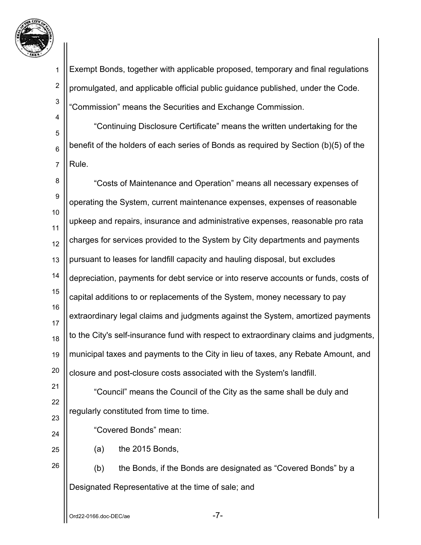

2

3

4

5

6

7

Exempt Bonds, together with applicable proposed, temporary and final regulations promulgated, and applicable official public guidance published, under the Code. "Commission" means the Securities and Exchange Commission.

 "Continuing Disclosure Certificate" means the written undertaking for the benefit of the holders of each series of Bonds as required by Section (b)(5) of the Rule.

8 9 10 11 12 13 14 15 16 17 18 19 20 21 "Costs of Maintenance and Operation" means all necessary expenses of operating the System, current maintenance expenses, expenses of reasonable upkeep and repairs, insurance and administrative expenses, reasonable pro rata charges for services provided to the System by City departments and payments pursuant to leases for landfill capacity and hauling disposal, but excludes depreciation, payments for debt service or into reserve accounts or funds, costs of capital additions to or replacements of the System, money necessary to pay extraordinary legal claims and judgments against the System, amortized payments to the City's self-insurance fund with respect to extraordinary claims and judgments, municipal taxes and payments to the City in lieu of taxes, any Rebate Amount, and closure and post-closure costs associated with the System's landfill. "Council" means the Council of the City as the same shall be duly and

22 23

24

26

regularly constituted from time to time.

"Covered Bonds" mean:

25

(a) the 2015 Bonds,

 (b) the Bonds, if the Bonds are designated as "Covered Bonds" by a Designated Representative at the time of sale; and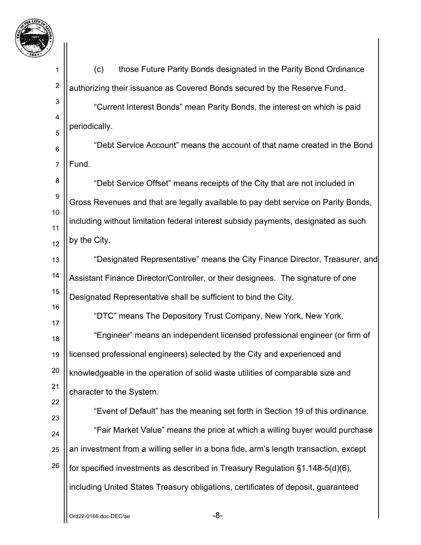

1 2 3 4 5 6 7 8 9 10 11 12 13 14 15 16 17 18 19 20 21 22 23 24 25 26 (c) those Future Parity Bonds designated in the Parity Bond Ordinance authorizing their issuance as Covered Bonds secured by the Reserve Fund. "Current Interest Bonds" mean Parity Bonds, the interest on which is paid periodically. "Debt Service Account" means the account of that name created in the Bond Fund. "Debt Service Offset" means receipts of the City that are not included in Gross Revenues and that are legally available to pay debt service on Parity Bonds, including without limitation federal interest subsidy payments, designated as such by the City. "Designated Representative" means the City Finance Director, Treasurer, and Assistant Finance Director/Controller, or their designees. The signature of one Designated Representative shall be sufficient to bind the City. "DTC" means The Depository Trust Company, New York, New York. "Engineer" means an independent licensed professional engineer (or firm of licensed professional engineers) selected by the City and experienced and knowledgeable in the operation of solid waste utilities of comparable size and character to the System. "Event of Default" has the meaning set forth in Section 19 of this ordinance. "Fair Market Value" means the price at which a willing buyer would purchase an investment from a willing seller in a bona fide, arm's length transaction, except for specified investments as described in Treasury Regulation §1.148-5(d)(6), including United States Treasury obligations, certificates of deposit, guaranteed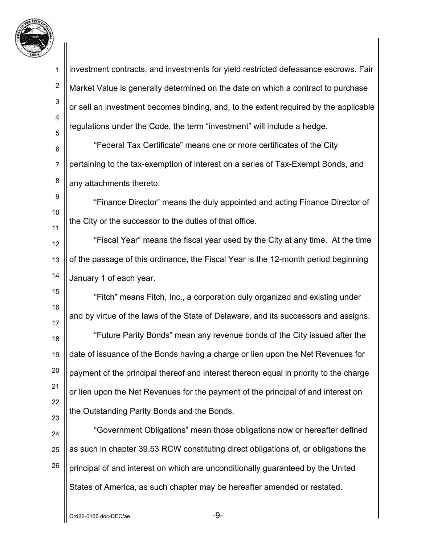

1 2 3 4 5 6 7 8 9 10 11 12 13 14 15 16 17 18 19 20 21 22 23 24 25 26 investment contracts, and investments for yield restricted defeasance escrows. Fair Market Value is generally determined on the date on which a contract to purchase or sell an investment becomes binding, and, to the extent required by the applicable regulations under the Code, the term "investment" will include a hedge. "Federal Tax Certificate" means one or more certificates of the City pertaining to the tax-exemption of interest on a series of Tax-Exempt Bonds, and any attachments thereto. "Finance Director" means the duly appointed and acting Finance Director of the City or the successor to the duties of that office. "Fiscal Year" means the fiscal year used by the City at any time. At the time of the passage of this ordinance, the Fiscal Year is the 12-month period beginning January 1 of each year. "Fitch" means Fitch, Inc., a corporation duly organized and existing under and by virtue of the laws of the State of Delaware, and its successors and assigns. "Future Parity Bonds" mean any revenue bonds of the City issued after the date of issuance of the Bonds having a charge or lien upon the Net Revenues for payment of the principal thereof and interest thereon equal in priority to the charge or lien upon the Net Revenues for the payment of the principal of and interest on the Outstanding Parity Bonds and the Bonds. "Government Obligations" mean those obligations now or hereafter defined as such in chapter 39.53 RCW constituting direct obligations of, or obligations the principal of and interest on which are unconditionally guaranteed by the United States of America, as such chapter may be hereafter amended or restated.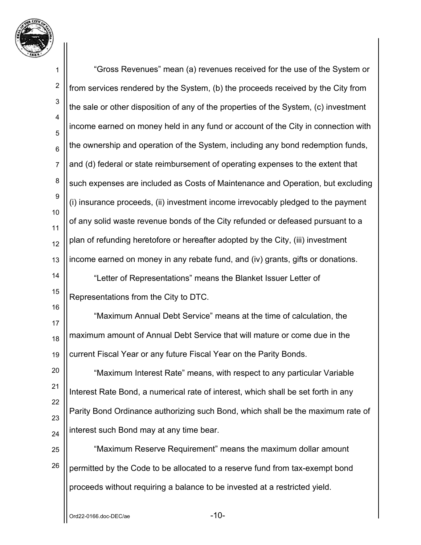

1 2 3 4 5 6 7 8 9 10 11 12 13 14 15 16 17 18 19 20 21 22 23 24 25 26 "Gross Revenues" mean (a) revenues received for the use of the System or from services rendered by the System, (b) the proceeds received by the City from the sale or other disposition of any of the properties of the System, (c) investment income earned on money held in any fund or account of the City in connection with the ownership and operation of the System, including any bond redemption funds, and (d) federal or state reimbursement of operating expenses to the extent that such expenses are included as Costs of Maintenance and Operation, but excluding (i) insurance proceeds, (ii) investment income irrevocably pledged to the payment of any solid waste revenue bonds of the City refunded or defeased pursuant to a plan of refunding heretofore or hereafter adopted by the City, (iii) investment income earned on money in any rebate fund, and (iv) grants, gifts or donations. "Letter of Representations" means the Blanket Issuer Letter of Representations from the City to DTC. "Maximum Annual Debt Service" means at the time of calculation, the maximum amount of Annual Debt Service that will mature or come due in the current Fiscal Year or any future Fiscal Year on the Parity Bonds. "Maximum Interest Rate" means, with respect to any particular Variable Interest Rate Bond, a numerical rate of interest, which shall be set forth in any Parity Bond Ordinance authorizing such Bond, which shall be the maximum rate of interest such Bond may at any time bear. "Maximum Reserve Requirement" means the maximum dollar amount permitted by the Code to be allocated to a reserve fund from tax-exempt bond proceeds without requiring a balance to be invested at a restricted yield.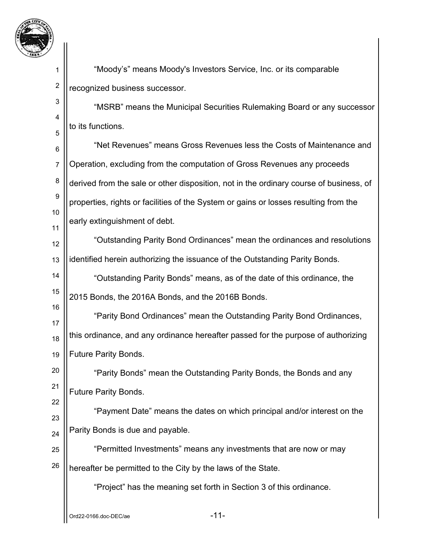

2

3

4

5

22

 "Moody's" means Moody's Investors Service, Inc. or its comparable recognized business successor.

 "MSRB" means the Municipal Securities Rulemaking Board or any successor to its functions.

6 7 8 9 10 11 "Net Revenues" means Gross Revenues less the Costs of Maintenance and Operation, excluding from the computation of Gross Revenues any proceeds derived from the sale or other disposition, not in the ordinary course of business, of properties, rights or facilities of the System or gains or losses resulting from the early extinguishment of debt.

12 13 "Outstanding Parity Bond Ordinances" mean the ordinances and resolutions identified herein authorizing the issuance of the Outstanding Parity Bonds.

14 15 "Outstanding Parity Bonds" means, as of the date of this ordinance, the 2015 Bonds, the 2016A Bonds, and the 2016B Bonds.

16 17 18 19 "Parity Bond Ordinances" mean the Outstanding Parity Bond Ordinances, this ordinance, and any ordinance hereafter passed for the purpose of authorizing Future Parity Bonds.

20 21 "Parity Bonds" mean the Outstanding Parity Bonds, the Bonds and any Future Parity Bonds.

23 24 "Payment Date" means the dates on which principal and/or interest on the Parity Bonds is due and payable.

25 26 "Permitted Investments" means any investments that are now or may hereafter be permitted to the City by the laws of the State.

"Project" has the meaning set forth in Section 3 of this ordinance.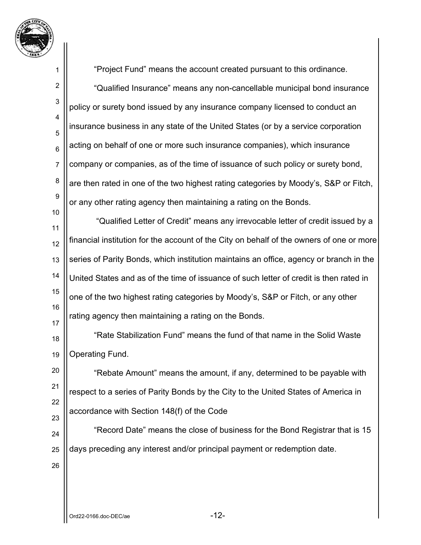

1 2 3 4 5 6 7 8 9 10 11 12 13 14 15 16 17 18 19 20 21 22 23 24 25 26 "Project Fund" means the account created pursuant to this ordinance. "Qualified Insurance" means any non-cancellable municipal bond insurance policy or surety bond issued by any insurance company licensed to conduct an insurance business in any state of the United States (or by a service corporation acting on behalf of one or more such insurance companies), which insurance company or companies, as of the time of issuance of such policy or surety bond, are then rated in one of the two highest rating categories by Moody's, S&P or Fitch, or any other rating agency then maintaining a rating on the Bonds. "Qualified Letter of Credit" means any irrevocable letter of credit issued by a financial institution for the account of the City on behalf of the owners of one or more series of Parity Bonds, which institution maintains an office, agency or branch in the United States and as of the time of issuance of such letter of credit is then rated in one of the two highest rating categories by Moody's, S&P or Fitch, or any other rating agency then maintaining a rating on the Bonds. "Rate Stabilization Fund" means the fund of that name in the Solid Waste Operating Fund. "Rebate Amount" means the amount, if any, determined to be payable with respect to a series of Parity Bonds by the City to the United States of America in accordance with Section 148(f) of the Code "Record Date" means the close of business for the Bond Registrar that is 15 days preceding any interest and/or principal payment or redemption date.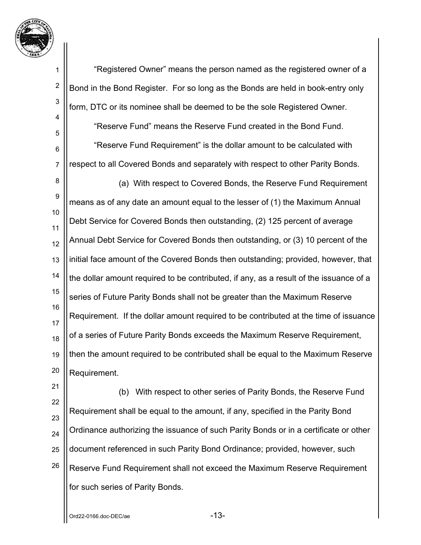

2

3

4

5

6

7

 "Registered Owner" means the person named as the registered owner of a Bond in the Bond Register. For so long as the Bonds are held in book-entry only form, DTC or its nominee shall be deemed to be the sole Registered Owner.

 "Reserve Fund" means the Reserve Fund created in the Bond Fund. "Reserve Fund Requirement" is the dollar amount to be calculated with

respect to all Covered Bonds and separately with respect to other Parity Bonds.

8 9 10 11 12 13 14 15 16 17 18 19 20 (a) With respect to Covered Bonds, the Reserve Fund Requirement means as of any date an amount equal to the lesser of (1) the Maximum Annual Debt Service for Covered Bonds then outstanding, (2) 125 percent of average Annual Debt Service for Covered Bonds then outstanding, or (3) 10 percent of the initial face amount of the Covered Bonds then outstanding; provided, however, that the dollar amount required to be contributed, if any, as a result of the issuance of a series of Future Parity Bonds shall not be greater than the Maximum Reserve Requirement. If the dollar amount required to be contributed at the time of issuance of a series of Future Parity Bonds exceeds the Maximum Reserve Requirement, then the amount required to be contributed shall be equal to the Maximum Reserve Requirement.

21 22 23 24 25 26 (b) With respect to other series of Parity Bonds, the Reserve Fund Requirement shall be equal to the amount, if any, specified in the Parity Bond Ordinance authorizing the issuance of such Parity Bonds or in a certificate or other document referenced in such Parity Bond Ordinance; provided, however, such Reserve Fund Requirement shall not exceed the Maximum Reserve Requirement for such series of Parity Bonds.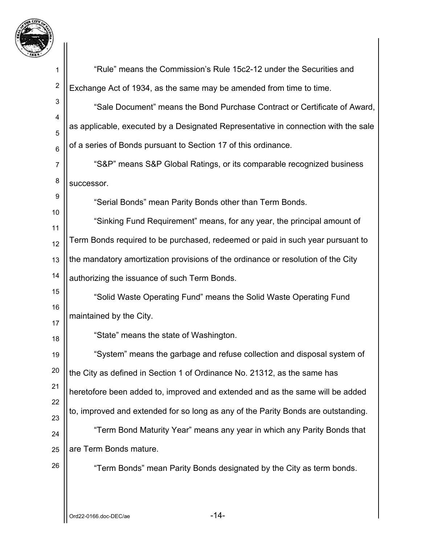

| 1               | "Rule" means the Commission's Rule 15c2-12 under the Securities and                |
|-----------------|------------------------------------------------------------------------------------|
| $\overline{c}$  | Exchange Act of 1934, as the same may be amended from time to time.                |
| $\mathbf{3}$    | "Sale Document" means the Bond Purchase Contract or Certificate of Award,          |
| 4<br>5          | as applicable, executed by a Designated Representative in connection with the sale |
| $6\phantom{1}6$ | of a series of Bonds pursuant to Section 17 of this ordinance.                     |
| $\overline{7}$  | "S&P" means S&P Global Ratings, or its comparable recognized business              |
| 8               | successor.                                                                         |
| 9               | "Serial Bonds" mean Parity Bonds other than Term Bonds.                            |
| 10              | "Sinking Fund Requirement" means, for any year, the principal amount of            |
| 11<br>12        | Term Bonds required to be purchased, redeemed or paid in such year pursuant to     |
| 13              | the mandatory amortization provisions of the ordinance or resolution of the City   |
| 14              | authorizing the issuance of such Term Bonds.                                       |
| 15              | "Solid Waste Operating Fund" means the Solid Waste Operating Fund                  |
| 16              | maintained by the City.                                                            |
| 17              | "State" means the state of Washington.                                             |
| 18              | "System" means the garbage and refuse collection and disposal system of            |
| 19<br>20        |                                                                                    |
| 21              | the City as defined in Section 1 of Ordinance No. 21312, as the same has           |
| 22              | heretofore been added to, improved and extended and as the same will be added      |
| 23              | to, improved and extended for so long as any of the Parity Bonds are outstanding.  |
| 24              | "Term Bond Maturity Year" means any year in which any Parity Bonds that            |
| 25              | are Term Bonds mature.                                                             |
| 26              | "Term Bonds" mean Parity Bonds designated by the City as term bonds.               |
|                 |                                                                                    |
|                 | $-14-$<br>Ord22-0166.doc-DEC/ae                                                    |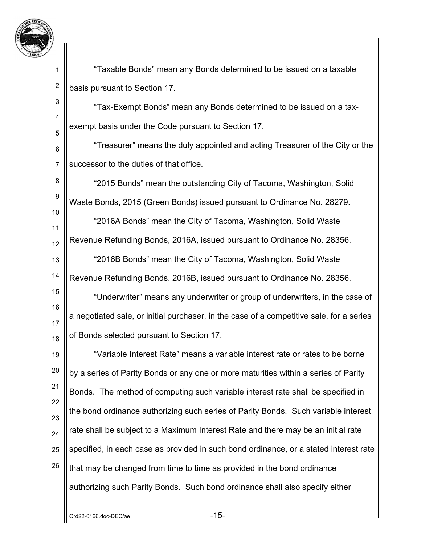

2

3

4

5

 "Taxable Bonds" mean any Bonds determined to be issued on a taxable basis pursuant to Section 17.

 "Tax-Exempt Bonds" mean any Bonds determined to be issued on a taxexempt basis under the Code pursuant to Section 17.

6 7 "Treasurer" means the duly appointed and acting Treasurer of the City or the successor to the duties of that office.

8 9 10 "2015 Bonds" mean the outstanding City of Tacoma, Washington, Solid Waste Bonds, 2015 (Green Bonds) issued pursuant to Ordinance No. 28279.

11 12 13 14 "2016A Bonds" mean the City of Tacoma, Washington, Solid Waste Revenue Refunding Bonds, 2016A, issued pursuant to Ordinance No. 28356. "2016B Bonds" mean the City of Tacoma, Washington, Solid Waste Revenue Refunding Bonds, 2016B, issued pursuant to Ordinance No. 28356.

15 16 17 18 "Underwriter" means any underwriter or group of underwriters, in the case of a negotiated sale, or initial purchaser, in the case of a competitive sale, for a series of Bonds selected pursuant to Section 17.

19 20 21 22 23 24 25 26 "Variable Interest Rate" means a variable interest rate or rates to be borne by a series of Parity Bonds or any one or more maturities within a series of Parity Bonds. The method of computing such variable interest rate shall be specified in the bond ordinance authorizing such series of Parity Bonds. Such variable interest rate shall be subject to a Maximum Interest Rate and there may be an initial rate specified, in each case as provided in such bond ordinance, or a stated interest rate that may be changed from time to time as provided in the bond ordinance authorizing such Parity Bonds. Such bond ordinance shall also specify either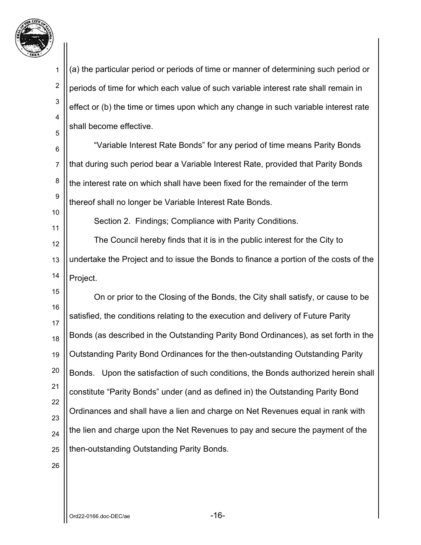

11

2 3 4 5 (a) the particular period or periods of time or manner of determining such period or periods of time for which each value of such variable interest rate shall remain in effect or (b) the time or times upon which any change in such variable interest rate shall become effective.

6 7 8 9 10 "Variable Interest Rate Bonds" for any period of time means Parity Bonds that during such period bear a Variable Interest Rate, provided that Parity Bonds the interest rate on which shall have been fixed for the remainder of the term thereof shall no longer be Variable Interest Rate Bonds.

Section 2. Findings; Compliance with Parity Conditions.

12 13 14 The Council hereby finds that it is in the public interest for the City to undertake the Project and to issue the Bonds to finance a portion of the costs of the Project.

15 16 17 18 19 20 21 22 23 24 25 On or prior to the Closing of the Bonds, the City shall satisfy, or cause to be satisfied, the conditions relating to the execution and delivery of Future Parity Bonds (as described in the Outstanding Parity Bond Ordinances), as set forth in the Outstanding Parity Bond Ordinances for the then-outstanding Outstanding Parity Bonds. Upon the satisfaction of such conditions, the Bonds authorized herein shall constitute "Parity Bonds" under (and as defined in) the Outstanding Parity Bond Ordinances and shall have a lien and charge on Net Revenues equal in rank with the lien and charge upon the Net Revenues to pay and secure the payment of the then-outstanding Outstanding Parity Bonds.

26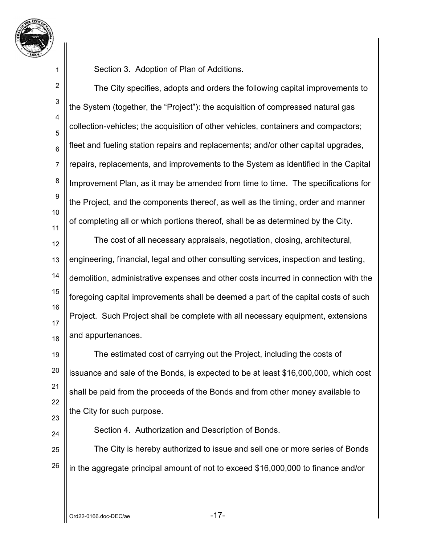

2

3

4

5

6

7

8

9

10

11

24

Section 3. Adoption of Plan of Additions.

The City specifies, adopts and orders the following capital improvements to the System (together, the "Project"): the acquisition of compressed natural gas collection-vehicles; the acquisition of other vehicles, containers and compactors; fleet and fueling station repairs and replacements; and/or other capital upgrades, repairs, replacements, and improvements to the System as identified in the Capital Improvement Plan, as it may be amended from time to time. The specifications for the Project, and the components thereof, as well as the timing, order and manner of completing all or which portions thereof, shall be as determined by the City.

12 13 14 15 16 17 18 The cost of all necessary appraisals, negotiation, closing, architectural, engineering, financial, legal and other consulting services, inspection and testing, demolition, administrative expenses and other costs incurred in connection with the foregoing capital improvements shall be deemed a part of the capital costs of such Project. Such Project shall be complete with all necessary equipment, extensions and appurtenances.

19 20 21 22 23 The estimated cost of carrying out the Project, including the costs of issuance and sale of the Bonds, is expected to be at least \$16,000,000, which cost shall be paid from the proceeds of the Bonds and from other money available to the City for such purpose.

Section 4. Authorization and Description of Bonds.

25 26 The City is hereby authorized to issue and sell one or more series of Bonds in the aggregate principal amount of not to exceed \$16,000,000 to finance and/or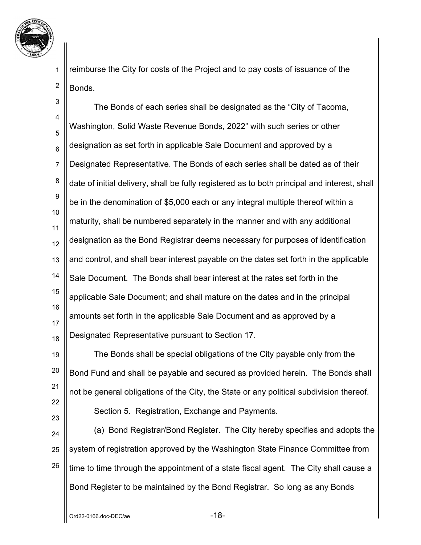

2 reimburse the City for costs of the Project and to pay costs of issuance of the Bonds.

3 4 5 6 7 8 9 10 11 12 13 14 15 16 17 18 The Bonds of each series shall be designated as the "City of Tacoma, Washington, Solid Waste Revenue Bonds, 2022" with such series or other designation as set forth in applicable Sale Document and approved by a Designated Representative. The Bonds of each series shall be dated as of their date of initial delivery, shall be fully registered as to both principal and interest, shall be in the denomination of \$5,000 each or any integral multiple thereof within a maturity, shall be numbered separately in the manner and with any additional designation as the Bond Registrar deems necessary for purposes of identification and control, and shall bear interest payable on the dates set forth in the applicable Sale Document. The Bonds shall bear interest at the rates set forth in the applicable Sale Document; and shall mature on the dates and in the principal amounts set forth in the applicable Sale Document and as approved by a Designated Representative pursuant to Section 17.

19 20 21 22 The Bonds shall be special obligations of the City payable only from the Bond Fund and shall be payable and secured as provided herein. The Bonds shall not be general obligations of the City, the State or any political subdivision thereof. Section 5. Registration, Exchange and Payments.

24 25 26 (a) Bond Registrar/Bond Register. The City hereby specifies and adopts the system of registration approved by the Washington State Finance Committee from time to time through the appointment of a state fiscal agent. The City shall cause a Bond Register to be maintained by the Bond Registrar. So long as any Bonds

23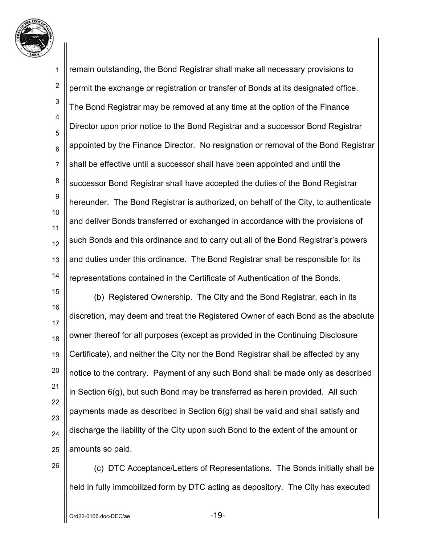

1 2 3 4 5 6 7 8 9 10 11 12 13 14 remain outstanding, the Bond Registrar shall make all necessary provisions to permit the exchange or registration or transfer of Bonds at its designated office. The Bond Registrar may be removed at any time at the option of the Finance Director upon prior notice to the Bond Registrar and a successor Bond Registrar appointed by the Finance Director. No resignation or removal of the Bond Registrar shall be effective until a successor shall have been appointed and until the successor Bond Registrar shall have accepted the duties of the Bond Registrar hereunder. The Bond Registrar is authorized, on behalf of the City, to authenticate and deliver Bonds transferred or exchanged in accordance with the provisions of such Bonds and this ordinance and to carry out all of the Bond Registrar's powers and duties under this ordinance. The Bond Registrar shall be responsible for its representations contained in the Certificate of Authentication of the Bonds.

15 16 17 18 19 20 21 22 23 24 25 (b) Registered Ownership. The City and the Bond Registrar, each in its discretion, may deem and treat the Registered Owner of each Bond as the absolute owner thereof for all purposes (except as provided in the Continuing Disclosure Certificate), and neither the City nor the Bond Registrar shall be affected by any notice to the contrary. Payment of any such Bond shall be made only as described in Section 6(g), but such Bond may be transferred as herein provided. All such payments made as described in Section 6(g) shall be valid and shall satisfy and discharge the liability of the City upon such Bond to the extent of the amount or amounts so paid.

26

(c) DTC Acceptance/Letters of Representations. The Bonds initially shall be held in fully immobilized form by DTC acting as depository. The City has executed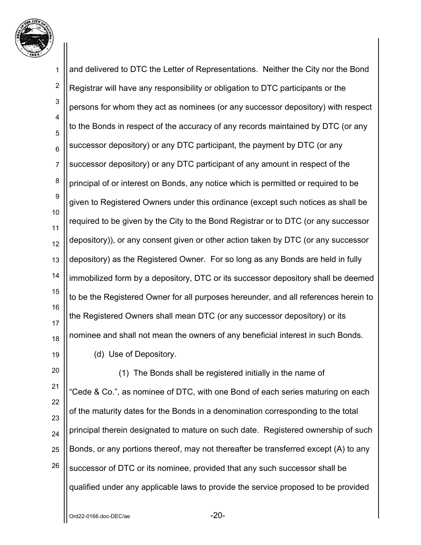

1 2 3 4 5 6 7 8 9 10 11 12 13 14 15 16 17 18 19 and delivered to DTC the Letter of Representations. Neither the City nor the Bond Registrar will have any responsibility or obligation to DTC participants or the persons for whom they act as nominees (or any successor depository) with respect to the Bonds in respect of the accuracy of any records maintained by DTC (or any successor depository) or any DTC participant, the payment by DTC (or any successor depository) or any DTC participant of any amount in respect of the principal of or interest on Bonds, any notice which is permitted or required to be given to Registered Owners under this ordinance (except such notices as shall be required to be given by the City to the Bond Registrar or to DTC (or any successor depository)), or any consent given or other action taken by DTC (or any successor depository) as the Registered Owner. For so long as any Bonds are held in fully immobilized form by a depository, DTC or its successor depository shall be deemed to be the Registered Owner for all purposes hereunder, and all references herein to the Registered Owners shall mean DTC (or any successor depository) or its nominee and shall not mean the owners of any beneficial interest in such Bonds. (d) Use of Depository.

20 21 22 23 24 25 26 (1) The Bonds shall be registered initially in the name of "Cede & Co.", as nominee of DTC, with one Bond of each series maturing on each of the maturity dates for the Bonds in a denomination corresponding to the total principal therein designated to mature on such date. Registered ownership of such Bonds, or any portions thereof, may not thereafter be transferred except (A) to any successor of DTC or its nominee, provided that any such successor shall be qualified under any applicable laws to provide the service proposed to be provided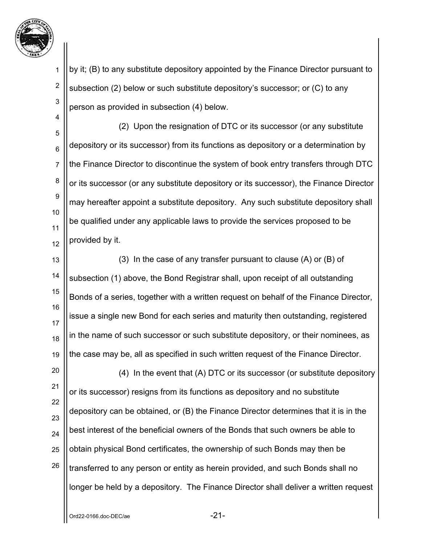

2

3

4

by it; (B) to any substitute depository appointed by the Finance Director pursuant to subsection (2) below or such substitute depository's successor; or (C) to any person as provided in subsection (4) below.

5 6 7 8 9 10 11 12 (2) Upon the resignation of DTC or its successor (or any substitute depository or its successor) from its functions as depository or a determination by the Finance Director to discontinue the system of book entry transfers through DTC or its successor (or any substitute depository or its successor), the Finance Director may hereafter appoint a substitute depository. Any such substitute depository shall be qualified under any applicable laws to provide the services proposed to be provided by it.

13 14 15 16 17 18 19 (3) In the case of any transfer pursuant to clause (A) or (B) of subsection (1) above, the Bond Registrar shall, upon receipt of all outstanding Bonds of a series, together with a written request on behalf of the Finance Director, issue a single new Bond for each series and maturity then outstanding, registered in the name of such successor or such substitute depository, or their nominees, as the case may be, all as specified in such written request of the Finance Director.

20 21 22 23 24 25 26 (4) In the event that (A) DTC or its successor (or substitute depository or its successor) resigns from its functions as depository and no substitute depository can be obtained, or (B) the Finance Director determines that it is in the best interest of the beneficial owners of the Bonds that such owners be able to obtain physical Bond certificates, the ownership of such Bonds may then be transferred to any person or entity as herein provided, and such Bonds shall no longer be held by a depository. The Finance Director shall deliver a written request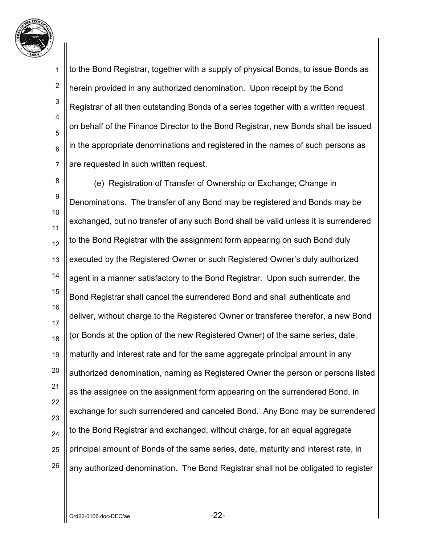

2

3

4

5

6

7

to the Bond Registrar, together with a supply of physical Bonds, to issue Bonds as herein provided in any authorized denomination. Upon receipt by the Bond Registrar of all then outstanding Bonds of a series together with a written request on behalf of the Finance Director to the Bond Registrar, new Bonds shall be issued in the appropriate denominations and registered in the names of such persons as are requested in such written request.

8 9 10 11 12 13 14 15 16 17 18 19 20 21 22 23 24 25 26 (e) Registration of Transfer of Ownership or Exchange; Change in Denominations. The transfer of any Bond may be registered and Bonds may be exchanged, but no transfer of any such Bond shall be valid unless it is surrendered to the Bond Registrar with the assignment form appearing on such Bond duly executed by the Registered Owner or such Registered Owner's duly authorized agent in a manner satisfactory to the Bond Registrar. Upon such surrender, the Bond Registrar shall cancel the surrendered Bond and shall authenticate and deliver, without charge to the Registered Owner or transferee therefor, a new Bond (or Bonds at the option of the new Registered Owner) of the same series, date, maturity and interest rate and for the same aggregate principal amount in any authorized denomination, naming as Registered Owner the person or persons listed as the assignee on the assignment form appearing on the surrendered Bond, in exchange for such surrendered and canceled Bond. Any Bond may be surrendered to the Bond Registrar and exchanged, without charge, for an equal aggregate principal amount of Bonds of the same series, date, maturity and interest rate, in any authorized denomination. The Bond Registrar shall not be obligated to register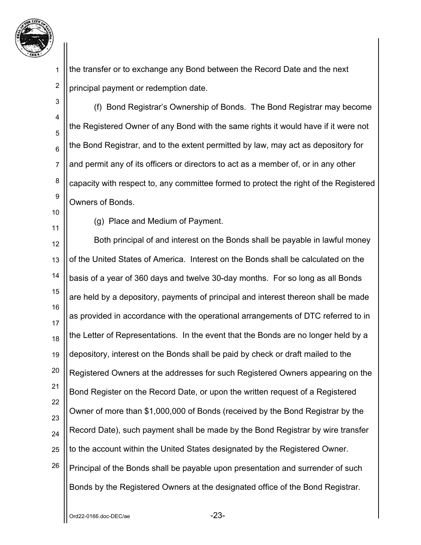

2 the transfer or to exchange any Bond between the Record Date and the next principal payment or redemption date.

3 4 5 6 7 8 9 (f) Bond Registrar's Ownership of Bonds. The Bond Registrar may become the Registered Owner of any Bond with the same rights it would have if it were not the Bond Registrar, and to the extent permitted by law, may act as depository for and permit any of its officers or directors to act as a member of, or in any other capacity with respect to, any committee formed to protect the right of the Registered Owners of Bonds.

10

1

11

(g) Place and Medium of Payment.

12 13 14 15 16 17 18 19 20 21 22 23 24 25 26 Both principal of and interest on the Bonds shall be payable in lawful money of the United States of America. Interest on the Bonds shall be calculated on the basis of a year of 360 days and twelve 30-day months. For so long as all Bonds are held by a depository, payments of principal and interest thereon shall be made as provided in accordance with the operational arrangements of DTC referred to in the Letter of Representations. In the event that the Bonds are no longer held by a depository, interest on the Bonds shall be paid by check or draft mailed to the Registered Owners at the addresses for such Registered Owners appearing on the Bond Register on the Record Date, or upon the written request of a Registered Owner of more than \$1,000,000 of Bonds (received by the Bond Registrar by the Record Date), such payment shall be made by the Bond Registrar by wire transfer to the account within the United States designated by the Registered Owner. Principal of the Bonds shall be payable upon presentation and surrender of such Bonds by the Registered Owners at the designated office of the Bond Registrar.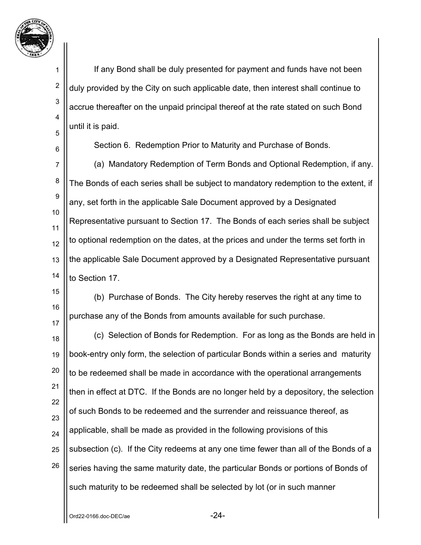

2

3

4

5

6

If any Bond shall be duly presented for payment and funds have not been duly provided by the City on such applicable date, then interest shall continue to accrue thereafter on the unpaid principal thereof at the rate stated on such Bond until it is paid.

Section 6. Redemption Prior to Maturity and Purchase of Bonds.

7 8 9 10 11 12 13 14 (a) Mandatory Redemption of Term Bonds and Optional Redemption, if any. The Bonds of each series shall be subject to mandatory redemption to the extent, if any, set forth in the applicable Sale Document approved by a Designated Representative pursuant to Section 17. The Bonds of each series shall be subject to optional redemption on the dates, at the prices and under the terms set forth in the applicable Sale Document approved by a Designated Representative pursuant to Section 17

15 16 17 (b) Purchase of Bonds. The City hereby reserves the right at any time to purchase any of the Bonds from amounts available for such purchase.

18 19 20 21 22 23 24 25 26 (c) Selection of Bonds for Redemption. For as long as the Bonds are held in book-entry only form, the selection of particular Bonds within a series and maturity to be redeemed shall be made in accordance with the operational arrangements then in effect at DTC. If the Bonds are no longer held by a depository, the selection of such Bonds to be redeemed and the surrender and reissuance thereof, as applicable, shall be made as provided in the following provisions of this subsection (c). If the City redeems at any one time fewer than all of the Bonds of a series having the same maturity date, the particular Bonds or portions of Bonds of such maturity to be redeemed shall be selected by lot (or in such manner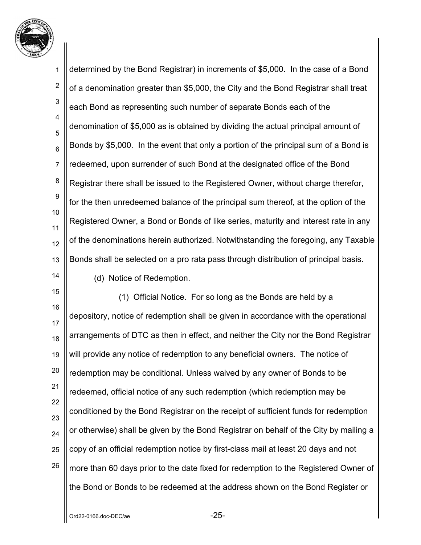

1 2 3 4 5 6 7 8 9 10 11 12 13 14 determined by the Bond Registrar) in increments of \$5,000. In the case of a Bond of a denomination greater than \$5,000, the City and the Bond Registrar shall treat each Bond as representing such number of separate Bonds each of the denomination of \$5,000 as is obtained by dividing the actual principal amount of Bonds by \$5,000. In the event that only a portion of the principal sum of a Bond is redeemed, upon surrender of such Bond at the designated office of the Bond Registrar there shall be issued to the Registered Owner, without charge therefor, for the then unredeemed balance of the principal sum thereof, at the option of the Registered Owner, a Bond or Bonds of like series, maturity and interest rate in any of the denominations herein authorized. Notwithstanding the foregoing, any Taxable Bonds shall be selected on a pro rata pass through distribution of principal basis. (d) Notice of Redemption.

15 16 17 18 19 20 21 22 23 24 25 26 (1) Official Notice. For so long as the Bonds are held by a depository, notice of redemption shall be given in accordance with the operational arrangements of DTC as then in effect, and neither the City nor the Bond Registrar will provide any notice of redemption to any beneficial owners. The notice of redemption may be conditional. Unless waived by any owner of Bonds to be redeemed, official notice of any such redemption (which redemption may be conditioned by the Bond Registrar on the receipt of sufficient funds for redemption or otherwise) shall be given by the Bond Registrar on behalf of the City by mailing a copy of an official redemption notice by first-class mail at least 20 days and not more than 60 days prior to the date fixed for redemption to the Registered Owner of the Bond or Bonds to be redeemed at the address shown on the Bond Register or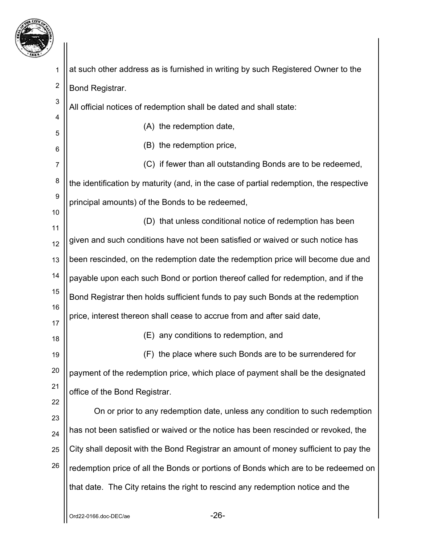

| 7                |                                                                                        |  |
|------------------|----------------------------------------------------------------------------------------|--|
| 1                | at such other address as is furnished in writing by such Registered Owner to the       |  |
| $\boldsymbol{2}$ | Bond Registrar.                                                                        |  |
| $\mathsf 3$      | All official notices of redemption shall be dated and shall state:                     |  |
| 4                | (A) the redemption date,                                                               |  |
| 5<br>6           | (B) the redemption price,                                                              |  |
| $\overline{7}$   | (C) if fewer than all outstanding Bonds are to be redeemed,                            |  |
| $\bf 8$          | the identification by maturity (and, in the case of partial redemption, the respective |  |
| $\boldsymbol{9}$ | principal amounts) of the Bonds to be redeemed,                                        |  |
| 10               | (D) that unless conditional notice of redemption has been                              |  |
| 11<br>12         | given and such conditions have not been satisfied or waived or such notice has         |  |
| 13               | been rescinded, on the redemption date the redemption price will become due and        |  |
| 14               | payable upon each such Bond or portion thereof called for redemption, and if the       |  |
| 15               | Bond Registrar then holds sufficient funds to pay such Bonds at the redemption         |  |
| 16               | price, interest thereon shall cease to accrue from and after said date,                |  |
| 17<br>18         | (E) any conditions to redemption, and                                                  |  |
| 19               | (F) the place where such Bonds are to be surrendered for                               |  |
| 20               | payment of the redemption price, which place of payment shall be the designated        |  |
| 21               | office of the Bond Registrar.                                                          |  |
| 22               | On or prior to any redemption date, unless any condition to such redemption            |  |
| 23<br>24         | has not been satisfied or waived or the notice has been rescinded or revoked, the      |  |
| 25               | City shall deposit with the Bond Registrar an amount of money sufficient to pay the    |  |
| 26               | redemption price of all the Bonds or portions of Bonds which are to be redeemed on     |  |
|                  | that date. The City retains the right to rescind any redemption notice and the         |  |
|                  |                                                                                        |  |
|                  |                                                                                        |  |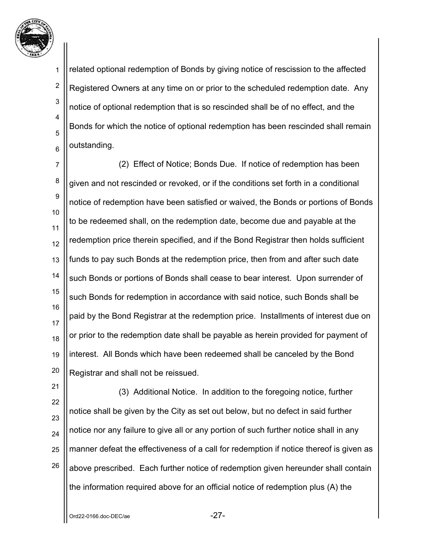

2

3

4

5

6

related optional redemption of Bonds by giving notice of rescission to the affected Registered Owners at any time on or prior to the scheduled redemption date. Any notice of optional redemption that is so rescinded shall be of no effect, and the Bonds for which the notice of optional redemption has been rescinded shall remain outstanding.

7 8 9 10 11 12 13 14 15 16 17 18 19 20 (2) Effect of Notice; Bonds Due. If notice of redemption has been given and not rescinded or revoked, or if the conditions set forth in a conditional notice of redemption have been satisfied or waived, the Bonds or portions of Bonds to be redeemed shall, on the redemption date, become due and payable at the redemption price therein specified, and if the Bond Registrar then holds sufficient funds to pay such Bonds at the redemption price, then from and after such date such Bonds or portions of Bonds shall cease to bear interest. Upon surrender of such Bonds for redemption in accordance with said notice, such Bonds shall be paid by the Bond Registrar at the redemption price. Installments of interest due on or prior to the redemption date shall be payable as herein provided for payment of interest. All Bonds which have been redeemed shall be canceled by the Bond Registrar and shall not be reissued.

21 22 23 24 25 26 (3) Additional Notice. In addition to the foregoing notice, further notice shall be given by the City as set out below, but no defect in said further notice nor any failure to give all or any portion of such further notice shall in any manner defeat the effectiveness of a call for redemption if notice thereof is given as above prescribed. Each further notice of redemption given hereunder shall contain the information required above for an official notice of redemption plus (A) the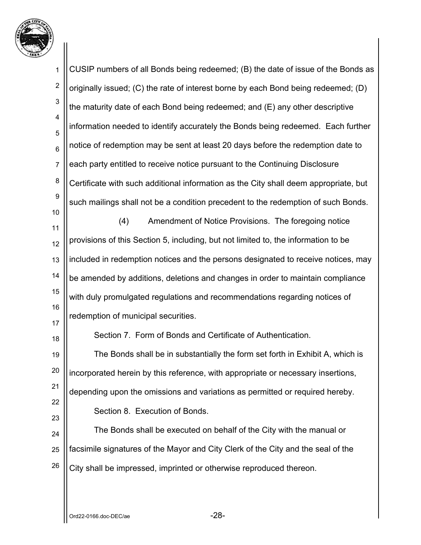

1 2 3 4 5 6 7 8 9 10 11 12 13 14 15 16 17 18 19 20 21 22 23 24 25 26 CUSIP numbers of all Bonds being redeemed; (B) the date of issue of the Bonds as originally issued; (C) the rate of interest borne by each Bond being redeemed; (D) the maturity date of each Bond being redeemed; and (E) any other descriptive information needed to identify accurately the Bonds being redeemed. Each further notice of redemption may be sent at least 20 days before the redemption date to each party entitled to receive notice pursuant to the Continuing Disclosure Certificate with such additional information as the City shall deem appropriate, but such mailings shall not be a condition precedent to the redemption of such Bonds. (4) Amendment of Notice Provisions. The foregoing notice provisions of this Section 5, including, but not limited to, the information to be included in redemption notices and the persons designated to receive notices, may be amended by additions, deletions and changes in order to maintain compliance with duly promulgated regulations and recommendations regarding notices of redemption of municipal securities. Section 7. Form of Bonds and Certificate of Authentication. The Bonds shall be in substantially the form set forth in Exhibit A, which is incorporated herein by this reference, with appropriate or necessary insertions, depending upon the omissions and variations as permitted or required hereby. Section 8. Execution of Bonds. The Bonds shall be executed on behalf of the City with the manual or facsimile signatures of the Mayor and City Clerk of the City and the seal of the City shall be impressed, imprinted or otherwise reproduced thereon.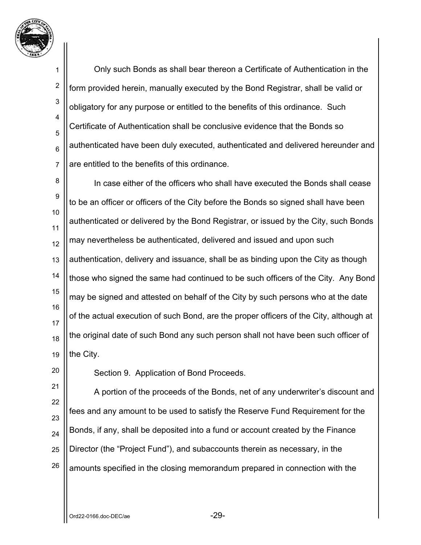

2

3

4

5

6

7

Only such Bonds as shall bear thereon a Certificate of Authentication in the form provided herein, manually executed by the Bond Registrar, shall be valid or obligatory for any purpose or entitled to the benefits of this ordinance. Such Certificate of Authentication shall be conclusive evidence that the Bonds so authenticated have been duly executed, authenticated and delivered hereunder and are entitled to the benefits of this ordinance.

8 9 10 11 12 13 14 15 16 17 18 19 In case either of the officers who shall have executed the Bonds shall cease to be an officer or officers of the City before the Bonds so signed shall have been authenticated or delivered by the Bond Registrar, or issued by the City, such Bonds may nevertheless be authenticated, delivered and issued and upon such authentication, delivery and issuance, shall be as binding upon the City as though those who signed the same had continued to be such officers of the City. Any Bond may be signed and attested on behalf of the City by such persons who at the date of the actual execution of such Bond, are the proper officers of the City, although at the original date of such Bond any such person shall not have been such officer of the City.

20

Section 9. Application of Bond Proceeds.

21 22 23 24 25 26 A portion of the proceeds of the Bonds, net of any underwriter's discount and fees and any amount to be used to satisfy the Reserve Fund Requirement for the Bonds, if any, shall be deposited into a fund or account created by the Finance Director (the "Project Fund"), and subaccounts therein as necessary, in the amounts specified in the closing memorandum prepared in connection with the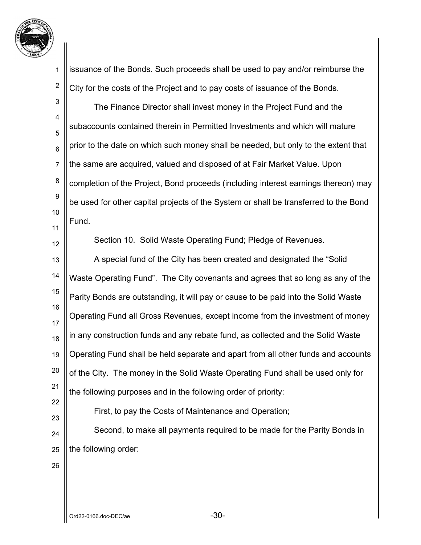

2

issuance of the Bonds. Such proceeds shall be used to pay and/or reimburse the City for the costs of the Project and to pay costs of issuance of the Bonds.

3 4 5 6 7 8 9 10 11 The Finance Director shall invest money in the Project Fund and the subaccounts contained therein in Permitted Investments and which will mature prior to the date on which such money shall be needed, but only to the extent that the same are acquired, valued and disposed of at Fair Market Value. Upon completion of the Project, Bond proceeds (including interest earnings thereon) may be used for other capital projects of the System or shall be transferred to the Bond Fund.

12 13 14 15 16 17 18 19 20 21 22 23 Section 10. Solid Waste Operating Fund; Pledge of Revenues. A special fund of the City has been created and designated the "Solid Waste Operating Fund". The City covenants and agrees that so long as any of the Parity Bonds are outstanding, it will pay or cause to be paid into the Solid Waste Operating Fund all Gross Revenues, except income from the investment of money in any construction funds and any rebate fund, as collected and the Solid Waste Operating Fund shall be held separate and apart from all other funds and accounts of the City. The money in the Solid Waste Operating Fund shall be used only for the following purposes and in the following order of priority: First, to pay the Costs of Maintenance and Operation;

24 25 Second, to make all payments required to be made for the Parity Bonds in the following order:

26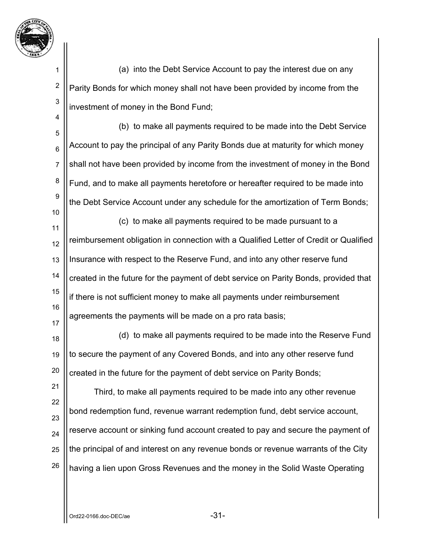

2

3

4

10

 (a) into the Debt Service Account to pay the interest due on any Parity Bonds for which money shall not have been provided by income from the investment of money in the Bond Fund;

5 6 7 8 9 (b) to make all payments required to be made into the Debt Service Account to pay the principal of any Parity Bonds due at maturity for which money shall not have been provided by income from the investment of money in the Bond Fund, and to make all payments heretofore or hereafter required to be made into the Debt Service Account under any schedule for the amortization of Term Bonds;

11 12 13 14 15 16 17 (c) to make all payments required to be made pursuant to a reimbursement obligation in connection with a Qualified Letter of Credit or Qualified Insurance with respect to the Reserve Fund, and into any other reserve fund created in the future for the payment of debt service on Parity Bonds, provided that if there is not sufficient money to make all payments under reimbursement agreements the payments will be made on a pro rata basis;

18 19 20 (d) to make all payments required to be made into the Reserve Fund to secure the payment of any Covered Bonds, and into any other reserve fund created in the future for the payment of debt service on Parity Bonds;

21 22 23 24 25 26 Third, to make all payments required to be made into any other revenue bond redemption fund, revenue warrant redemption fund, debt service account, reserve account or sinking fund account created to pay and secure the payment of the principal of and interest on any revenue bonds or revenue warrants of the City having a lien upon Gross Revenues and the money in the Solid Waste Operating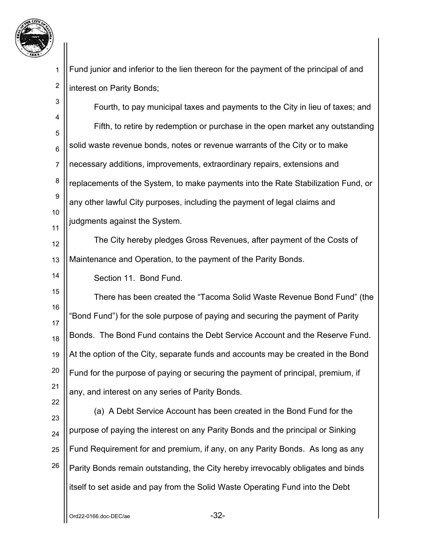

2

14

22

Fund junior and inferior to the lien thereon for the payment of the principal of and interest on Parity Bonds;

3 4 5 6 7 8 9 10 11 Fourth, to pay municipal taxes and payments to the City in lieu of taxes; and Fifth, to retire by redemption or purchase in the open market any outstanding solid waste revenue bonds, notes or revenue warrants of the City or to make necessary additions, improvements, extraordinary repairs, extensions and replacements of the System, to make payments into the Rate Stabilization Fund, or any other lawful City purposes, including the payment of legal claims and judgments against the System.

12 13 The City hereby pledges Gross Revenues, after payment of the Costs of Maintenance and Operation, to the payment of the Parity Bonds.

Section 11. Bond Fund.

15 16 17 18 19 20 21 There has been created the "Tacoma Solid Waste Revenue Bond Fund" (the "Bond Fund") for the sole purpose of paying and securing the payment of Parity Bonds. The Bond Fund contains the Debt Service Account and the Reserve Fund. At the option of the City, separate funds and accounts may be created in the Bond Fund for the purpose of paying or securing the payment of principal, premium, if any, and interest on any series of Parity Bonds.

23 24 25 26 (a) A Debt Service Account has been created in the Bond Fund for the purpose of paying the interest on any Parity Bonds and the principal or Sinking Fund Requirement for and premium, if any, on any Parity Bonds. As long as any Parity Bonds remain outstanding, the City hereby irrevocably obligates and binds itself to set aside and pay from the Solid Waste Operating Fund into the Debt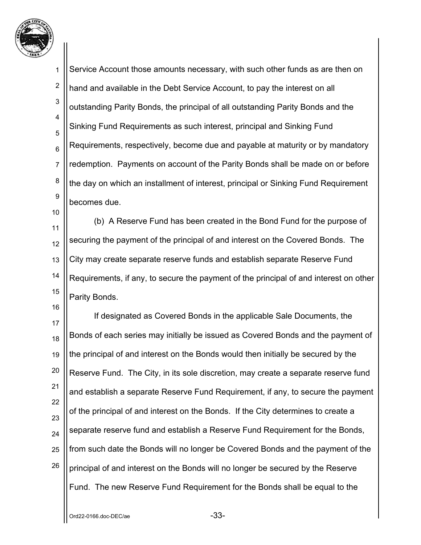

16

1 2 3 4 5 6 7 8 9 Service Account those amounts necessary, with such other funds as are then on hand and available in the Debt Service Account, to pay the interest on all outstanding Parity Bonds, the principal of all outstanding Parity Bonds and the Sinking Fund Requirements as such interest, principal and Sinking Fund Requirements, respectively, become due and payable at maturity or by mandatory redemption. Payments on account of the Parity Bonds shall be made on or before the day on which an installment of interest, principal or Sinking Fund Requirement becomes due.

11 12 13 14 15 (b) A Reserve Fund has been created in the Bond Fund for the purpose of securing the payment of the principal of and interest on the Covered Bonds. The City may create separate reserve funds and establish separate Reserve Fund Requirements, if any, to secure the payment of the principal of and interest on other Parity Bonds.

17 18 19 20 21 22 23 24 25 26 If designated as Covered Bonds in the applicable Sale Documents, the Bonds of each series may initially be issued as Covered Bonds and the payment of the principal of and interest on the Bonds would then initially be secured by the Reserve Fund. The City, in its sole discretion, may create a separate reserve fund and establish a separate Reserve Fund Requirement, if any, to secure the payment of the principal of and interest on the Bonds. If the City determines to create a separate reserve fund and establish a Reserve Fund Requirement for the Bonds, from such date the Bonds will no longer be Covered Bonds and the payment of the principal of and interest on the Bonds will no longer be secured by the Reserve Fund. The new Reserve Fund Requirement for the Bonds shall be equal to the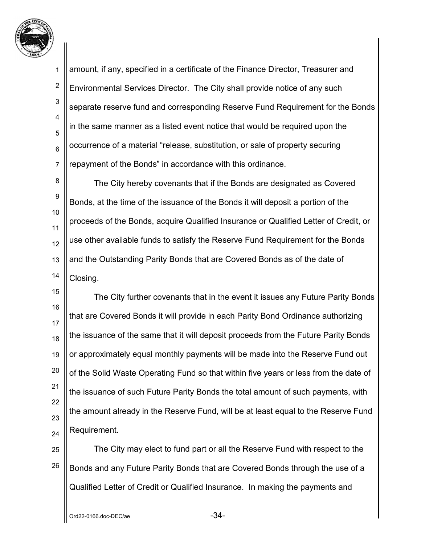

2

3

4

5

6

7

amount, if any, specified in a certificate of the Finance Director, Treasurer and Environmental Services Director. The City shall provide notice of any such separate reserve fund and corresponding Reserve Fund Requirement for the Bonds in the same manner as a listed event notice that would be required upon the occurrence of a material "release, substitution, or sale of property securing repayment of the Bonds" in accordance with this ordinance.

8 9 10 11 12 13 14 The City hereby covenants that if the Bonds are designated as Covered Bonds, at the time of the issuance of the Bonds it will deposit a portion of the proceeds of the Bonds, acquire Qualified Insurance or Qualified Letter of Credit, or use other available funds to satisfy the Reserve Fund Requirement for the Bonds and the Outstanding Parity Bonds that are Covered Bonds as of the date of Closing.

15 16 17 18 19 20 21 22 23 24 The City further covenants that in the event it issues any Future Parity Bonds that are Covered Bonds it will provide in each Parity Bond Ordinance authorizing the issuance of the same that it will deposit proceeds from the Future Parity Bonds or approximately equal monthly payments will be made into the Reserve Fund out of the Solid Waste Operating Fund so that within five years or less from the date of the issuance of such Future Parity Bonds the total amount of such payments, with the amount already in the Reserve Fund, will be at least equal to the Reserve Fund Requirement.

25 26 The City may elect to fund part or all the Reserve Fund with respect to the Bonds and any Future Parity Bonds that are Covered Bonds through the use of a Qualified Letter of Credit or Qualified Insurance. In making the payments and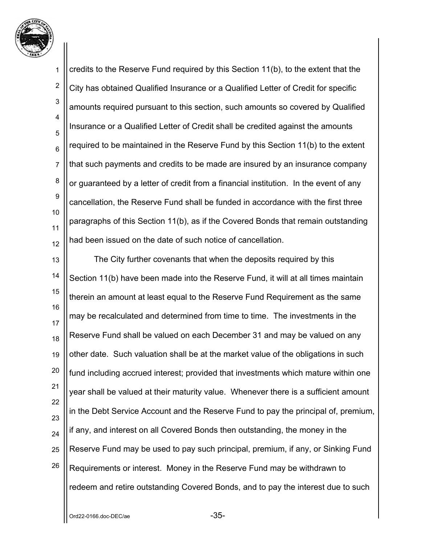

1 2 3 4 5 6 7 8 9 10 11 12 credits to the Reserve Fund required by this Section 11(b), to the extent that the City has obtained Qualified Insurance or a Qualified Letter of Credit for specific amounts required pursuant to this section, such amounts so covered by Qualified Insurance or a Qualified Letter of Credit shall be credited against the amounts required to be maintained in the Reserve Fund by this Section 11(b) to the extent that such payments and credits to be made are insured by an insurance company or guaranteed by a letter of credit from a financial institution. In the event of any cancellation, the Reserve Fund shall be funded in accordance with the first three paragraphs of this Section 11(b), as if the Covered Bonds that remain outstanding had been issued on the date of such notice of cancellation.

13 14 15 16 17 18 19 20 21 22 23 24 25 26 The City further covenants that when the deposits required by this Section 11(b) have been made into the Reserve Fund, it will at all times maintain therein an amount at least equal to the Reserve Fund Requirement as the same may be recalculated and determined from time to time. The investments in the Reserve Fund shall be valued on each December 31 and may be valued on any other date. Such valuation shall be at the market value of the obligations in such fund including accrued interest; provided that investments which mature within one year shall be valued at their maturity value. Whenever there is a sufficient amount in the Debt Service Account and the Reserve Fund to pay the principal of, premium, if any, and interest on all Covered Bonds then outstanding, the money in the Reserve Fund may be used to pay such principal, premium, if any, or Sinking Fund Requirements or interest. Money in the Reserve Fund may be withdrawn to redeem and retire outstanding Covered Bonds, and to pay the interest due to such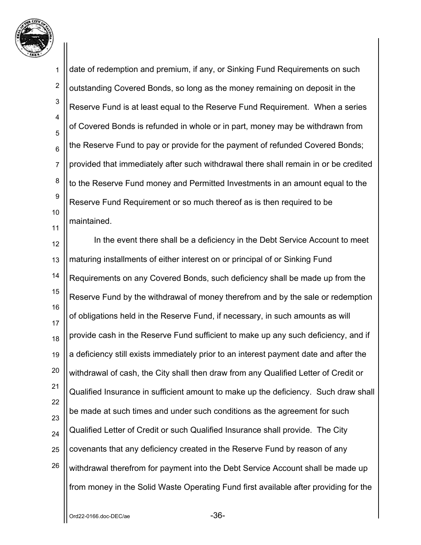

1 2 3 4 5 6 7 8 9 10 11 date of redemption and premium, if any, or Sinking Fund Requirements on such outstanding Covered Bonds, so long as the money remaining on deposit in the Reserve Fund is at least equal to the Reserve Fund Requirement. When a series of Covered Bonds is refunded in whole or in part, money may be withdrawn from the Reserve Fund to pay or provide for the payment of refunded Covered Bonds; provided that immediately after such withdrawal there shall remain in or be credited to the Reserve Fund money and Permitted Investments in an amount equal to the Reserve Fund Requirement or so much thereof as is then required to be maintained.

12 13 14 15 16 17 18 19 20 21 22 23 24 25 26 In the event there shall be a deficiency in the Debt Service Account to meet maturing installments of either interest on or principal of or Sinking Fund Requirements on any Covered Bonds, such deficiency shall be made up from the Reserve Fund by the withdrawal of money therefrom and by the sale or redemption of obligations held in the Reserve Fund, if necessary, in such amounts as will provide cash in the Reserve Fund sufficient to make up any such deficiency, and if a deficiency still exists immediately prior to an interest payment date and after the withdrawal of cash, the City shall then draw from any Qualified Letter of Credit or Qualified Insurance in sufficient amount to make up the deficiency. Such draw shall be made at such times and under such conditions as the agreement for such Qualified Letter of Credit or such Qualified Insurance shall provide. The City covenants that any deficiency created in the Reserve Fund by reason of any withdrawal therefrom for payment into the Debt Service Account shall be made up from money in the Solid Waste Operating Fund first available after providing for the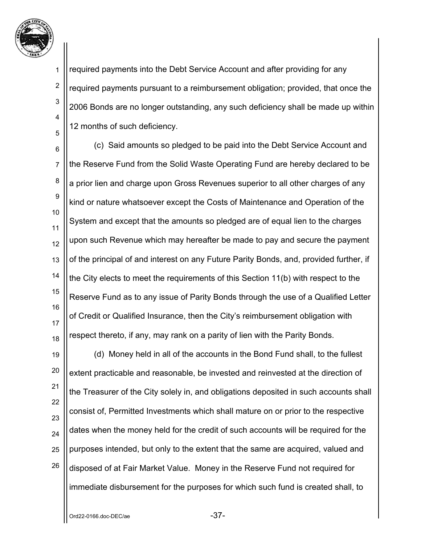

2

3

4

5

required payments into the Debt Service Account and after providing for any required payments pursuant to a reimbursement obligation; provided, that once the 2006 Bonds are no longer outstanding, any such deficiency shall be made up within 12 months of such deficiency.

6 7 8 9 10 11 12 13 14 15 16 17 18 (c) Said amounts so pledged to be paid into the Debt Service Account and the Reserve Fund from the Solid Waste Operating Fund are hereby declared to be a prior lien and charge upon Gross Revenues superior to all other charges of any kind or nature whatsoever except the Costs of Maintenance and Operation of the System and except that the amounts so pledged are of equal lien to the charges upon such Revenue which may hereafter be made to pay and secure the payment of the principal of and interest on any Future Parity Bonds, and, provided further, if the City elects to meet the requirements of this Section 11(b) with respect to the Reserve Fund as to any issue of Parity Bonds through the use of a Qualified Letter of Credit or Qualified Insurance, then the City's reimbursement obligation with respect thereto, if any, may rank on a parity of lien with the Parity Bonds.

19 20 21 22 23 24 25 26 (d) Money held in all of the accounts in the Bond Fund shall, to the fullest extent practicable and reasonable, be invested and reinvested at the direction of the Treasurer of the City solely in, and obligations deposited in such accounts shall consist of, Permitted Investments which shall mature on or prior to the respective dates when the money held for the credit of such accounts will be required for the purposes intended, but only to the extent that the same are acquired, valued and disposed of at Fair Market Value. Money in the Reserve Fund not required for immediate disbursement for the purposes for which such fund is created shall, to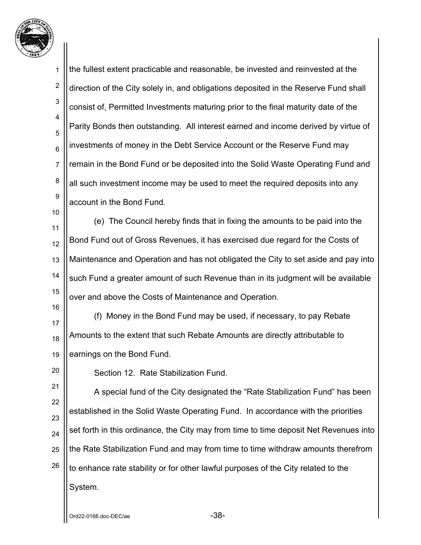

1 2 3 4 5 6 7 8 9 10 11 the fullest extent practicable and reasonable, be invested and reinvested at the direction of the City solely in, and obligations deposited in the Reserve Fund shall consist of, Permitted Investments maturing prior to the final maturity date of the Parity Bonds then outstanding. All interest earned and income derived by virtue of investments of money in the Debt Service Account or the Reserve Fund may remain in the Bond Fund or be deposited into the Solid Waste Operating Fund and all such investment income may be used to meet the required deposits into any account in the Bond Fund. (e) The Council hereby finds that in fixing the amounts to be paid into the

12 13 14 15 Bond Fund out of Gross Revenues, it has exercised due regard for the Costs of Maintenance and Operation and has not obligated the City to set aside and pay into such Fund a greater amount of such Revenue than in its judgment will be available over and above the Costs of Maintenance and Operation.

17 18 19 (f) Money in the Bond Fund may be used, if necessary, to pay Rebate Amounts to the extent that such Rebate Amounts are directly attributable to earnings on the Bond Fund.

20

16

Section 12. Rate Stabilization Fund.

21 22 23 24 25 26 A special fund of the City designated the "Rate Stabilization Fund" has been established in the Solid Waste Operating Fund. In accordance with the priorities set forth in this ordinance, the City may from time to time deposit Net Revenues into the Rate Stabilization Fund and may from time to time withdraw amounts therefrom to enhance rate stability or for other lawful purposes of the City related to the System.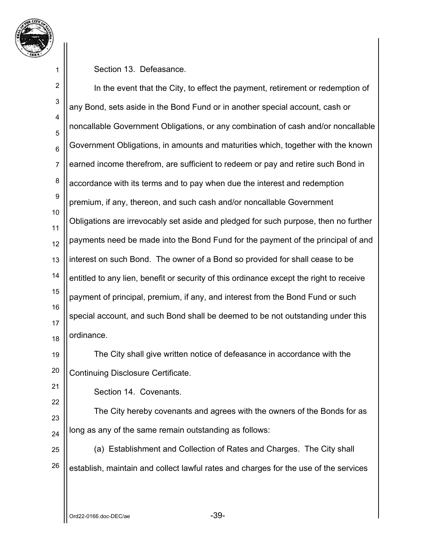

Section 13. Defeasance.

2 3 4 5 6 7 8 9 10 11 12 13 14 15 16 17 18 In the event that the City, to effect the payment, retirement or redemption of any Bond, sets aside in the Bond Fund or in another special account, cash or noncallable Government Obligations, or any combination of cash and/or noncallable Government Obligations, in amounts and maturities which, together with the known earned income therefrom, are sufficient to redeem or pay and retire such Bond in accordance with its terms and to pay when due the interest and redemption premium, if any, thereon, and such cash and/or noncallable Government Obligations are irrevocably set aside and pledged for such purpose, then no further payments need be made into the Bond Fund for the payment of the principal of and interest on such Bond. The owner of a Bond so provided for shall cease to be entitled to any lien, benefit or security of this ordinance except the right to receive payment of principal, premium, if any, and interest from the Bond Fund or such special account, and such Bond shall be deemed to be not outstanding under this ordinance.

19 20 The City shall give written notice of defeasance in accordance with the Continuing Disclosure Certificate.

21 22

Section 14. Covenants.

23 24 The City hereby covenants and agrees with the owners of the Bonds for as long as any of the same remain outstanding as follows:

25 26 (a) Establishment and Collection of Rates and Charges. The City shall establish, maintain and collect lawful rates and charges for the use of the services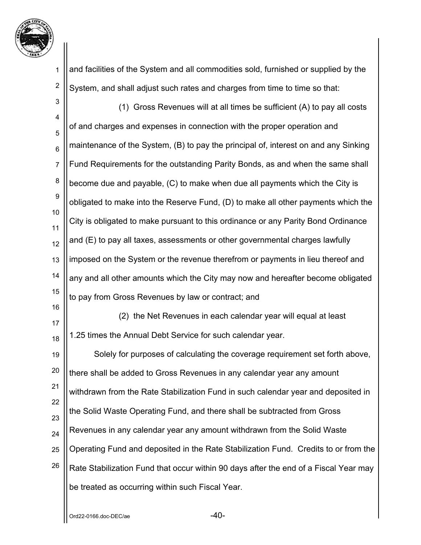

2

and facilities of the System and all commodities sold, furnished or supplied by the System, and shall adjust such rates and charges from time to time so that:

3 4 5 6 7 8 9 10 11 12 13 14 15 16 17 18 19 20 21 22 23 24 25 26 (1) Gross Revenues will at all times be sufficient (A) to pay all costs of and charges and expenses in connection with the proper operation and maintenance of the System, (B) to pay the principal of, interest on and any Sinking Fund Requirements for the outstanding Parity Bonds, as and when the same shall become due and payable, (C) to make when due all payments which the City is obligated to make into the Reserve Fund, (D) to make all other payments which the City is obligated to make pursuant to this ordinance or any Parity Bond Ordinance and (E) to pay all taxes, assessments or other governmental charges lawfully imposed on the System or the revenue therefrom or payments in lieu thereof and any and all other amounts which the City may now and hereafter become obligated to pay from Gross Revenues by law or contract; and (2) the Net Revenues in each calendar year will equal at least 1.25 times the Annual Debt Service for such calendar year. Solely for purposes of calculating the coverage requirement set forth above, there shall be added to Gross Revenues in any calendar year any amount withdrawn from the Rate Stabilization Fund in such calendar year and deposited in the Solid Waste Operating Fund, and there shall be subtracted from Gross Revenues in any calendar year any amount withdrawn from the Solid Waste Operating Fund and deposited in the Rate Stabilization Fund. Credits to or from the Rate Stabilization Fund that occur within 90 days after the end of a Fiscal Year may be treated as occurring within such Fiscal Year.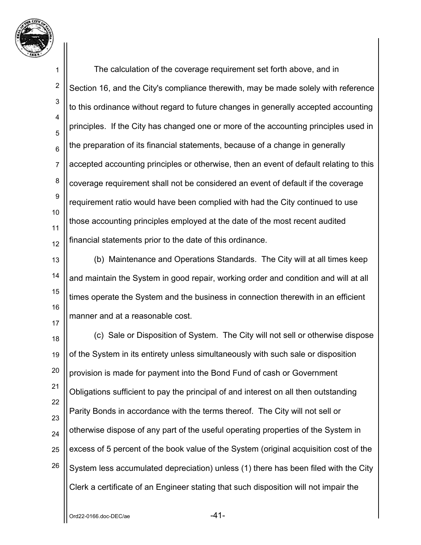

1 2 3 4 5 6 7 8 9 10 11 12 The calculation of the coverage requirement set forth above, and in Section 16, and the City's compliance therewith, may be made solely with reference to this ordinance without regard to future changes in generally accepted accounting principles. If the City has changed one or more of the accounting principles used in the preparation of its financial statements, because of a change in generally accepted accounting principles or otherwise, then an event of default relating to this coverage requirement shall not be considered an event of default if the coverage requirement ratio would have been complied with had the City continued to use those accounting principles employed at the date of the most recent audited financial statements prior to the date of this ordinance.

13 14 15 16 17 (b) Maintenance and Operations Standards. The City will at all times keep and maintain the System in good repair, working order and condition and will at all times operate the System and the business in connection therewith in an efficient manner and at a reasonable cost.

18 19 20 21 22 23 24 25 26 (c) Sale or Disposition of System. The City will not sell or otherwise dispose of the System in its entirety unless simultaneously with such sale or disposition provision is made for payment into the Bond Fund of cash or Government Obligations sufficient to pay the principal of and interest on all then outstanding Parity Bonds in accordance with the terms thereof. The City will not sell or otherwise dispose of any part of the useful operating properties of the System in excess of 5 percent of the book value of the System (original acquisition cost of the System less accumulated depreciation) unless (1) there has been filed with the City Clerk a certificate of an Engineer stating that such disposition will not impair the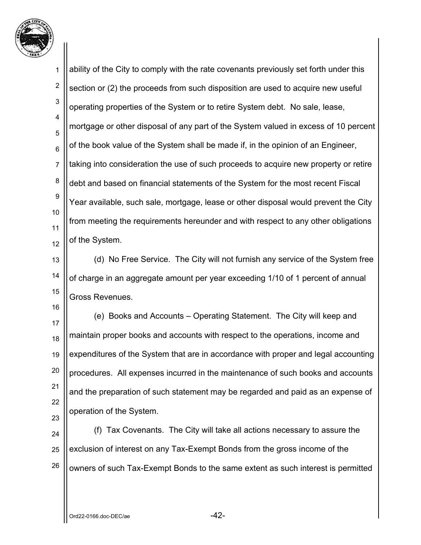

1 2 3 4 5 6 7 8 9 10 11 12 ability of the City to comply with the rate covenants previously set forth under this section or (2) the proceeds from such disposition are used to acquire new useful operating properties of the System or to retire System debt. No sale, lease, mortgage or other disposal of any part of the System valued in excess of 10 percent of the book value of the System shall be made if, in the opinion of an Engineer, taking into consideration the use of such proceeds to acquire new property or retire debt and based on financial statements of the System for the most recent Fiscal Year available, such sale, mortgage, lease or other disposal would prevent the City from meeting the requirements hereunder and with respect to any other obligations of the System.

13 14 15 (d) No Free Service. The City will not furnish any service of the System free of charge in an aggregate amount per year exceeding 1/10 of 1 percent of annual Gross Revenues.

17 18 19 20 21 22 23 (e) Books and Accounts – Operating Statement. The City will keep and maintain proper books and accounts with respect to the operations, income and expenditures of the System that are in accordance with proper and legal accounting procedures. All expenses incurred in the maintenance of such books and accounts and the preparation of such statement may be regarded and paid as an expense of operation of the System.

24 25 26 (f) Tax Covenants. The City will take all actions necessary to assure the exclusion of interest on any Tax-Exempt Bonds from the gross income of the owners of such Tax-Exempt Bonds to the same extent as such interest is permitted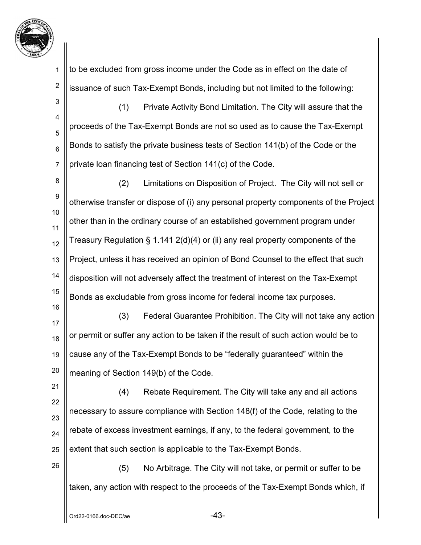

2

16

26

to be excluded from gross income under the Code as in effect on the date of issuance of such Tax-Exempt Bonds, including but not limited to the following:

3 4 5 6 7 (1) Private Activity Bond Limitation. The City will assure that the proceeds of the Tax-Exempt Bonds are not so used as to cause the Tax-Exempt Bonds to satisfy the private business tests of Section 141(b) of the Code or the private loan financing test of Section 141(c) of the Code.

8 9 10 11 12 13 14 15 (2) Limitations on Disposition of Project. The City will not sell or otherwise transfer or dispose of (i) any personal property components of the Project other than in the ordinary course of an established government program under Treasury Regulation § 1.141 2(d)(4) or (ii) any real property components of the Project, unless it has received an opinion of Bond Counsel to the effect that such disposition will not adversely affect the treatment of interest on the Tax-Exempt Bonds as excludable from gross income for federal income tax purposes.

17 18 19 20 (3) Federal Guarantee Prohibition. The City will not take any action or permit or suffer any action to be taken if the result of such action would be to cause any of the Tax-Exempt Bonds to be "federally guaranteed" within the meaning of Section 149(b) of the Code.

21 22 23 24 25 (4) Rebate Requirement. The City will take any and all actions necessary to assure compliance with Section 148(f) of the Code, relating to the rebate of excess investment earnings, if any, to the federal government, to the extent that such section is applicable to the Tax-Exempt Bonds.

(5) No Arbitrage. The City will not take, or permit or suffer to be taken, any action with respect to the proceeds of the Tax-Exempt Bonds which, if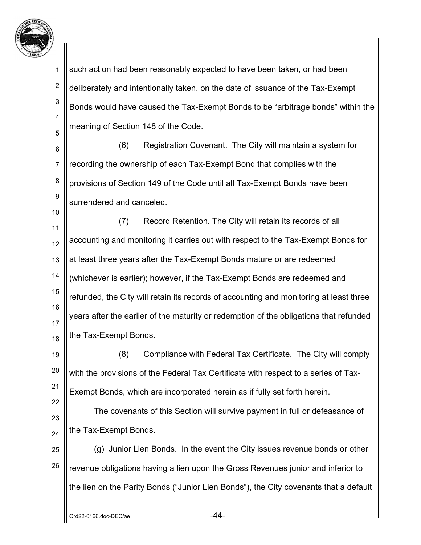

1 2 3 4 5 such action had been reasonably expected to have been taken, or had been deliberately and intentionally taken, on the date of issuance of the Tax-Exempt Bonds would have caused the Tax-Exempt Bonds to be "arbitrage bonds" within the meaning of Section 148 of the Code.

6 7 8 9 (6) Registration Covenant. The City will maintain a system for recording the ownership of each Tax-Exempt Bond that complies with the provisions of Section 149 of the Code until all Tax-Exempt Bonds have been surrendered and canceled.

11 12 13 14 15 16 17 18 (7) Record Retention. The City will retain its records of all accounting and monitoring it carries out with respect to the Tax-Exempt Bonds for at least three years after the Tax-Exempt Bonds mature or are redeemed (whichever is earlier); however, if the Tax-Exempt Bonds are redeemed and refunded, the City will retain its records of accounting and monitoring at least three years after the earlier of the maturity or redemption of the obligations that refunded the Tax-Exempt Bonds.

19 20 21 22 (8) Compliance with Federal Tax Certificate. The City will comply with the provisions of the Federal Tax Certificate with respect to a series of Tax-Exempt Bonds, which are incorporated herein as if fully set forth herein.

23 24 The covenants of this Section will survive payment in full or defeasance of the Tax-Exempt Bonds.

25 26 (g) Junior Lien Bonds. In the event the City issues revenue bonds or other revenue obligations having a lien upon the Gross Revenues junior and inferior to the lien on the Parity Bonds ("Junior Lien Bonds"), the City covenants that a default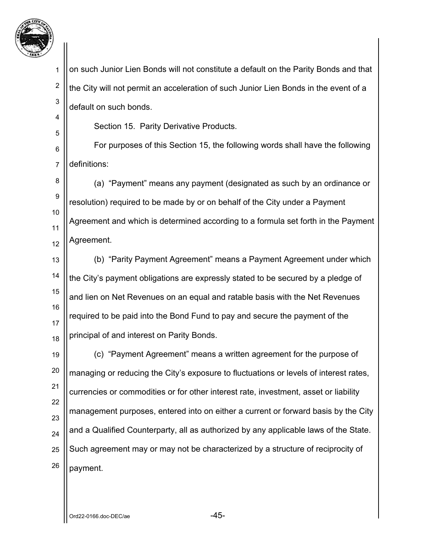

1 2 3 4 5 6 7 8 9 10 11 12 13 14 15 16 17 18 19 20 21 22 23 24 25 26 on such Junior Lien Bonds will not constitute a default on the Parity Bonds and that the City will not permit an acceleration of such Junior Lien Bonds in the event of a default on such bonds. Section 15. Parity Derivative Products. For purposes of this Section 15, the following words shall have the following definitions: (a) "Payment" means any payment (designated as such by an ordinance or resolution) required to be made by or on behalf of the City under a Payment Agreement and which is determined according to a formula set forth in the Payment Agreement. (b) "Parity Payment Agreement" means a Payment Agreement under which the City's payment obligations are expressly stated to be secured by a pledge of and lien on Net Revenues on an equal and ratable basis with the Net Revenues required to be paid into the Bond Fund to pay and secure the payment of the principal of and interest on Parity Bonds. (c) "Payment Agreement" means a written agreement for the purpose of managing or reducing the City's exposure to fluctuations or levels of interest rates, currencies or commodities or for other interest rate, investment, asset or liability management purposes, entered into on either a current or forward basis by the City and a Qualified Counterparty, all as authorized by any applicable laws of the State. Such agreement may or may not be characterized by a structure of reciprocity of payment.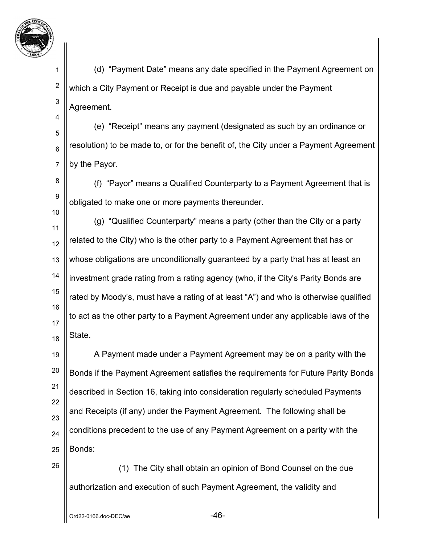

2

3

4

5

6

7

10

26

 (d) "Payment Date" means any date specified in the Payment Agreement on which a City Payment or Receipt is due and payable under the Payment Agreement.

 (e) "Receipt" means any payment (designated as such by an ordinance or resolution) to be made to, or for the benefit of, the City under a Payment Agreement by the Payor.

8 9 (f) "Payor" means a Qualified Counterparty to a Payment Agreement that is obligated to make one or more payments thereunder.

11 12 13 14 15 16 17 18 (g) "Qualified Counterparty" means a party (other than the City or a party related to the City) who is the other party to a Payment Agreement that has or whose obligations are unconditionally guaranteed by a party that has at least an investment grade rating from a rating agency (who, if the City's Parity Bonds are rated by Moody's, must have a rating of at least "A") and who is otherwise qualified to act as the other party to a Payment Agreement under any applicable laws of the State.

19 20 21 22 23 24 25 A Payment made under a Payment Agreement may be on a parity with the Bonds if the Payment Agreement satisfies the requirements for Future Parity Bonds described in Section 16, taking into consideration regularly scheduled Payments and Receipts (if any) under the Payment Agreement. The following shall be conditions precedent to the use of any Payment Agreement on a parity with the Bonds:

 (1) The City shall obtain an opinion of Bond Counsel on the due authorization and execution of such Payment Agreement, the validity and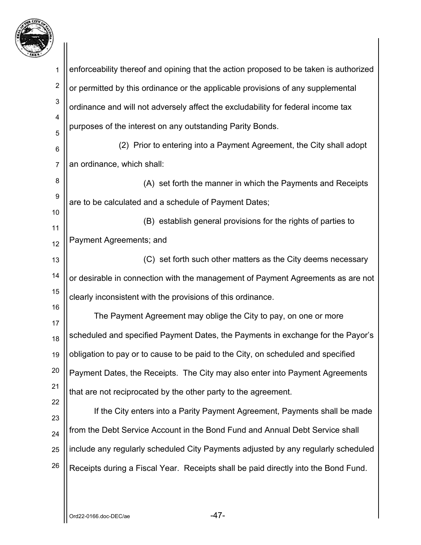

| 1                | enforceability thereof and opining that the action proposed to be taken is authorized |
|------------------|---------------------------------------------------------------------------------------|
| $\boldsymbol{2}$ | or permitted by this ordinance or the applicable provisions of any supplemental       |
| 3                | ordinance and will not adversely affect the excludability for federal income tax      |
| 4                | purposes of the interest on any outstanding Parity Bonds.                             |
| 5<br>6           | (2) Prior to entering into a Payment Agreement, the City shall adopt                  |
| $\overline{7}$   | an ordinance, which shall:                                                            |
| 8                | (A) set forth the manner in which the Payments and Receipts                           |
| 9                | are to be calculated and a schedule of Payment Dates;                                 |
| 10               |                                                                                       |
| 11               | (B) establish general provisions for the rights of parties to                         |
| 12               | Payment Agreements; and                                                               |
| 13               | (C) set forth such other matters as the City deems necessary                          |
| 14               | or desirable in connection with the management of Payment Agreements as are not       |
| 15               | clearly inconsistent with the provisions of this ordinance.                           |
| 16               | The Payment Agreement may oblige the City to pay, on one or more                      |
| 17<br>18         | scheduled and specified Payment Dates, the Payments in exchange for the Payor's       |
| 19               | obligation to pay or to cause to be paid to the City, on scheduled and specified      |
| 20               | Payment Dates, the Receipts. The City may also enter into Payment Agreements          |
| 21               | that are not reciprocated by the other party to the agreement.                        |
| 22               | If the City enters into a Parity Payment Agreement, Payments shall be made            |
| 23               |                                                                                       |
| 24               | from the Debt Service Account in the Bond Fund and Annual Debt Service shall          |
| 25               | include any regularly scheduled City Payments adjusted by any regularly scheduled     |
| 26               | Receipts during a Fiscal Year. Receipts shall be paid directly into the Bond Fund.    |
|                  |                                                                                       |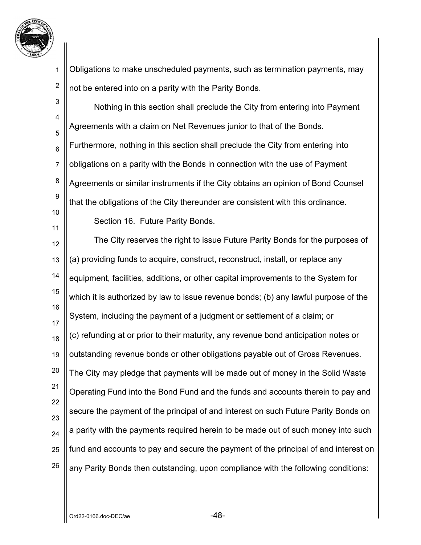

2 Obligations to make unscheduled payments, such as termination payments, may not be entered into on a parity with the Parity Bonds.

3 4 5 6 7 8 9 10 11 12 13 14 15 16 17 18 19 20 21 22 23 24 25 26 Nothing in this section shall preclude the City from entering into Payment Agreements with a claim on Net Revenues junior to that of the Bonds. Furthermore, nothing in this section shall preclude the City from entering into obligations on a parity with the Bonds in connection with the use of Payment Agreements or similar instruments if the City obtains an opinion of Bond Counsel that the obligations of the City thereunder are consistent with this ordinance. Section 16. Future Parity Bonds. The City reserves the right to issue Future Parity Bonds for the purposes of (a) providing funds to acquire, construct, reconstruct, install, or replace any equipment, facilities, additions, or other capital improvements to the System for which it is authorized by law to issue revenue bonds; (b) any lawful purpose of the System, including the payment of a judgment or settlement of a claim; or (c) refunding at or prior to their maturity, any revenue bond anticipation notes or outstanding revenue bonds or other obligations payable out of Gross Revenues. The City may pledge that payments will be made out of money in the Solid Waste Operating Fund into the Bond Fund and the funds and accounts therein to pay and secure the payment of the principal of and interest on such Future Parity Bonds on a parity with the payments required herein to be made out of such money into such fund and accounts to pay and secure the payment of the principal of and interest on any Parity Bonds then outstanding, upon compliance with the following conditions: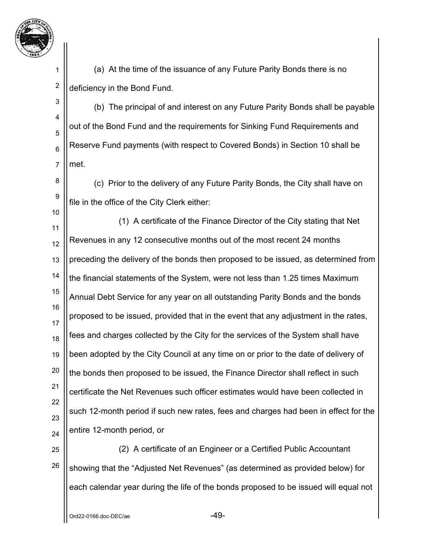

2

3

5

6

7

8

9

10

 (a) At the time of the issuance of any Future Parity Bonds there is no deficiency in the Bond Fund.

4 (b) The principal of and interest on any Future Parity Bonds shall be payable out of the Bond Fund and the requirements for Sinking Fund Requirements and Reserve Fund payments (with respect to Covered Bonds) in Section 10 shall be met.

 (c) Prior to the delivery of any Future Parity Bonds, the City shall have on file in the office of the City Clerk either:

11 12 13 14 15 16 17 18 19 20 21 22 23 24 (1) A certificate of the Finance Director of the City stating that Net Revenues in any 12 consecutive months out of the most recent 24 months preceding the delivery of the bonds then proposed to be issued, as determined from the financial statements of the System, were not less than 1.25 times Maximum Annual Debt Service for any year on all outstanding Parity Bonds and the bonds proposed to be issued, provided that in the event that any adjustment in the rates, fees and charges collected by the City for the services of the System shall have been adopted by the City Council at any time on or prior to the date of delivery of the bonds then proposed to be issued, the Finance Director shall reflect in such certificate the Net Revenues such officer estimates would have been collected in such 12-month period if such new rates, fees and charges had been in effect for the entire 12-month period, or

25 26 (2) A certificate of an Engineer or a Certified Public Accountant showing that the "Adjusted Net Revenues" (as determined as provided below) for each calendar year during the life of the bonds proposed to be issued will equal not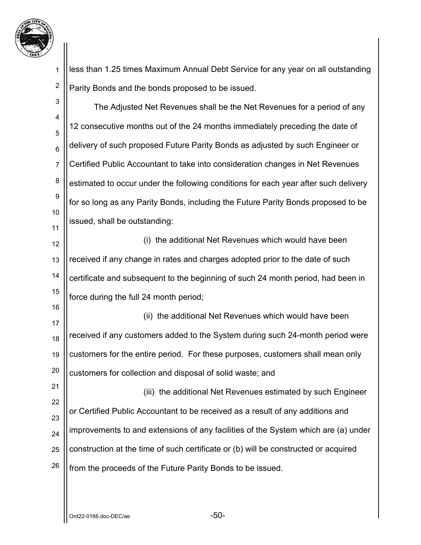

1 2 less than 1.25 times Maximum Annual Debt Service for any year on all outstanding Parity Bonds and the bonds proposed to be issued.

| 3               | The Adjusted Net Revenues shall be the Net Revenues for a period of any             |
|-----------------|-------------------------------------------------------------------------------------|
| 4<br>5          | 12 consecutive months out of the 24 months immediately preceding the date of        |
| $6\phantom{1}6$ | delivery of such proposed Future Parity Bonds as adjusted by such Engineer or       |
| $\overline{7}$  | Certified Public Accountant to take into consideration changes in Net Revenues      |
| 8               | estimated to occur under the following conditions for each year after such delivery |
| 9<br>10         | for so long as any Parity Bonds, including the Future Parity Bonds proposed to be   |
| 11              | issued, shall be outstanding:                                                       |
| 12              | (i) the additional Net Revenues which would have been                               |
| 13              | received if any change in rates and charges adopted prior to the date of such       |
| 14              | certificate and subsequent to the beginning of such 24 month period, had been in    |
| 15              | force during the full 24 month period;                                              |
| 16              | (ii) the additional Net Revenues which would have been                              |
| 17<br>18        | received if any customers added to the System during such 24-month period were      |
| 19              | customers for the entire period. For these purposes, customers shall mean only      |
| 20              | customers for collection and disposal of solid waste; and                           |
| 21              | (iii) the additional Net Revenues estimated by such Engineer                        |
| 22              | or Certified Public Accountant to be received as a result of any additions and      |
| 23<br>24        | improvements to and extensions of any facilities of the System which are (a) under  |
| 25              | construction at the time of such certificate or (b) will be constructed or acquired |
| 26              | from the proceeds of the Future Parity Bonds to be issued.                          |
|                 |                                                                                     |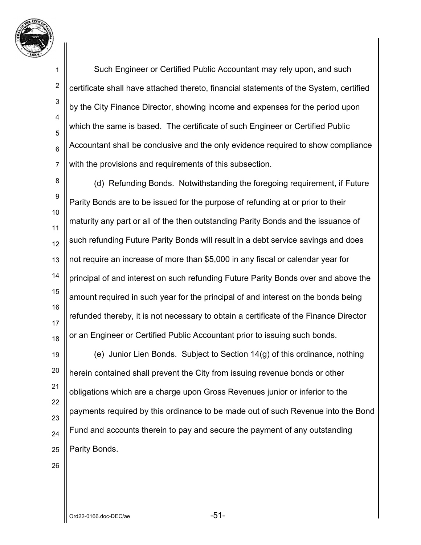

2

3

4

5

6

7

 Such Engineer or Certified Public Accountant may rely upon, and such certificate shall have attached thereto, financial statements of the System, certified by the City Finance Director, showing income and expenses for the period upon which the same is based. The certificate of such Engineer or Certified Public Accountant shall be conclusive and the only evidence required to show compliance with the provisions and requirements of this subsection.

8 9 10 11 12 13 14 15 16 17 18 (d) Refunding Bonds. Notwithstanding the foregoing requirement, if Future Parity Bonds are to be issued for the purpose of refunding at or prior to their maturity any part or all of the then outstanding Parity Bonds and the issuance of such refunding Future Parity Bonds will result in a debt service savings and does not require an increase of more than \$5,000 in any fiscal or calendar year for principal of and interest on such refunding Future Parity Bonds over and above the amount required in such year for the principal of and interest on the bonds being refunded thereby, it is not necessary to obtain a certificate of the Finance Director or an Engineer or Certified Public Accountant prior to issuing such bonds.

19 20 21 22 23 24 25 (e) Junior Lien Bonds. Subject to Section 14(g) of this ordinance, nothing herein contained shall prevent the City from issuing revenue bonds or other obligations which are a charge upon Gross Revenues junior or inferior to the payments required by this ordinance to be made out of such Revenue into the Bond Fund and accounts therein to pay and secure the payment of any outstanding Parity Bonds.

26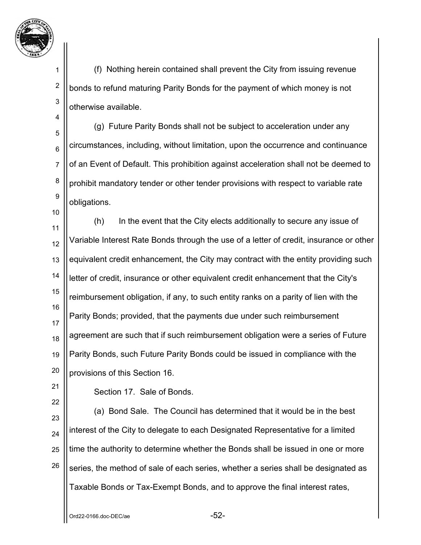

2

3

4

5

6

7

8

9

10

 (f) Nothing herein contained shall prevent the City from issuing revenue bonds to refund maturing Parity Bonds for the payment of which money is not otherwise available.

 (g) Future Parity Bonds shall not be subject to acceleration under any circumstances, including, without limitation, upon the occurrence and continuance of an Event of Default. This prohibition against acceleration shall not be deemed to prohibit mandatory tender or other tender provisions with respect to variable rate obligations.

11 12 13 14 15 16 17 18 19 20 (h) In the event that the City elects additionally to secure any issue of Variable Interest Rate Bonds through the use of a letter of credit, insurance or other equivalent credit enhancement, the City may contract with the entity providing such letter of credit, insurance or other equivalent credit enhancement that the City's reimbursement obligation, if any, to such entity ranks on a parity of lien with the Parity Bonds; provided, that the payments due under such reimbursement agreement are such that if such reimbursement obligation were a series of Future Parity Bonds, such Future Parity Bonds could be issued in compliance with the provisions of this Section 16.

21 22

Section 17. Sale of Bonds.

23 24 25 26 (a) Bond Sale. The Council has determined that it would be in the best interest of the City to delegate to each Designated Representative for a limited time the authority to determine whether the Bonds shall be issued in one or more series, the method of sale of each series, whether a series shall be designated as Taxable Bonds or Tax-Exempt Bonds, and to approve the final interest rates,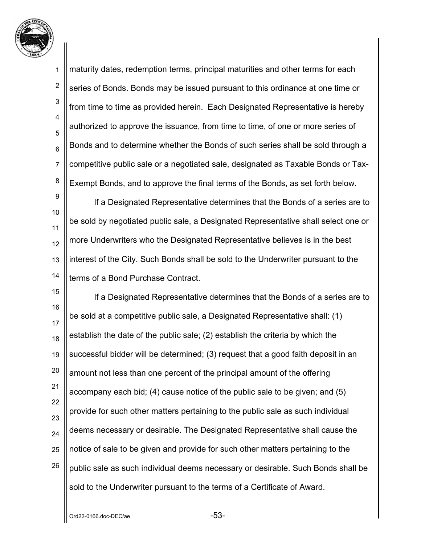

2 3 4 5 6 7 8 maturity dates, redemption terms, principal maturities and other terms for each series of Bonds. Bonds may be issued pursuant to this ordinance at one time or from time to time as provided herein. Each Designated Representative is hereby authorized to approve the issuance, from time to time, of one or more series of Bonds and to determine whether the Bonds of such series shall be sold through a competitive public sale or a negotiated sale, designated as Taxable Bonds or Tax-Exempt Bonds, and to approve the final terms of the Bonds, as set forth below.

9 10 11 12 13 14 If a Designated Representative determines that the Bonds of a series are to be sold by negotiated public sale, a Designated Representative shall select one or more Underwriters who the Designated Representative believes is in the best interest of the City. Such Bonds shall be sold to the Underwriter pursuant to the terms of a Bond Purchase Contract.

15 16 17 18 19 20 21 22 23 24 25 26 If a Designated Representative determines that the Bonds of a series are to be sold at a competitive public sale, a Designated Representative shall: (1) establish the date of the public sale; (2) establish the criteria by which the successful bidder will be determined; (3) request that a good faith deposit in an amount not less than one percent of the principal amount of the offering accompany each bid; (4) cause notice of the public sale to be given; and (5) provide for such other matters pertaining to the public sale as such individual deems necessary or desirable. The Designated Representative shall cause the notice of sale to be given and provide for such other matters pertaining to the public sale as such individual deems necessary or desirable. Such Bonds shall be sold to the Underwriter pursuant to the terms of a Certificate of Award.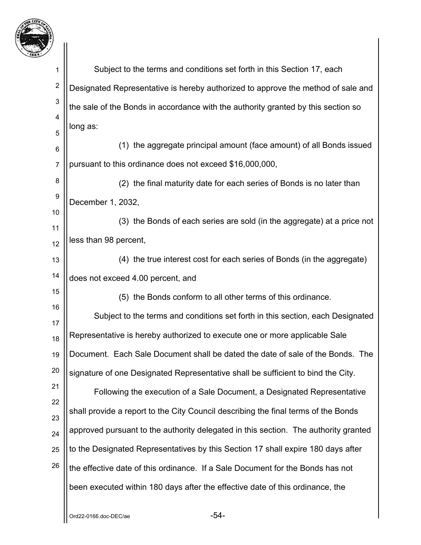

| 1              | Subject to the terms and conditions set forth in this Section 17, each              |
|----------------|-------------------------------------------------------------------------------------|
| $\overline{2}$ | Designated Representative is hereby authorized to approve the method of sale and    |
| 3              | the sale of the Bonds in accordance with the authority granted by this section so   |
| 4              | long as:                                                                            |
| 5<br>6         | (1) the aggregate principal amount (face amount) of all Bonds issued                |
| $\overline{7}$ | pursuant to this ordinance does not exceed \$16,000,000,                            |
| 8              | (2) the final maturity date for each series of Bonds is no later than               |
| 9              | December 1, 2032,                                                                   |
| 10             | (3) the Bonds of each series are sold (in the aggregate) at a price not             |
| 11             | less than 98 percent,                                                               |
| 12<br>13       | (4) the true interest cost for each series of Bonds (in the aggregate)              |
| 14             | does not exceed 4.00 percent, and                                                   |
| 15             | (5) the Bonds conform to all other terms of this ordinance.                         |
| 16             | Subject to the terms and conditions set forth in this section, each Designated      |
| 17             |                                                                                     |
| 18             | Representative is hereby authorized to execute one or more applicable Sale          |
| 19             | Document. Each Sale Document shall be dated the date of sale of the Bonds. The      |
| 20             | signature of one Designated Representative shall be sufficient to bind the City.    |
| 21             | Following the execution of a Sale Document, a Designated Representative             |
| 22<br>23       | shall provide a report to the City Council describing the final terms of the Bonds  |
| 24             | approved pursuant to the authority delegated in this section. The authority granted |
| 25             | to the Designated Representatives by this Section 17 shall expire 180 days after    |
| 26             | the effective date of this ordinance. If a Sale Document for the Bonds has not      |
|                | been executed within 180 days after the effective date of this ordinance, the       |
|                |                                                                                     |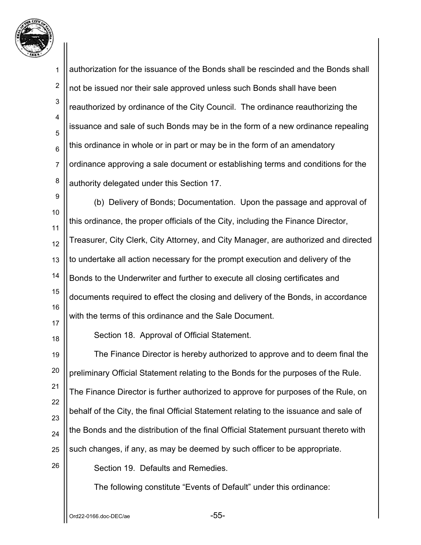

1 2 3 4 5 6 7 8 9 10 11 12 13 14 15 16 17 18 19 20 21 22 23 24 25 26 authorization for the issuance of the Bonds shall be rescinded and the Bonds shall not be issued nor their sale approved unless such Bonds shall have been reauthorized by ordinance of the City Council. The ordinance reauthorizing the issuance and sale of such Bonds may be in the form of a new ordinance repealing this ordinance in whole or in part or may be in the form of an amendatory ordinance approving a sale document or establishing terms and conditions for the authority delegated under this Section 17. (b) Delivery of Bonds; Documentation. Upon the passage and approval of this ordinance, the proper officials of the City, including the Finance Director, Treasurer, City Clerk, City Attorney, and City Manager, are authorized and directed to undertake all action necessary for the prompt execution and delivery of the Bonds to the Underwriter and further to execute all closing certificates and documents required to effect the closing and delivery of the Bonds, in accordance with the terms of this ordinance and the Sale Document. Section 18. Approval of Official Statement. The Finance Director is hereby authorized to approve and to deem final the preliminary Official Statement relating to the Bonds for the purposes of the Rule. The Finance Director is further authorized to approve for purposes of the Rule, on behalf of the City, the final Official Statement relating to the issuance and sale of the Bonds and the distribution of the final Official Statement pursuant thereto with such changes, if any, as may be deemed by such officer to be appropriate. Section 19. Defaults and Remedies. The following constitute "Events of Default" under this ordinance: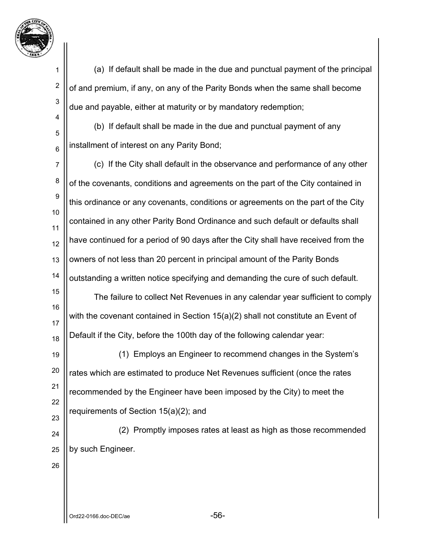

2

3

4

5

6

 (a) If default shall be made in the due and punctual payment of the principal of and premium, if any, on any of the Parity Bonds when the same shall become due and payable, either at maturity or by mandatory redemption;

 (b) If default shall be made in the due and punctual payment of any installment of interest on any Parity Bond;

7 8 9 10 11 12 13 14 (c) If the City shall default in the observance and performance of any other of the covenants, conditions and agreements on the part of the City contained in this ordinance or any covenants, conditions or agreements on the part of the City contained in any other Parity Bond Ordinance and such default or defaults shall have continued for a period of 90 days after the City shall have received from the owners of not less than 20 percent in principal amount of the Parity Bonds outstanding a written notice specifying and demanding the cure of such default.

15 16 17 18 The failure to collect Net Revenues in any calendar year sufficient to comply with the covenant contained in Section 15(a)(2) shall not constitute an Event of Default if the City, before the 100th day of the following calendar year:

19 20 21 22 23 (1) Employs an Engineer to recommend changes in the System's rates which are estimated to produce Net Revenues sufficient (once the rates recommended by the Engineer have been imposed by the City) to meet the requirements of Section 15(a)(2); and

24 25 (2) Promptly imposes rates at least as high as those recommended by such Engineer.

26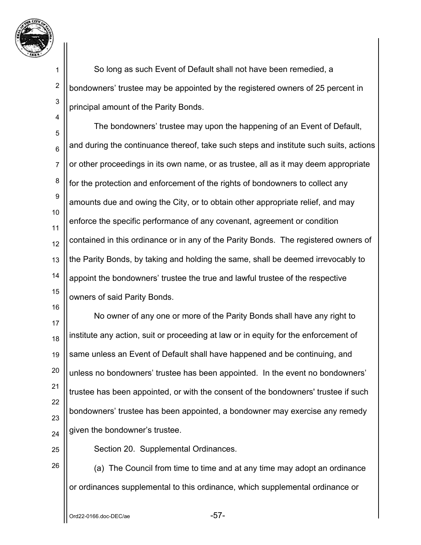

2

3

4

 So long as such Event of Default shall not have been remedied, a bondowners' trustee may be appointed by the registered owners of 25 percent in principal amount of the Parity Bonds.

5 6 7 8 9 10 11 12 13 14 15 The bondowners' trustee may upon the happening of an Event of Default, and during the continuance thereof, take such steps and institute such suits, actions or other proceedings in its own name, or as trustee, all as it may deem appropriate for the protection and enforcement of the rights of bondowners to collect any amounts due and owing the City, or to obtain other appropriate relief, and may enforce the specific performance of any covenant, agreement or condition contained in this ordinance or in any of the Parity Bonds. The registered owners of the Parity Bonds, by taking and holding the same, shall be deemed irrevocably to appoint the bondowners' trustee the true and lawful trustee of the respective owners of said Parity Bonds.

17 18 19 20 21 22 23 24 No owner of any one or more of the Parity Bonds shall have any right to institute any action, suit or proceeding at law or in equity for the enforcement of same unless an Event of Default shall have happened and be continuing, and unless no bondowners' trustee has been appointed. In the event no bondowners' trustee has been appointed, or with the consent of the bondowners' trustee if such bondowners' trustee has been appointed, a bondowner may exercise any remedy given the bondowner's trustee.

25 26

16

Section 20. Supplemental Ordinances.

 (a) The Council from time to time and at any time may adopt an ordinance or ordinances supplemental to this ordinance, which supplemental ordinance or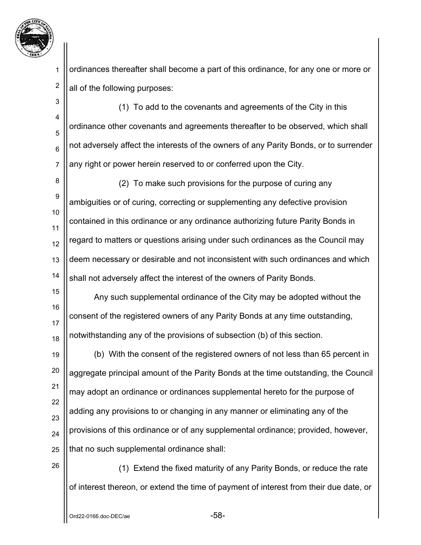

2

ordinances thereafter shall become a part of this ordinance, for any one or more or all of the following purposes:

3 4 5 6 7 (1) To add to the covenants and agreements of the City in this ordinance other covenants and agreements thereafter to be observed, which shall not adversely affect the interests of the owners of any Parity Bonds, or to surrender any right or power herein reserved to or conferred upon the City.

8 9 10 11 12 13 14 (2) To make such provisions for the purpose of curing any ambiguities or of curing, correcting or supplementing any defective provision contained in this ordinance or any ordinance authorizing future Parity Bonds in regard to matters or questions arising under such ordinances as the Council may deem necessary or desirable and not inconsistent with such ordinances and which shall not adversely affect the interest of the owners of Parity Bonds.

15 16 17 18 Any such supplemental ordinance of the City may be adopted without the consent of the registered owners of any Parity Bonds at any time outstanding, notwithstanding any of the provisions of subsection (b) of this section.

19 20 21 22 23 24 25 (b) With the consent of the registered owners of not less than 65 percent in aggregate principal amount of the Parity Bonds at the time outstanding, the Council may adopt an ordinance or ordinances supplemental hereto for the purpose of adding any provisions to or changing in any manner or eliminating any of the provisions of this ordinance or of any supplemental ordinance; provided, however, that no such supplemental ordinance shall:

 (1) Extend the fixed maturity of any Parity Bonds, or reduce the rate of interest thereon, or extend the time of payment of interest from their due date, or

26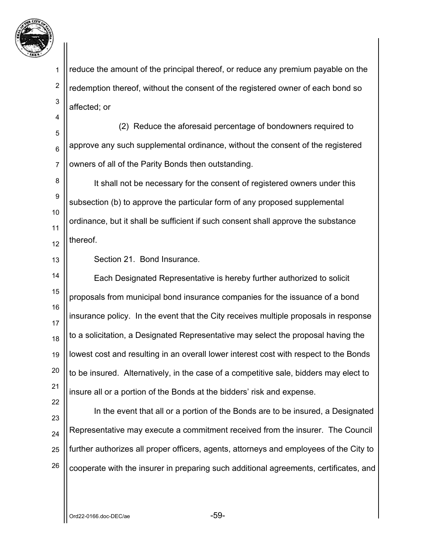

2

3

4

reduce the amount of the principal thereof, or reduce any premium payable on the redemption thereof, without the consent of the registered owner of each bond so affected; or

5 6 7 (2) Reduce the aforesaid percentage of bondowners required to approve any such supplemental ordinance, without the consent of the registered owners of all of the Parity Bonds then outstanding.

8 9 10 11 12 It shall not be necessary for the consent of registered owners under this subsection (b) to approve the particular form of any proposed supplemental ordinance, but it shall be sufficient if such consent shall approve the substance thereof.

13

22

Section 21. Bond Insurance.

14 15 16 17 18 19 20 21 Each Designated Representative is hereby further authorized to solicit proposals from municipal bond insurance companies for the issuance of a bond insurance policy. In the event that the City receives multiple proposals in response to a solicitation, a Designated Representative may select the proposal having the lowest cost and resulting in an overall lower interest cost with respect to the Bonds to be insured. Alternatively, in the case of a competitive sale, bidders may elect to insure all or a portion of the Bonds at the bidders' risk and expense.

23 24 25 26 In the event that all or a portion of the Bonds are to be insured, a Designated Representative may execute a commitment received from the insurer. The Council further authorizes all proper officers, agents, attorneys and employees of the City to cooperate with the insurer in preparing such additional agreements, certificates, and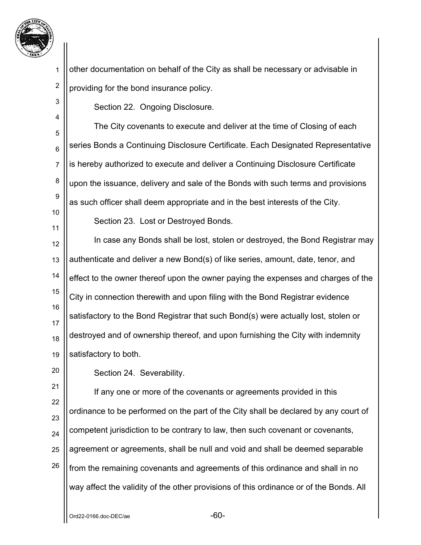

1 2 other documentation on behalf of the City as shall be necessary or advisable in providing for the bond insurance policy.

Section 22. Ongoing Disclosure.

5 6 7 8 9 10 The City covenants to execute and deliver at the time of Closing of each series Bonds a Continuing Disclosure Certificate. Each Designated Representative is hereby authorized to execute and deliver a Continuing Disclosure Certificate upon the issuance, delivery and sale of the Bonds with such terms and provisions as such officer shall deem appropriate and in the best interests of the City.

11

20

3

4

Section 23. Lost or Destroyed Bonds.

12 13 14 15 16 17 18 19 In case any Bonds shall be lost, stolen or destroyed, the Bond Registrar may authenticate and deliver a new Bond(s) of like series, amount, date, tenor, and effect to the owner thereof upon the owner paying the expenses and charges of the City in connection therewith and upon filing with the Bond Registrar evidence satisfactory to the Bond Registrar that such Bond(s) were actually lost, stolen or destroyed and of ownership thereof, and upon furnishing the City with indemnity satisfactory to both.

Section 24. Severability.

21 22 23 24 25 26 If any one or more of the covenants or agreements provided in this ordinance to be performed on the part of the City shall be declared by any court of competent jurisdiction to be contrary to law, then such covenant or covenants, agreement or agreements, shall be null and void and shall be deemed separable from the remaining covenants and agreements of this ordinance and shall in no way affect the validity of the other provisions of this ordinance or of the Bonds. All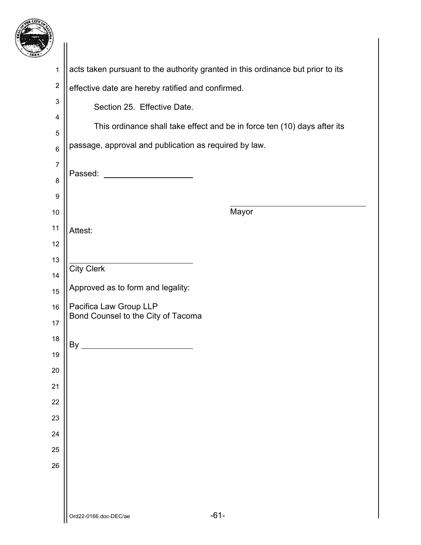

| -1                      |                                                                                 |
|-------------------------|---------------------------------------------------------------------------------|
| $\mathbf 1$             | acts taken pursuant to the authority granted in this ordinance but prior to its |
| $\overline{c}$          | effective date are hereby ratified and confirmed.                               |
| 3                       | Section 25. Effective Date.                                                     |
| 4                       | This ordinance shall take effect and be in force ten (10) days after its        |
| 5                       | passage, approval and publication as required by law.                           |
| $\,6$<br>$\overline{7}$ |                                                                                 |
| 8                       | Passed:                                                                         |
| 9                       |                                                                                 |
| 10                      | Mayor                                                                           |
| 11                      | Attest:                                                                         |
| 12                      |                                                                                 |
| 13                      | <b>City Clerk</b>                                                               |
| 14                      | Approved as to form and legality:                                               |
| 15<br>16                | Pacifica Law Group LLP                                                          |
| 17                      | Bond Counsel to the City of Tacoma                                              |
| 18                      |                                                                                 |
| 19                      | By                                                                              |
| 20                      |                                                                                 |
| 21                      |                                                                                 |
| 22                      |                                                                                 |
| 23                      |                                                                                 |
| 24                      |                                                                                 |
| 25                      |                                                                                 |
| 26                      |                                                                                 |
|                         |                                                                                 |
|                         | $-61-$<br>Ord22-0166.doc-DEC/ae                                                 |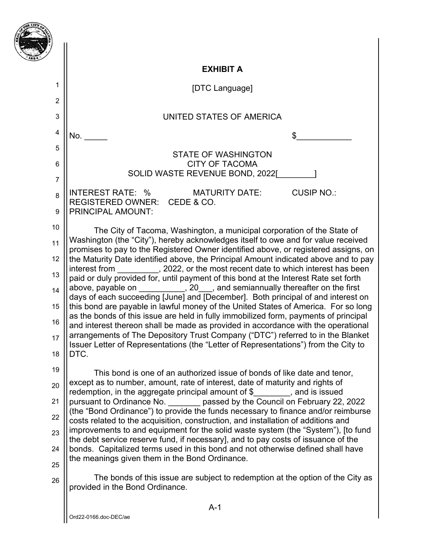|                | <b>EXHIBIT A</b>                                                                                                                                                          |
|----------------|---------------------------------------------------------------------------------------------------------------------------------------------------------------------------|
| 1              | [DTC Language]                                                                                                                                                            |
| $\overline{2}$ |                                                                                                                                                                           |
| 3              | UNITED STATES OF AMERICA                                                                                                                                                  |
| 4              | No.                                                                                                                                                                       |
| 5              | <b>STATE OF WASHINGTON</b>                                                                                                                                                |
| 6              | <b>CITY OF TACOMA</b>                                                                                                                                                     |
| $\overline{7}$ | SOLID WASTE REVENUE BOND, 2022[                                                                                                                                           |
| 8              | <b>CUSIP NO.:</b><br>INTEREST RATE: % MATURITY DATE:<br>REGISTERED OWNER: CEDE & CO.                                                                                      |
| 9              | <b>PRINCIPAL AMOUNT:</b>                                                                                                                                                  |
| 10             | The City of Tacoma, Washington, a municipal corporation of the State of                                                                                                   |
| 11             | Washington (the "City"), hereby acknowledges itself to owe and for value received<br>promises to pay to the Registered Owner identified above, or registered assigns, on  |
| 12             | the Maturity Date identified above, the Principal Amount indicated above and to pay                                                                                       |
| 13             | interest from _________, 2022, or the most recent date to which interest has been<br>paid or duly provided for, until payment of this bond at the Interest Rate set forth |
| 14             | above, payable on __________, 20___, and semiannually thereafter on the first                                                                                             |
| 15             | days of each succeeding [June] and [December]. Both principal of and interest on<br>this bond are payable in lawful money of the United States of America. For so long    |
| 16             | as the bonds of this issue are held in fully immobilized form, payments of principal<br>and interest thereon shall be made as provided in accordance with the operational |
| 17             | arrangements of The Depository Trust Company ("DTC") referred to in the Blanket                                                                                           |
| 18             | Issuer Letter of Representations (the "Letter of Representations") from the City to<br>DTC.                                                                               |
| 19             | This bond is one of an authorized issue of bonds of like date and tenor,                                                                                                  |
| 20             | except as to number, amount, rate of interest, date of maturity and rights of<br>redemption, in the aggregate principal amount of $\frac{1}{2}$ , and is issued           |
| 21             | pursuant to Ordinance No. _______ passed by the Council on February 22, 2022                                                                                              |
| 22             | (the "Bond Ordinance") to provide the funds necessary to finance and/or reimburse<br>costs related to the acquisition, construction, and installation of additions and    |
| 23             | improvements to and equipment for the solid waste system (the "System"), [to fund                                                                                         |
| 24             | the debt service reserve fund, if necessary], and to pay costs of issuance of the<br>bonds. Capitalized terms used in this bond and not otherwise defined shall have      |
| 25             | the meanings given them in the Bond Ordinance.                                                                                                                            |
| 26             | The bonds of this issue are subject to redemption at the option of the City as<br>provided in the Bond Ordinance.                                                         |
|                | $A-1$                                                                                                                                                                     |

靈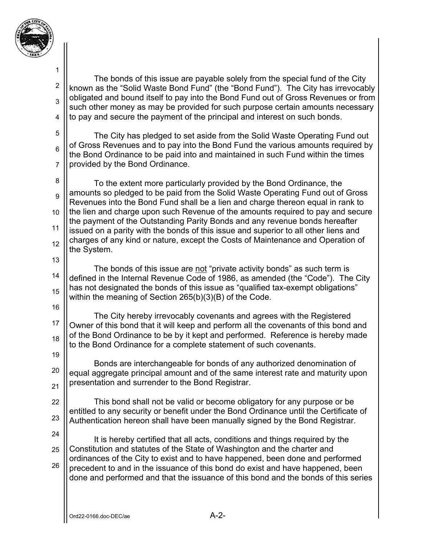

2 3 4 The bonds of this issue are payable solely from the special fund of the City known as the "Solid Waste Bond Fund" (the "Bond Fund"). The City has irrevocably obligated and bound itself to pay into the Bond Fund out of Gross Revenues or from such other money as may be provided for such purpose certain amounts necessary to pay and secure the payment of the principal and interest on such bonds.

5 6 7 The City has pledged to set aside from the Solid Waste Operating Fund out of Gross Revenues and to pay into the Bond Fund the various amounts required by the Bond Ordinance to be paid into and maintained in such Fund within the times provided by the Bond Ordinance.

8 9 10 11 12 To the extent more particularly provided by the Bond Ordinance, the amounts so pledged to be paid from the Solid Waste Operating Fund out of Gross Revenues into the Bond Fund shall be a lien and charge thereon equal in rank to the lien and charge upon such Revenue of the amounts required to pay and secure the payment of the Outstanding Parity Bonds and any revenue bonds hereafter issued on a parity with the bonds of this issue and superior to all other liens and charges of any kind or nature, except the Costs of Maintenance and Operation of the System.

14 15 The bonds of this issue are not "private activity bonds" as such term is defined in the Internal Revenue Code of 1986, as amended (the "Code"). The City has not designated the bonds of this issue as "qualified tax-exempt obligations" within the meaning of Section 265(b)(3)(B) of the Code.

16

13

17 18 19 The City hereby irrevocably covenants and agrees with the Registered Owner of this bond that it will keep and perform all the covenants of this bond and of the Bond Ordinance to be by it kept and performed. Reference is hereby made to the Bond Ordinance for a complete statement of such covenants.

20 21 Bonds are interchangeable for bonds of any authorized denomination of equal aggregate principal amount and of the same interest rate and maturity upon presentation and surrender to the Bond Registrar.

22 23 This bond shall not be valid or become obligatory for any purpose or be entitled to any security or benefit under the Bond Ordinance until the Certificate of Authentication hereon shall have been manually signed by the Bond Registrar.

24

25 26 It is hereby certified that all acts, conditions and things required by the Constitution and statutes of the State of Washington and the charter and ordinances of the City to exist and to have happened, been done and performed precedent to and in the issuance of this bond do exist and have happened, been done and performed and that the issuance of this bond and the bonds of this series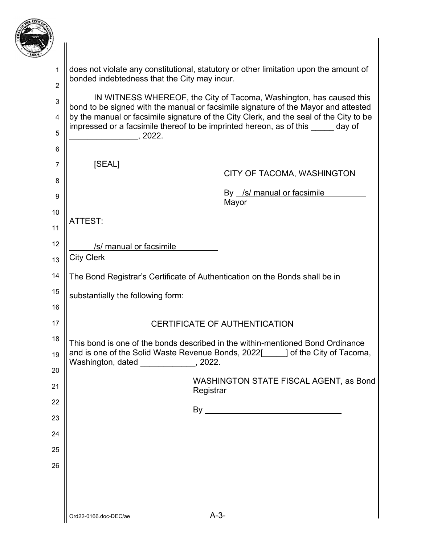

| 7                   |                                                                                                                                                           |
|---------------------|-----------------------------------------------------------------------------------------------------------------------------------------------------------|
| 1<br>$\overline{2}$ | does not violate any constitutional, statutory or other limitation upon the amount of<br>bonded indebtedness that the City may incur.                     |
| 3                   | IN WITNESS WHEREOF, the City of Tacoma, Washington, has caused this<br>bond to be signed with the manual or facsimile signature of the Mayor and attested |
| $\overline{4}$      | by the manual or facsimile signature of the City Clerk, and the seal of the City to be                                                                    |
| 5                   | impressed or a facsimile thereof to be imprinted hereon, as of this _____ day of<br>, 2022.                                                               |
| $6\phantom{1}$      |                                                                                                                                                           |
| 7                   | [SEAL]<br>CITY OF TACOMA, WASHINGTON                                                                                                                      |
| 8                   | By /s/ manual or facsimile                                                                                                                                |
| 9                   | Mayor                                                                                                                                                     |
| 10<br>11            | ATTEST:                                                                                                                                                   |
| 12                  |                                                                                                                                                           |
| 13                  | /s/ manual or facsimile<br><b>City Clerk</b>                                                                                                              |
| 14                  | The Bond Registrar's Certificate of Authentication on the Bonds shall be in                                                                               |
| 15                  | substantially the following form:                                                                                                                         |
| 16                  |                                                                                                                                                           |
| 17                  | <b>CERTIFICATE OF AUTHENTICATION</b>                                                                                                                      |
| 18                  | This bond is one of the bonds described in the within-mentioned Bond Ordinance                                                                            |
| 19                  | and is one of the Solid Waste Revenue Bonds, 2022[1661] of the City of Tacoma,<br>Washington, dated _____________, 2022.                                  |
| 20<br>21            | WASHINGTON STATE FISCAL AGENT, as Bond                                                                                                                    |
| 22                  | Registrar                                                                                                                                                 |
| 23                  |                                                                                                                                                           |
| 24                  |                                                                                                                                                           |
| 25                  |                                                                                                                                                           |
| 26                  |                                                                                                                                                           |
|                     |                                                                                                                                                           |
|                     |                                                                                                                                                           |
|                     | $A-3-$<br>Ord22-0166.doc-DEC/ae                                                                                                                           |